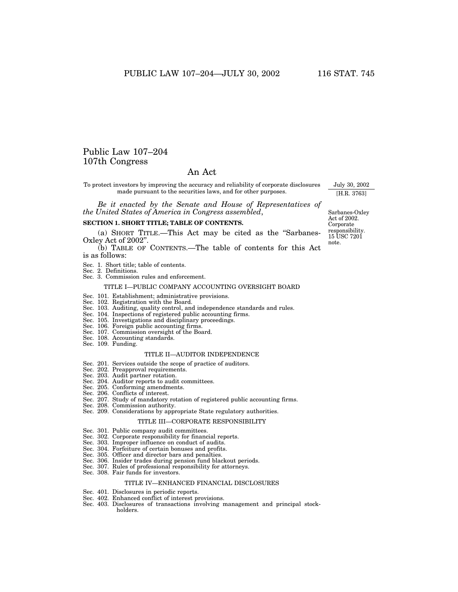# Public Law 107–204 107th Congress

# An Act

To protect investors by improving the accuracy and reliability of corporate disclosures made pursuant to the securities laws, and for other purposes.

*Be it enacted by the Senate and House of Representatives of the United States of America in Congress assembled*,

## **SECTION 1. SHORT TITLE; TABLE OF CONTENTS.**

(a) SHORT TITLE.—This Act may be cited as the ''Sarbanes-Oxley Act of 2002''.

(b) TABLE OF CONTENTS.—The table of contents for this Act is as follows:

- Sec. 1. Short title; table of contents.
- Sec. 2. Definitions.
- Sec. 3. Commission rules and enforcement.

## TITLE I—PUBLIC COMPANY ACCOUNTING OVERSIGHT BOARD

- Sec. 101. Establishment; administrative provisions.
- Sec. 102. Registration with the Board.
- Sec. 103. Auditing, quality control, and independence standards and rules.
- Sec. 104. Inspections of registered public accounting firms.
- Sec. 105. Investigations and disciplinary proceedings.
- Sec. 106. Foreign public accounting firms.
- Sec. 107. Commission oversight of the Board.
- Sec. 108. Accounting standards.
- Sec. 109. Funding.

#### TITLE II—AUDITOR INDEPENDENCE

- Sec. 201. Services outside the scope of practice of auditors.
- Sec. 202. Preapproval requirements.
- Sec. 203. Audit partner rotation.
- Sec. 204. Auditor reports to audit committees.
- Sec. 205. Conforming amendments.
- Sec. 206. Conflicts of interest.
- Sec. 207. Study of mandatory rotation of registered public accounting firms.
- Sec. 208. Commission authority.
- Sec. 209. Considerations by appropriate State regulatory authorities.

#### TITLE III—CORPORATE RESPONSIBILITY

- Sec. 301. Public company audit committees.
- Sec. 302. Corporate responsibility for financial reports.
- Sec. 303. Improper influence on conduct of audits.
- Sec. 304. Forfeiture of certain bonuses and profits.
- Sec. 305. Officer and director bars and penalties.
- Sec. 306. Insider trades during pension fund blackout periods.
- Sec. 307. Rules of professional responsibility for attorneys.
- Sec. 308. Fair funds for investors.

#### TITLE IV—ENHANCED FINANCIAL DISCLOSURES

- Sec. 401. Disclosures in periodic reports.
- Sec. 402. Enhanced conflict of interest provisions.
- Sec. 403. Disclosures of transactions involving management and principal stockholders.

15 USC 7201 note. Sarbanes-Oxley Act of 2002. Corporate responsibility.

July 30, 2002 [H.R. 3763]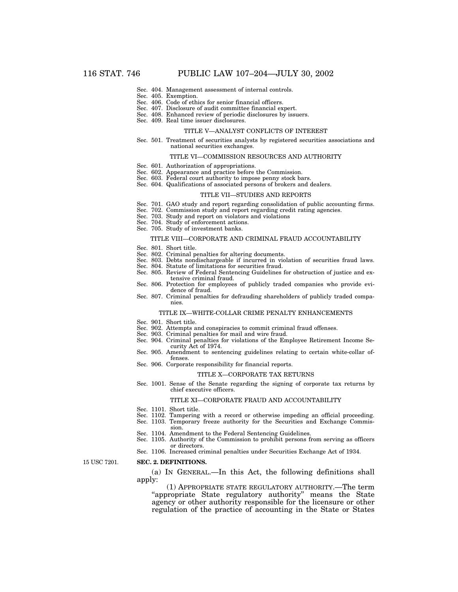- Sec. 404. Management assessment of internal controls.
- Sec. 405. Exemption.
- Sec. 406. Code of ethics for senior financial officers.
- Sec. 407. Disclosure of audit committee financial expert.
- Sec. 408. Enhanced review of periodic disclosures by issuers.
- Sec. 409. Real time issuer disclosures.

#### TITLE V—ANALYST CONFLICTS OF INTEREST

Sec. 501. Treatment of securities analysts by registered securities associations and national securities exchanges.

#### TITLE VI—COMMISSION RESOURCES AND AUTHORITY

- Sec. 601. Authorization of appropriations.
- Sec. 602. Appearance and practice before the Commission.
- Sec. 603. Federal court authority to impose penny stock bars.
- Sec. 604. Qualifications of associated persons of brokers and dealers.

#### TITLE VII—STUDIES AND REPORTS

- Sec. 701. GAO study and report regarding consolidation of public accounting firms.
- Sec. 702. Commission study and report regarding credit rating agencies.
- Sec. 703. Study and report on violators and violations
- Sec. 704. Study of enforcement actions.
- Sec. 705. Study of investment banks.

#### TITLE VIII—CORPORATE AND CRIMINAL FRAUD ACCOUNTABILITY

- Sec. 801. Short title.
- Sec. 802. Criminal penalties for altering documents.
- Sec. 803. Debts nondischargeable if incurred in violation of securities fraud laws.
- Sec. 804. Statute of limitations for securities fraud.
- Sec. 805. Review of Federal Sentencing Guidelines for obstruction of justice and extensive criminal fraud.
- Sec. 806. Protection for employees of publicly traded companies who provide evidence of fraud.
- Sec. 807. Criminal penalties for defrauding shareholders of publicly traded companies.

#### TITLE IX—WHITE-COLLAR CRIME PENALTY ENHANCEMENTS

- Sec. 901. Short title.
- Sec. 902. Attempts and conspiracies to commit criminal fraud offenses.
- Sec. 903. Criminal penalties for mail and wire fraud.
- Sec. 904. Criminal penalties for violations of the Employee Retirement Income Security Act of 1974.
- Sec. 905. Amendment to sentencing guidelines relating to certain white-collar offenses.
- Sec. 906. Corporate responsibility for financial reports.

#### TITLE X—CORPORATE TAX RETURNS

Sec. 1001. Sense of the Senate regarding the signing of corporate tax returns by chief executive officers.

#### TITLE XI—CORPORATE FRAUD AND ACCOUNTABILITY

- Sec. 1101. Short title.
- Sec. 1102. Tampering with a record or otherwise impeding an official proceeding.
- Sec. 1103. Temporary freeze authority for the Securities and Exchange Commission.
- Sec. 1104. Amendment to the Federal Sentencing Guidelines.
- Sec. 1105. Authority of the Commission to prohibit persons from serving as officers or directors.
- Sec. 1106. Increased criminal penalties under Securities Exchange Act of 1934.

15 USC 7201.

#### **SEC. 2. DEFINITIONS.**

(a) IN GENERAL.—In this Act, the following definitions shall apply:

(1) APPROPRIATE STATE REGULATORY AUTHORITY.—The term "appropriate State regulatory authority" means the State agency or other authority responsible for the licensure or other regulation of the practice of accounting in the State or States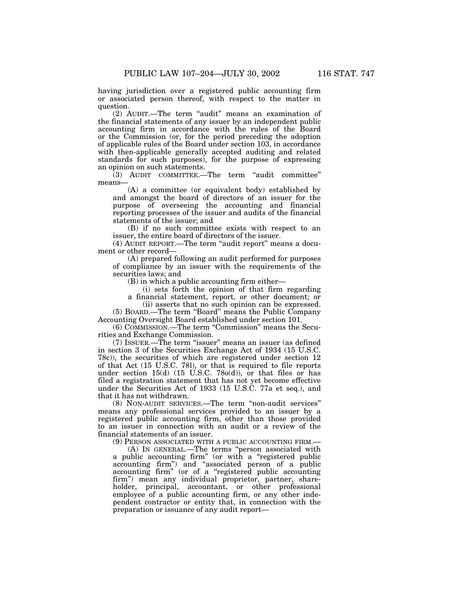having jurisdiction over a registered public accounting firm or associated person thereof, with respect to the matter in question.

(2) AUDIT.—The term ''audit'' means an examination of the financial statements of any issuer by an independent public accounting firm in accordance with the rules of the Board or the Commission (or, for the period preceding the adoption of applicable rules of the Board under section 103, in accordance with then-applicable generally accepted auditing and related standards for such purposes), for the purpose of expressing an opinion on such statements.

(3) AUDIT COMMITTEE.—The term ''audit committee'' means—

(A) a committee (or equivalent body) established by and amongst the board of directors of an issuer for the purpose of overseeing the accounting and financial reporting processes of the issuer and audits of the financial statements of the issuer; and

(B) if no such committee exists with respect to an issuer, the entire board of directors of the issuer.

(4) AUDIT REPORT.—The term ''audit report'' means a document or other record—

(A) prepared following an audit performed for purposes of compliance by an issuer with the requirements of the securities laws; and

(B) in which a public accounting firm either—

(i) sets forth the opinion of that firm regarding a financial statement, report, or other document; or

(ii) asserts that no such opinion can be expressed. (5) BOARD.—The term ''Board'' means the Public Company

Accounting Oversight Board established under section 101.

(6) COMMISSION.—The term ''Commission'' means the Securities and Exchange Commission.

(7) ISSUER.—The term ''issuer'' means an issuer (as defined in section 3 of the Securities Exchange Act of 1934 (15 U.S.C. 78c)), the securities of which are registered under section 12 of that Act (15 U.S.C. 78l), or that is required to file reports under section  $15(d)$  (15 U.S.C. 78 $o(d)$ ), or that files or has filed a registration statement that has not yet become effective under the Securities Act of 1933 (15 U.S.C. 77a et seq.), and that it has not withdrawn.

(8) NON-AUDIT SERVICES.—The term ''non-audit services'' means any professional services provided to an issuer by a registered public accounting firm, other than those provided to an issuer in connection with an audit or a review of the financial statements of an issuer.

(9) PERSON ASSOCIATED WITH A PUBLIC ACCOUNTING FIRM.—

(A) IN GENERAL.—The terms ''person associated with a public accounting firm'' (or with a ''registered public accounting firm'') and ''associated person of a public accounting firm'' (or of a ''registered public accounting firm'') mean any individual proprietor, partner, shareholder, principal, accountant, or other professional employee of a public accounting firm, or any other independent contractor or entity that, in connection with the preparation or issuance of any audit report—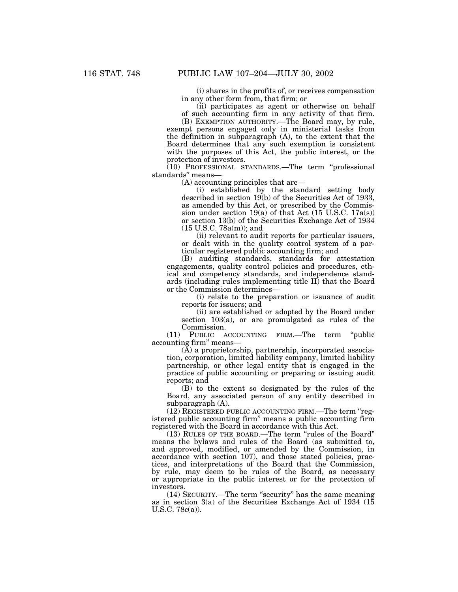(i) shares in the profits of, or receives compensation in any other form from, that firm; or

(ii) participates as agent or otherwise on behalf of such accounting firm in any activity of that firm.

(B) EXEMPTION AUTHORITY.—The Board may, by rule, exempt persons engaged only in ministerial tasks from the definition in subparagraph (A), to the extent that the Board determines that any such exemption is consistent with the purposes of this Act, the public interest, or the protection of investors.

(10) PROFESSIONAL STANDARDS.—The term ''professional standards'' means—

(A) accounting principles that are—

(i) established by the standard setting body described in section 19(b) of the Securities Act of 1933, as amended by this Act, or prescribed by the Commission under section 19(a) of that Act  $(15 \text{ U.S.C. } 17a(s))$ or section 13(b) of the Securities Exchange Act of 1934 (15 U.S.C. 78a(m)); and

(ii) relevant to audit reports for particular issuers, or dealt with in the quality control system of a particular registered public accounting firm; and

(B) auditing standards, standards for attestation engagements, quality control policies and procedures, ethical and competency standards, and independence standards (including rules implementing title II) that the Board or the Commission determines—

(i) relate to the preparation or issuance of audit reports for issuers; and

(ii) are established or adopted by the Board under section 103(a), or are promulgated as rules of the Commission.

(11) PUBLIC ACCOUNTING FIRM.—The term ''public accounting firm'' means—

(A) a proprietorship, partnership, incorporated association, corporation, limited liability company, limited liability partnership, or other legal entity that is engaged in the practice of public accounting or preparing or issuing audit reports; and

(B) to the extent so designated by the rules of the Board, any associated person of any entity described in subparagraph (A).

(12) REGISTERED PUBLIC ACCOUNTING FIRM.—The term ''registered public accounting firm'' means a public accounting firm registered with the Board in accordance with this Act.

(13) RULES OF THE BOARD.—The term ''rules of the Board'' means the bylaws and rules of the Board (as submitted to, and approved, modified, or amended by the Commission, in accordance with section 107), and those stated policies, practices, and interpretations of the Board that the Commission, by rule, may deem to be rules of the Board, as necessary or appropriate in the public interest or for the protection of investors.

(14) SECURITY.—The term ''security'' has the same meaning as in section 3(a) of the Securities Exchange Act of 1934 (15 U.S.C. 78c(a)).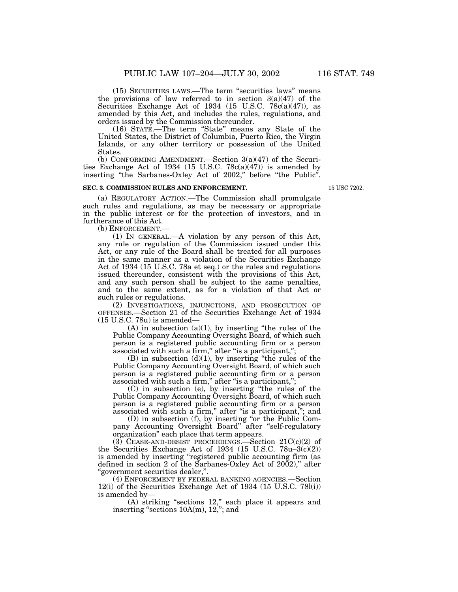(15) SECURITIES LAWS.—The term ''securities laws'' means the provisions of law referred to in section  $3(a)(47)$  of the Securities Exchange Act of 1934 (15 U.S.C. 78c(a)(47)), as amended by this Act, and includes the rules, regulations, and orders issued by the Commission thereunder.

(16) STATE.—The term ''State'' means any State of the United States, the District of Columbia, Puerto Rico, the Virgin Islands, or any other territory or possession of the United States.

(b) CONFORMING AMENDMENT.—Section 3(a)(47) of the Securities Exchange Act of 1934 (15 U.S.C.  $78c(a)(47)$ ) is amended by inserting "the Sarbanes-Oxley Act of 2002," before "the Public".

#### **SEC. 3. COMMISSION RULES AND ENFORCEMENT.**

15 USC 7202.

(a) REGULATORY ACTION.—The Commission shall promulgate such rules and regulations, as may be necessary or appropriate in the public interest or for the protection of investors, and in furtherance of this Act.

(b) ENFORCEMENT.—

(1) IN GENERAL.—A violation by any person of this Act, any rule or regulation of the Commission issued under this Act, or any rule of the Board shall be treated for all purposes in the same manner as a violation of the Securities Exchange Act of 1934 (15 U.S.C. 78a et seq.) or the rules and regulations issued thereunder, consistent with the provisions of this Act, and any such person shall be subject to the same penalties, and to the same extent, as for a violation of that Act or such rules or regulations.

(2) INVESTIGATIONS, INJUNCTIONS, AND PROSECUTION OF OFFENSES.—Section 21 of the Securities Exchange Act of 1934 (15 U.S.C. 78u) is amended—

 $(A)$  in subsection  $(a)(1)$ , by inserting "the rules of the Public Company Accounting Oversight Board, of which such person is a registered public accounting firm or a person associated with such a firm," after "is a participant,";

(B) in subsection (d)(1), by inserting ''the rules of the Public Company Accounting Oversight Board, of which such person is a registered public accounting firm or a person associated with such a firm," after "is a participant,";

(C) in subsection (e), by inserting ''the rules of the Public Company Accounting Oversight Board, of which such person is a registered public accounting firm or a person associated with such a firm," after "is a participant,"; and

(D) in subsection (f), by inserting ''or the Public Company Accounting Oversight Board'' after ''self-regulatory organization'' each place that term appears.

(3) CEASE-AND-DESIST PROCEEDINGS.—Section  $21C(c)(2)$  of the Securities Exchange Act of 1934 (15 U.S.C. 78u–3(c)(2)) is amended by inserting "registered public accounting firm (as defined in section 2 of the Sarbanes-Oxley Act of 2002)," after ''government securities dealer,''.

(4) ENFORCEMENT BY FEDERAL BANKING AGENCIES.—Section 12(i) of the Securities Exchange Act of 1934 (15 U.S.C. 78l(i)) is amended by—

(A) striking "sections 12," each place it appears and inserting "sections  $10A(m)$ ,  $12$ ,"; and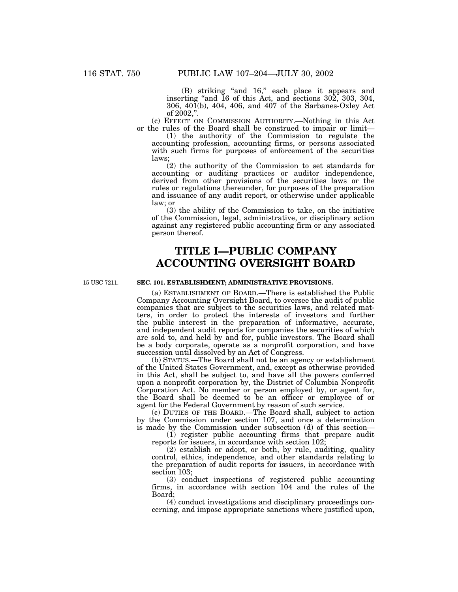(B) striking ''and 16,'' each place it appears and inserting ''and 16 of this Act, and sections 302, 303, 304, 306, 401(b), 404, 406, and 407 of the Sarbanes-Oxley Act of 2002,''.

(c) EFFECT ON COMMISSION AUTHORITY.—Nothing in this Act or the rules of the Board shall be construed to impair or limit— (1) the authority of the Commission to regulate the

accounting profession, accounting firms, or persons associated with such firms for purposes of enforcement of the securities laws;

(2) the authority of the Commission to set standards for accounting or auditing practices or auditor independence, derived from other provisions of the securities laws or the rules or regulations thereunder, for purposes of the preparation and issuance of any audit report, or otherwise under applicable law; or

(3) the ability of the Commission to take, on the initiative of the Commission, legal, administrative, or disciplinary action against any registered public accounting firm or any associated person thereof.

# **TITLE I—PUBLIC COMPANY ACCOUNTING OVERSIGHT BOARD**

15 USC 7211.

## **SEC. 101. ESTABLISHMENT; ADMINISTRATIVE PROVISIONS.**

(a) ESTABLISHMENT OF BOARD.—There is established the Public Company Accounting Oversight Board, to oversee the audit of public companies that are subject to the securities laws, and related matters, in order to protect the interests of investors and further the public interest in the preparation of informative, accurate, and independent audit reports for companies the securities of which are sold to, and held by and for, public investors. The Board shall be a body corporate, operate as a nonprofit corporation, and have succession until dissolved by an Act of Congress.

(b) STATUS.—The Board shall not be an agency or establishment of the United States Government, and, except as otherwise provided in this Act, shall be subject to, and have all the powers conferred upon a nonprofit corporation by, the District of Columbia Nonprofit Corporation Act. No member or person employed by, or agent for, the Board shall be deemed to be an officer or employee of or agent for the Federal Government by reason of such service.

(c) DUTIES OF THE BOARD.—The Board shall, subject to action by the Commission under section 107, and once a determination is made by the Commission under subsection (d) of this section—

(1) register public accounting firms that prepare audit reports for issuers, in accordance with section 102;

(2) establish or adopt, or both, by rule, auditing, quality control, ethics, independence, and other standards relating to the preparation of audit reports for issuers, in accordance with section 103;

(3) conduct inspections of registered public accounting firms, in accordance with section 104 and the rules of the Board;

(4) conduct investigations and disciplinary proceedings concerning, and impose appropriate sanctions where justified upon,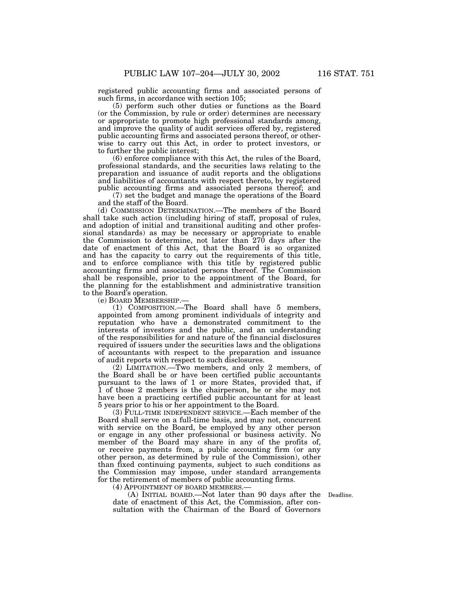registered public accounting firms and associated persons of such firms, in accordance with section 105;

(5) perform such other duties or functions as the Board (or the Commission, by rule or order) determines are necessary or appropriate to promote high professional standards among, and improve the quality of audit services offered by, registered public accounting firms and associated persons thereof, or otherwise to carry out this Act, in order to protect investors, or to further the public interest;

(6) enforce compliance with this Act, the rules of the Board, professional standards, and the securities laws relating to the preparation and issuance of audit reports and the obligations and liabilities of accountants with respect thereto, by registered public accounting firms and associated persons thereof; and

(7) set the budget and manage the operations of the Board and the staff of the Board.

(d) COMMISSION DETERMINATION.—The members of the Board shall take such action (including hiring of staff, proposal of rules, and adoption of initial and transitional auditing and other professional standards) as may be necessary or appropriate to enable the Commission to determine, not later than 270 days after the date of enactment of this Act, that the Board is so organized and has the capacity to carry out the requirements of this title, and to enforce compliance with this title by registered public accounting firms and associated persons thereof. The Commission shall be responsible, prior to the appointment of the Board, for the planning for the establishment and administrative transition to the Board's operation.

(e) BOARD MEMBERSHIP.—

(1) COMPOSITION.—The Board shall have 5 members, appointed from among prominent individuals of integrity and reputation who have a demonstrated commitment to the interests of investors and the public, and an understanding of the responsibilities for and nature of the financial disclosures required of issuers under the securities laws and the obligations of accountants with respect to the preparation and issuance of audit reports with respect to such disclosures.

(2) LIMITATION.—Two members, and only 2 members, of the Board shall be or have been certified public accountants pursuant to the laws of 1 or more States, provided that, if 1 of those 2 members is the chairperson, he or she may not have been a practicing certified public accountant for at least 5 years prior to his or her appointment to the Board.

(3) FULL-TIME INDEPENDENT SERVICE.—Each member of the Board shall serve on a full-time basis, and may not, concurrent with service on the Board, be employed by any other person or engage in any other professional or business activity. No member of the Board may share in any of the profits of, or receive payments from, a public accounting firm (or any other person, as determined by rule of the Commission), other than fixed continuing payments, subject to such conditions as the Commission may impose, under standard arrangements for the retirement of members of public accounting firms.

(4) APPOINTMENT OF BOARD MEMBERS.—

(A) INITIAL BOARD.—Not later than 90 days after the Deadline. date of enactment of this Act, the Commission, after consultation with the Chairman of the Board of Governors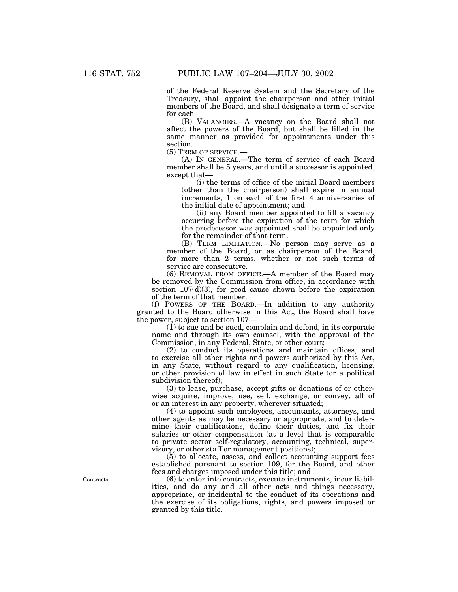of the Federal Reserve System and the Secretary of the Treasury, shall appoint the chairperson and other initial members of the Board, and shall designate a term of service for each.

(B) VACANCIES.—A vacancy on the Board shall not affect the powers of the Board, but shall be filled in the same manner as provided for appointments under this section.

(5) TERM OF SERVICE.—

(A) IN GENERAL.—The term of service of each Board member shall be 5 years, and until a successor is appointed, except that—

(i) the terms of office of the initial Board members (other than the chairperson) shall expire in annual increments, 1 on each of the first 4 anniversaries of the initial date of appointment; and

(ii) any Board member appointed to fill a vacancy occurring before the expiration of the term for which the predecessor was appointed shall be appointed only for the remainder of that term.

(B) TERM LIMITATION.—No person may serve as a member of the Board, or as chairperson of the Board, for more than 2 terms, whether or not such terms of service are consecutive.

(6) REMOVAL FROM OFFICE.—A member of the Board may be removed by the Commission from office, in accordance with section  $107(d)(3)$ , for good cause shown before the expiration of the term of that member.

(f) POWERS OF THE BOARD.—In addition to any authority granted to the Board otherwise in this Act, the Board shall have the power, subject to section 107—

(1) to sue and be sued, complain and defend, in its corporate name and through its own counsel, with the approval of the Commission, in any Federal, State, or other court;

(2) to conduct its operations and maintain offices, and to exercise all other rights and powers authorized by this Act, in any State, without regard to any qualification, licensing, or other provision of law in effect in such State (or a political subdivision thereof);

(3) to lease, purchase, accept gifts or donations of or otherwise acquire, improve, use, sell, exchange, or convey, all of or an interest in any property, wherever situated;

(4) to appoint such employees, accountants, attorneys, and other agents as may be necessary or appropriate, and to determine their qualifications, define their duties, and fix their salaries or other compensation (at a level that is comparable to private sector self-regulatory, accounting, technical, supervisory, or other staff or management positions);

(5) to allocate, assess, and collect accounting support fees established pursuant to section 109, for the Board, and other fees and charges imposed under this title; and

(6) to enter into contracts, execute instruments, incur liabilities, and do any and all other acts and things necessary, appropriate, or incidental to the conduct of its operations and the exercise of its obligations, rights, and powers imposed or granted by this title.

Contracts.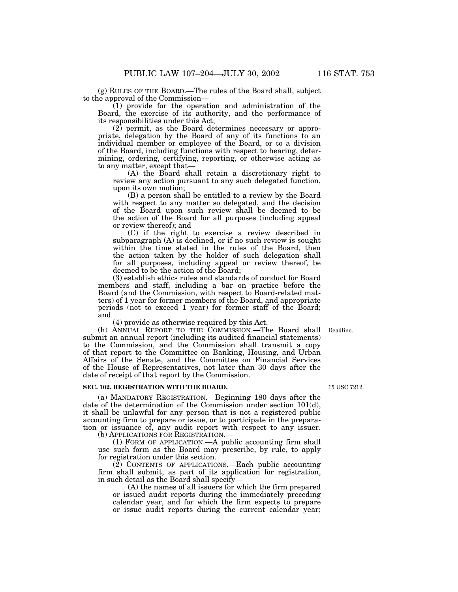(g) RULES OF THE BOARD.—The rules of the Board shall, subject to the approval of the Commission—

 $(1)$  provide for the operation and administration of the Board, the exercise of its authority, and the performance of its responsibilities under this Act;

 $(2)$  permit, as the Board determines necessary or appropriate, delegation by the Board of any of its functions to an individual member or employee of the Board, or to a division of the Board, including functions with respect to hearing, determining, ordering, certifying, reporting, or otherwise acting as to any matter, except that—

(A) the Board shall retain a discretionary right to review any action pursuant to any such delegated function, upon its own motion;

(B) a person shall be entitled to a review by the Board with respect to any matter so delegated, and the decision of the Board upon such review shall be deemed to be the action of the Board for all purposes (including appeal or review thereof); and

(C) if the right to exercise a review described in subparagraph  $(A)$  is declined, or if no such review is sought within the time stated in the rules of the Board, then the action taken by the holder of such delegation shall for all purposes, including appeal or review thereof, be deemed to be the action of the Board;

(3) establish ethics rules and standards of conduct for Board members and staff, including a bar on practice before the Board (and the Commission, with respect to Board-related matters) of 1 year for former members of the Board, and appropriate periods (not to exceed 1 year) for former staff of the Board; and

(4) provide as otherwise required by this Act.

(h) ANNUAL REPORT TO THE COMMISSION.—The Board shall Deadline. submit an annual report (including its audited financial statements) to the Commission, and the Commission shall transmit a copy of that report to the Committee on Banking, Housing, and Urban Affairs of the Senate, and the Committee on Financial Services of the House of Representatives, not later than 30 days after the date of receipt of that report by the Commission.

#### **SEC. 102. REGISTRATION WITH THE BOARD.**

(a) MANDATORY REGISTRATION.—Beginning 180 days after the date of the determination of the Commission under section 101(d), it shall be unlawful for any person that is not a registered public accounting firm to prepare or issue, or to participate in the preparation or issuance of, any audit report with respect to any issuer. (b) APPLICATIONS FOR REGISTRATION.—

(1) FORM OF APPLICATION.—A public accounting firm shall use such form as the Board may prescribe, by rule, to apply for registration under this section.

(2) CONTENTS OF APPLICATIONS.—Each public accounting firm shall submit, as part of its application for registration, in such detail as the Board shall specify—

(A) the names of all issuers for which the firm prepared or issued audit reports during the immediately preceding calendar year, and for which the firm expects to prepare or issue audit reports during the current calendar year;

15 USC 7212.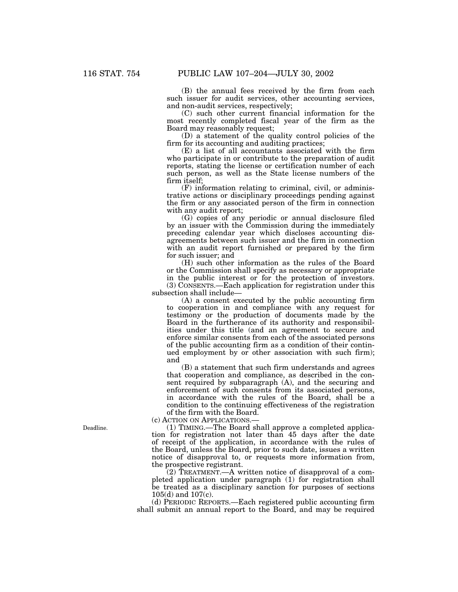(B) the annual fees received by the firm from each such issuer for audit services, other accounting services, and non-audit services, respectively;

(C) such other current financial information for the most recently completed fiscal year of the firm as the Board may reasonably request;

(D) a statement of the quality control policies of the firm for its accounting and auditing practices;

(E) a list of all accountants associated with the firm who participate in or contribute to the preparation of audit reports, stating the license or certification number of each such person, as well as the State license numbers of the firm itself;

(F) information relating to criminal, civil, or administrative actions or disciplinary proceedings pending against the firm or any associated person of the firm in connection with any audit report;

(G) copies of any periodic or annual disclosure filed by an issuer with the Commission during the immediately preceding calendar year which discloses accounting disagreements between such issuer and the firm in connection with an audit report furnished or prepared by the firm for such issuer; and

(H) such other information as the rules of the Board or the Commission shall specify as necessary or appropriate in the public interest or for the protection of investors.

(3) CONSENTS.—Each application for registration under this subsection shall include—

(A) a consent executed by the public accounting firm to cooperation in and compliance with any request for testimony or the production of documents made by the Board in the furtherance of its authority and responsibilities under this title (and an agreement to secure and enforce similar consents from each of the associated persons of the public accounting firm as a condition of their continued employment by or other association with such firm); and

(B) a statement that such firm understands and agrees that cooperation and compliance, as described in the consent required by subparagraph (A), and the securing and enforcement of such consents from its associated persons, in accordance with the rules of the Board, shall be a condition to the continuing effectiveness of the registration of the firm with the Board.

(c) ACTION ON APPLICATIONS.—

(1) TIMING.—The Board shall approve a completed application for registration not later than 45 days after the date of receipt of the application, in accordance with the rules of the Board, unless the Board, prior to such date, issues a written notice of disapproval to, or requests more information from, the prospective registrant.

(2) TREATMENT.—A written notice of disapproval of a completed application under paragraph (1) for registration shall be treated as a disciplinary sanction for purposes of sections 105(d) and 107(c).

(d) PERIODIC REPORTS.—Each registered public accounting firm shall submit an annual report to the Board, and may be required

Deadline.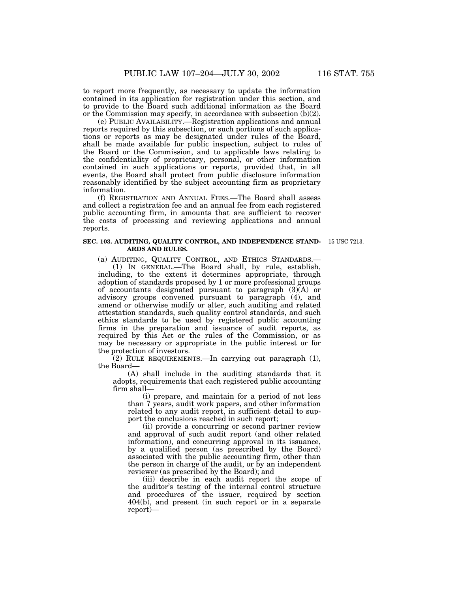to report more frequently, as necessary to update the information contained in its application for registration under this section, and to provide to the Board such additional information as the Board or the Commission may specify, in accordance with subsection (b)(2).

(e) PUBLIC AVAILABILITY.—Registration applications and annual reports required by this subsection, or such portions of such applications or reports as may be designated under rules of the Board, shall be made available for public inspection, subject to rules of the Board or the Commission, and to applicable laws relating to the confidentiality of proprietary, personal, or other information contained in such applications or reports, provided that, in all events, the Board shall protect from public disclosure information reasonably identified by the subject accounting firm as proprietary information.

(f) REGISTRATION AND ANNUAL FEES.—The Board shall assess and collect a registration fee and an annual fee from each registered public accounting firm, in amounts that are sufficient to recover the costs of processing and reviewing applications and annual reports.

#### **SEC. 103. AUDITING, QUALITY CONTROL, AND INDEPENDENCE STAND-**15 USC 7213. **ARDS AND RULES.**

(a) AUDITING, QUALITY CONTROL, AND ETHICS STANDARDS.— (1) IN GENERAL.—The Board shall, by rule, establish, including, to the extent it determines appropriate, through adoption of standards proposed by 1 or more professional groups of accountants designated pursuant to paragraph (3)(A) or advisory groups convened pursuant to paragraph (4), and amend or otherwise modify or alter, such auditing and related attestation standards, such quality control standards, and such ethics standards to be used by registered public accounting firms in the preparation and issuance of audit reports, as required by this Act or the rules of the Commission, or as may be necessary or appropriate in the public interest or for the protection of investors.

(2) RULE REQUIREMENTS.—In carrying out paragraph (1), the Board—

(A) shall include in the auditing standards that it adopts, requirements that each registered public accounting firm shall—

(i) prepare, and maintain for a period of not less than 7 years, audit work papers, and other information related to any audit report, in sufficient detail to support the conclusions reached in such report;

(ii) provide a concurring or second partner review and approval of such audit report (and other related information), and concurring approval in its issuance, by a qualified person (as prescribed by the Board) associated with the public accounting firm, other than the person in charge of the audit, or by an independent reviewer (as prescribed by the Board); and

(iii) describe in each audit report the scope of the auditor's testing of the internal control structure and procedures of the issuer, required by section 404(b), and present (in such report or in a separate report)—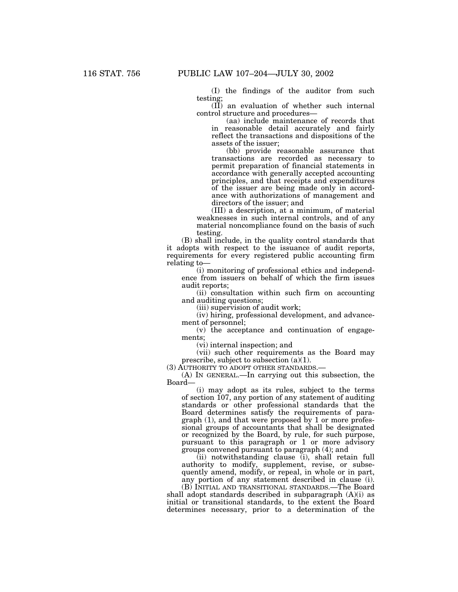(I) the findings of the auditor from such testing;

(II) an evaluation of whether such internal control structure and procedures—

(aa) include maintenance of records that in reasonable detail accurately and fairly reflect the transactions and dispositions of the assets of the issuer;

(bb) provide reasonable assurance that transactions are recorded as necessary to permit preparation of financial statements in accordance with generally accepted accounting principles, and that receipts and expenditures of the issuer are being made only in accordance with authorizations of management and directors of the issuer; and

(III) a description, at a minimum, of material weaknesses in such internal controls, and of any material noncompliance found on the basis of such testing.

(B) shall include, in the quality control standards that it adopts with respect to the issuance of audit reports, requirements for every registered public accounting firm relating to—

(i) monitoring of professional ethics and independence from issuers on behalf of which the firm issues audit reports;

(ii) consultation within such firm on accounting and auditing questions;

(iii) supervision of audit work;

(iv) hiring, professional development, and advancement of personnel;

(v) the acceptance and continuation of engagements;

(vi) internal inspection; and

(vii) such other requirements as the Board may prescribe, subject to subsection (a)(1).

(3) AUTHORITY TO ADOPT OTHER STANDARDS.—

(A) IN GENERAL.—In carrying out this subsection, the Board—

(i) may adopt as its rules, subject to the terms of section 107, any portion of any statement of auditing standards or other professional standards that the Board determines satisfy the requirements of paragraph (1), and that were proposed by 1 or more professional groups of accountants that shall be designated or recognized by the Board, by rule, for such purpose, pursuant to this paragraph or 1 or more advisory groups convened pursuant to paragraph (4); and

 $(iii)$  notwithstanding clause  $(i)$ , shall retain full authority to modify, supplement, revise, or subsequently amend, modify, or repeal, in whole or in part, any portion of any statement described in clause (i).

(B) INITIAL AND TRANSITIONAL STANDARDS.—The Board shall adopt standards described in subparagraph (A)(i) as initial or transitional standards, to the extent the Board determines necessary, prior to a determination of the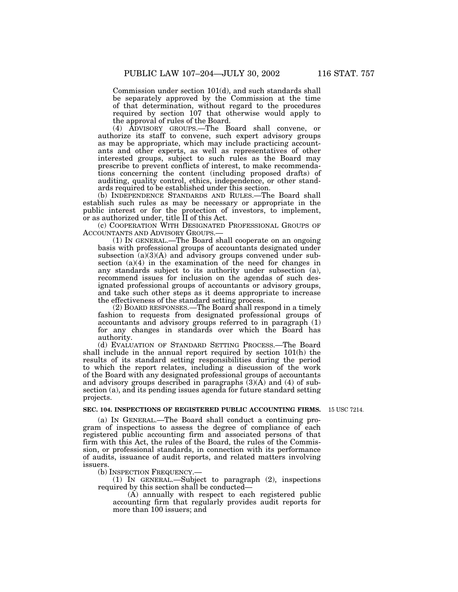Commission under section 101(d), and such standards shall be separately approved by the Commission at the time of that determination, without regard to the procedures required by section 107 that otherwise would apply to the approval of rules of the Board.

(4) ADVISORY GROUPS.—The Board shall convene, or authorize its staff to convene, such expert advisory groups as may be appropriate, which may include practicing accountants and other experts, as well as representatives of other interested groups, subject to such rules as the Board may prescribe to prevent conflicts of interest, to make recommendations concerning the content (including proposed drafts) of auditing, quality control, ethics, independence, or other standards required to be established under this section.

(b) INDEPENDENCE STANDARDS AND RULES.—The Board shall establish such rules as may be necessary or appropriate in the public interest or for the protection of investors, to implement, or as authorized under, title II of this Act.

(c) COOPERATION WITH DESIGNATED PROFESSIONAL GROUPS OF ACCOUNTANTS AND ADVISORY GROUPS.—

(1) IN GENERAL.—The Board shall cooperate on an ongoing basis with professional groups of accountants designated under subsection  $(a)(3)(A)$  and advisory groups convened under subsection  $(a)(4)$  in the examination of the need for changes in any standards subject to its authority under subsection (a), recommend issues for inclusion on the agendas of such designated professional groups of accountants or advisory groups, and take such other steps as it deems appropriate to increase the effectiveness of the standard setting process.

(2) BOARD RESPONSES.—The Board shall respond in a timely fashion to requests from designated professional groups of accountants and advisory groups referred to in paragraph (1) for any changes in standards over which the Board has authority.

(d) EVALUATION OF STANDARD SETTING PROCESS.—The Board shall include in the annual report required by section 101(h) the results of its standard setting responsibilities during the period to which the report relates, including a discussion of the work of the Board with any designated professional groups of accountants and advisory groups described in paragraphs  $(3)(\overline{A})$  and  $(4)$  of subsection (a), and its pending issues agenda for future standard setting projects.

#### **SEC. 104. INSPECTIONS OF REGISTERED PUBLIC ACCOUNTING FIRMS.** 15 USC 7214.

(a) IN GENERAL.—The Board shall conduct a continuing program of inspections to assess the degree of compliance of each registered public accounting firm and associated persons of that firm with this Act, the rules of the Board, the rules of the Commission, or professional standards, in connection with its performance of audits, issuance of audit reports, and related matters involving issuers.

(b) INSPECTION FREQUENCY.—

(1) IN GENERAL.—Subject to paragraph (2), inspections required by this section shall be conducted—

(A) annually with respect to each registered public accounting firm that regularly provides audit reports for more than 100 issuers; and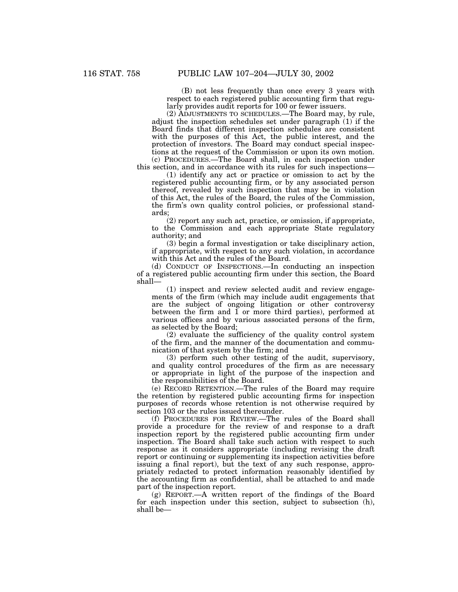(B) not less frequently than once every 3 years with respect to each registered public accounting firm that regularly provides audit reports for 100 or fewer issuers.

(2) ADJUSTMENTS TO SCHEDULES.—The Board may, by rule, adjust the inspection schedules set under paragraph (1) if the Board finds that different inspection schedules are consistent with the purposes of this Act, the public interest, and the protection of investors. The Board may conduct special inspections at the request of the Commission or upon its own motion. (c) PROCEDURES.—The Board shall, in each inspection under

this section, and in accordance with its rules for such inspections—

(1) identify any act or practice or omission to act by the registered public accounting firm, or by any associated person thereof, revealed by such inspection that may be in violation of this Act, the rules of the Board, the rules of the Commission, the firm's own quality control policies, or professional standards;

(2) report any such act, practice, or omission, if appropriate, to the Commission and each appropriate State regulatory authority; and

(3) begin a formal investigation or take disciplinary action, if appropriate, with respect to any such violation, in accordance with this Act and the rules of the Board.

(d) CONDUCT OF INSPECTIONS.—In conducting an inspection of a registered public accounting firm under this section, the Board shall—

(1) inspect and review selected audit and review engagements of the firm (which may include audit engagements that are the subject of ongoing litigation or other controversy between the firm and  $\check{1}$  or more third parties), performed at various offices and by various associated persons of the firm, as selected by the Board;

(2) evaluate the sufficiency of the quality control system of the firm, and the manner of the documentation and communication of that system by the firm; and

(3) perform such other testing of the audit, supervisory, and quality control procedures of the firm as are necessary or appropriate in light of the purpose of the inspection and the responsibilities of the Board.

(e) RECORD RETENTION.—The rules of the Board may require the retention by registered public accounting firms for inspection purposes of records whose retention is not otherwise required by section 103 or the rules issued thereunder.

(f) PROCEDURES FOR REVIEW.—The rules of the Board shall provide a procedure for the review of and response to a draft inspection report by the registered public accounting firm under inspection. The Board shall take such action with respect to such response as it considers appropriate (including revising the draft report or continuing or supplementing its inspection activities before issuing a final report), but the text of any such response, appropriately redacted to protect information reasonably identified by the accounting firm as confidential, shall be attached to and made part of the inspection report.

(g) REPORT.—A written report of the findings of the Board for each inspection under this section, subject to subsection (h), shall be—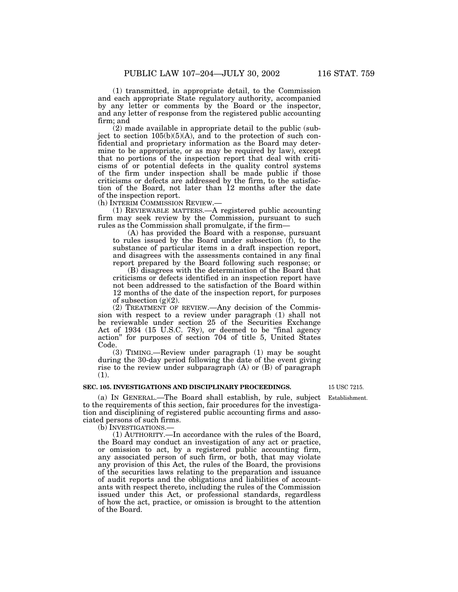(1) transmitted, in appropriate detail, to the Commission and each appropriate State regulatory authority, accompanied by any letter or comments by the Board or the inspector, and any letter of response from the registered public accounting firm; and

(2) made available in appropriate detail to the public (subject to section  $105(b)(5)(A)$ , and to the protection of such confidential and proprietary information as the Board may determine to be appropriate, or as may be required by law), except that no portions of the inspection report that deal with criticisms of or potential defects in the quality control systems of the firm under inspection shall be made public if those criticisms or defects are addressed by the firm, to the satisfaction of the Board, not later than 12 months after the date of the inspection report.<br>(h) INTERIM COMMISSION REVIEW.—

 $(1)$  REVIEWABLE MATTERS.—A registered public accounting firm may seek review by the Commission, pursuant to such rules as the Commission shall promulgate, if the firm—

(A) has provided the Board with a response, pursuant to rules issued by the Board under subsection (f), to the substance of particular items in a draft inspection report, and disagrees with the assessments contained in any final report prepared by the Board following such response; or

(B) disagrees with the determination of the Board that criticisms or defects identified in an inspection report have not been addressed to the satisfaction of the Board within 12 months of the date of the inspection report, for purposes of subsection  $(g)(2)$ .

(2) TREATMENT OF REVIEW.—Any decision of the Commission with respect to a review under paragraph (1) shall not be reviewable under section 25 of the Securities Exchange Act of 1934 (15 U.S.C. 78y), or deemed to be "final agency action'' for purposes of section 704 of title 5, United States Code.

(3) TIMING.—Review under paragraph (1) may be sought during the 30-day period following the date of the event giving rise to the review under subparagraph (A) or (B) of paragraph (1).

## **SEC. 105. INVESTIGATIONS AND DISCIPLINARY PROCEEDINGS.**

(a) IN GENERAL.—The Board shall establish, by rule, subject to the requirements of this section, fair procedures for the investigation and disciplining of registered public accounting firms and associated persons of such firms.

(b) INVESTIGATIONS.—

(1) AUTHORITY.—In accordance with the rules of the Board, the Board may conduct an investigation of any act or practice, or omission to act, by a registered public accounting firm, any associated person of such firm, or both, that may violate any provision of this Act, the rules of the Board, the provisions of the securities laws relating to the preparation and issuance of audit reports and the obligations and liabilities of accountants with respect thereto, including the rules of the Commission issued under this Act, or professional standards, regardless of how the act, practice, or omission is brought to the attention of the Board.

15 USC 7215.

Establishment.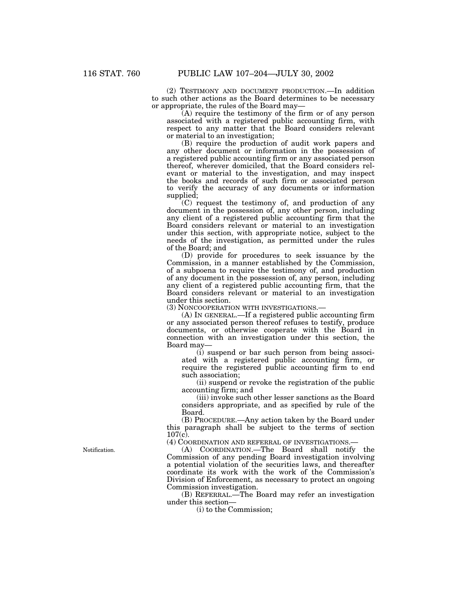(2) TESTIMONY AND DOCUMENT PRODUCTION.—In addition to such other actions as the Board determines to be necessary or appropriate, the rules of the Board may—

 $\overline{A}$  require the testimony of the firm or of any person associated with a registered public accounting firm, with respect to any matter that the Board considers relevant or material to an investigation;

(B) require the production of audit work papers and any other document or information in the possession of a registered public accounting firm or any associated person thereof, wherever domiciled, that the Board considers relevant or material to the investigation, and may inspect the books and records of such firm or associated person to verify the accuracy of any documents or information supplied;

(C) request the testimony of, and production of any document in the possession of, any other person, including any client of a registered public accounting firm that the Board considers relevant or material to an investigation under this section, with appropriate notice, subject to the needs of the investigation, as permitted under the rules of the Board; and

(D) provide for procedures to seek issuance by the Commission, in a manner established by the Commission, of a subpoena to require the testimony of, and production of any document in the possession of, any person, including any client of a registered public accounting firm, that the Board considers relevant or material to an investigation under this section.

(3) NONCOOPERATION WITH INVESTIGATIONS.—

(A) IN GENERAL.—If a registered public accounting firm or any associated person thereof refuses to testify, produce documents, or otherwise cooperate with the Board in connection with an investigation under this section, the

 $(i)$  suspend or bar such person from being associated with a registered public accounting firm, or require the registered public accounting firm to end such association;

(ii) suspend or revoke the registration of the public accounting firm; and

(iii) invoke such other lesser sanctions as the Board considers appropriate, and as specified by rule of the Board.

(B) PROCEDURE.—Any action taken by the Board under this paragraph shall be subject to the terms of section  $107(c)$ .

(4) COORDINATION AND REFERRAL OF INVESTIGATIONS.—

(A) COORDINATION.—The Board shall notify the Commission of any pending Board investigation involving a potential violation of the securities laws, and thereafter coordinate its work with the work of the Commission's Division of Enforcement, as necessary to protect an ongoing Commission investigation.

(B) REFERRAL.—The Board may refer an investigation

(i) to the Commission;

Notification.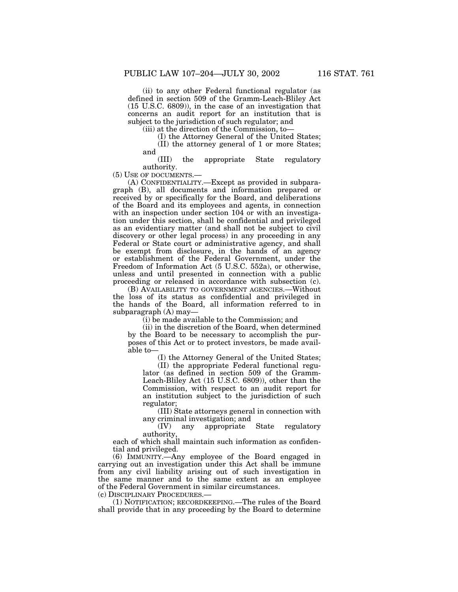(ii) to any other Federal functional regulator (as defined in section 509 of the Gramm-Leach-Bliley Act (15 U.S.C. 6809)), in the case of an investigation that concerns an audit report for an institution that is subject to the jurisdiction of such regulator; and

(iii) at the direction of the Commission, to—

(I) the Attorney General of the United States; (II) the attorney general of 1 or more States; and

(III) the appropriate State regulatory authority.

(5) USE OF DOCUMENTS.—

(A) CONFIDENTIALITY.—Except as provided in subparagraph (B), all documents and information prepared or received by or specifically for the Board, and deliberations of the Board and its employees and agents, in connection with an inspection under section 104 or with an investigation under this section, shall be confidential and privileged as an evidentiary matter (and shall not be subject to civil discovery or other legal process) in any proceeding in any Federal or State court or administrative agency, and shall be exempt from disclosure, in the hands of an agency or establishment of the Federal Government, under the Freedom of Information Act (5 U.S.C. 552a), or otherwise, unless and until presented in connection with a public proceeding or released in accordance with subsection (c).

(B) AVAILABILITY TO GOVERNMENT AGENCIES.—Without the loss of its status as confidential and privileged in the hands of the Board, all information referred to in subparagraph (A) may—

(i) be made available to the Commission; and

(ii) in the discretion of the Board, when determined by the Board to be necessary to accomplish the purposes of this Act or to protect investors, be made available to—

(I) the Attorney General of the United States;

(II) the appropriate Federal functional regulator (as defined in section 509 of the Gramm-Leach-Bliley Act (15 U.S.C. 6809)), other than the Commission, with respect to an audit report for an institution subject to the jurisdiction of such regulator;

(III) State attorneys general in connection with

any criminal investigation; and  $(IV)$  any appropriate appropriate State regulatory authority,

each of which shall maintain such information as confidential and privileged.

(6) IMMUNITY.—Any employee of the Board engaged in carrying out an investigation under this Act shall be immune from any civil liability arising out of such investigation in the same manner and to the same extent as an employee of the Federal Government in similar circumstances.

(c) DISCIPLINARY PROCEDURES.—

(1) NOTIFICATION; RECORDKEEPING.—The rules of the Board shall provide that in any proceeding by the Board to determine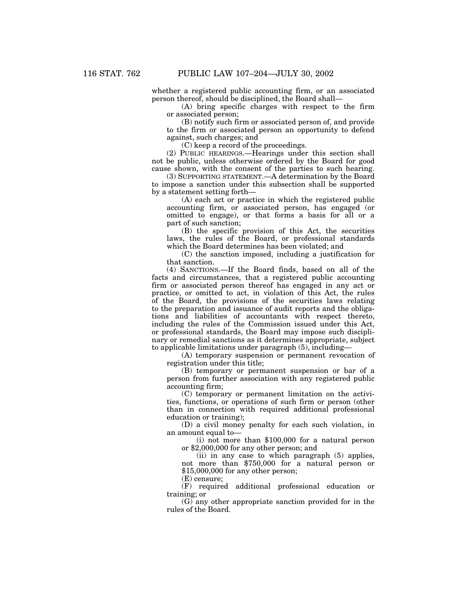whether a registered public accounting firm, or an associated person thereof, should be disciplined, the Board shall—

(A) bring specific charges with respect to the firm or associated person;

(B) notify such firm or associated person of, and provide to the firm or associated person an opportunity to defend against, such charges; and

(C) keep a record of the proceedings.

(2) PUBLIC HEARINGS.—Hearings under this section shall not be public, unless otherwise ordered by the Board for good cause shown, with the consent of the parties to such hearing.

(3) SUPPORTING STATEMENT.—A determination by the Board to impose a sanction under this subsection shall be supported by a statement setting forth—

(A) each act or practice in which the registered public accounting firm, or associated person, has engaged (or omitted to engage), or that forms a basis for all or a part of such sanction;

(B) the specific provision of this Act, the securities laws, the rules of the Board, or professional standards which the Board determines has been violated; and

(C) the sanction imposed, including a justification for that sanction.

(4) SANCTIONS.—If the Board finds, based on all of the facts and circumstances, that a registered public accounting firm or associated person thereof has engaged in any act or practice, or omitted to act, in violation of this Act, the rules of the Board, the provisions of the securities laws relating to the preparation and issuance of audit reports and the obligations and liabilities of accountants with respect thereto, including the rules of the Commission issued under this Act, or professional standards, the Board may impose such disciplinary or remedial sanctions as it determines appropriate, subject to applicable limitations under paragraph (5), including—

(A) temporary suspension or permanent revocation of registration under this title;

(B) temporary or permanent suspension or bar of a person from further association with any registered public accounting firm;

(C) temporary or permanent limitation on the activities, functions, or operations of such firm or person (other than in connection with required additional professional education or training);

(D) a civil money penalty for each such violation, in an amount equal to—

(i) not more than \$100,000 for a natural person or \$2,000,000 for any other person; and

(ii) in any case to which paragraph (5) applies, not more than \$750,000 for a natural person or \$15,000,000 for any other person;

(E) censure;

(F) required additional professional education or training; or

(G) any other appropriate sanction provided for in the rules of the Board.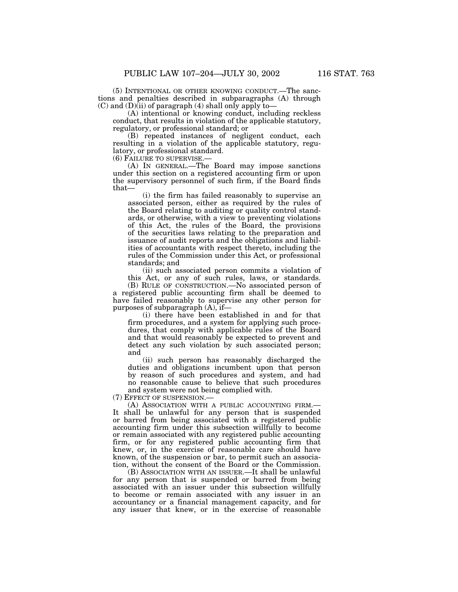(5) INTENTIONAL OR OTHER KNOWING CONDUCT.—The sanctions and penalties described in subparagraphs  $(A)$  through  $(C)$  and  $(D)(ii)$  of paragraph  $(4)$  shall only apply to—

(A) intentional or knowing conduct, including reckless conduct, that results in violation of the applicable statutory, regulatory, or professional standard; or

(B) repeated instances of negligent conduct, each resulting in a violation of the applicable statutory, regulatory, or professional standard.<br>(6) FAILURE TO SUPERVISE.—

(A) IN GENERAL.—The Board may impose sanctions under this section on a registered accounting firm or upon the supervisory personnel of such firm, if the Board finds

 $(i)$  the firm has failed reasonably to supervise an associated person, either as required by the rules of the Board relating to auditing or quality control standards, or otherwise, with a view to preventing violations of this Act, the rules of the Board, the provisions of the securities laws relating to the preparation and issuance of audit reports and the obligations and liabilities of accountants with respect thereto, including the rules of the Commission under this Act, or professional standards; and

(ii) such associated person commits a violation of this Act, or any of such rules, laws, or standards.

(B) RULE OF CONSTRUCTION.—No associated person of a registered public accounting firm shall be deemed to have failed reasonably to supervise any other person for purposes of subparagraph (A), if—

(i) there have been established in and for that firm procedures, and a system for applying such procedures, that comply with applicable rules of the Board and that would reasonably be expected to prevent and detect any such violation by such associated person; and

(ii) such person has reasonably discharged the duties and obligations incumbent upon that person by reason of such procedures and system, and had no reasonable cause to believe that such procedures and system were not being complied with.

(7) EFFECT OF SUSPENSION.—

(A) ASSOCIATION WITH A PUBLIC ACCOUNTING FIRM.— It shall be unlawful for any person that is suspended or barred from being associated with a registered public accounting firm under this subsection willfully to become or remain associated with any registered public accounting firm, or for any registered public accounting firm that knew, or, in the exercise of reasonable care should have known, of the suspension or bar, to permit such an association, without the consent of the Board or the Commission.

(B) ASSOCIATION WITH AN ISSUER.—It shall be unlawful for any person that is suspended or barred from being associated with an issuer under this subsection willfully to become or remain associated with any issuer in an accountancy or a financial management capacity, and for any issuer that knew, or in the exercise of reasonable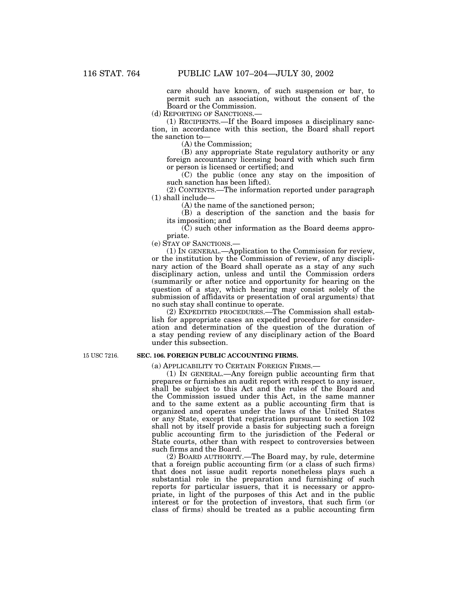care should have known, of such suspension or bar, to permit such an association, without the consent of the Board or the Commission.

(d) REPORTING OF SANCTIONS.—

(1) RECIPIENTS.—If the Board imposes a disciplinary sanction, in accordance with this section, the Board shall report the sanction to—

(A) the Commission;

(B) any appropriate State regulatory authority or any foreign accountancy licensing board with which such firm or person is licensed or certified; and

(C) the public (once any stay on the imposition of such sanction has been lifted).

(2) CONTENTS.—The information reported under paragraph (1) shall include—

(A) the name of the sanctioned person;

(B) a description of the sanction and the basis for its imposition; and

 $(\tilde{C})$  such other information as the Board deems appropriate.

(e) STAY OF SANCTIONS.—

(1) IN GENERAL.—Application to the Commission for review, or the institution by the Commission of review, of any disciplinary action of the Board shall operate as a stay of any such disciplinary action, unless and until the Commission orders (summarily or after notice and opportunity for hearing on the question of a stay, which hearing may consist solely of the submission of affidavits or presentation of oral arguments) that no such stay shall continue to operate.

(2) EXPEDITED PROCEDURES.—The Commission shall establish for appropriate cases an expedited procedure for consideration and determination of the question of the duration of a stay pending review of any disciplinary action of the Board under this subsection.

15 USC 7216.

#### **SEC. 106. FOREIGN PUBLIC ACCOUNTING FIRMS.**

(a) APPLICABILITY TO CERTAIN FOREIGN FIRMS.—

(1) IN GENERAL.—Any foreign public accounting firm that prepares or furnishes an audit report with respect to any issuer, shall be subject to this Act and the rules of the Board and the Commission issued under this Act, in the same manner and to the same extent as a public accounting firm that is organized and operates under the laws of the United States or any State, except that registration pursuant to section 102 shall not by itself provide a basis for subjecting such a foreign public accounting firm to the jurisdiction of the Federal or State courts, other than with respect to controversies between such firms and the Board.

(2) BOARD AUTHORITY.—The Board may, by rule, determine that a foreign public accounting firm (or a class of such firms) that does not issue audit reports nonetheless plays such a substantial role in the preparation and furnishing of such reports for particular issuers, that it is necessary or appropriate, in light of the purposes of this Act and in the public interest or for the protection of investors, that such firm (or class of firms) should be treated as a public accounting firm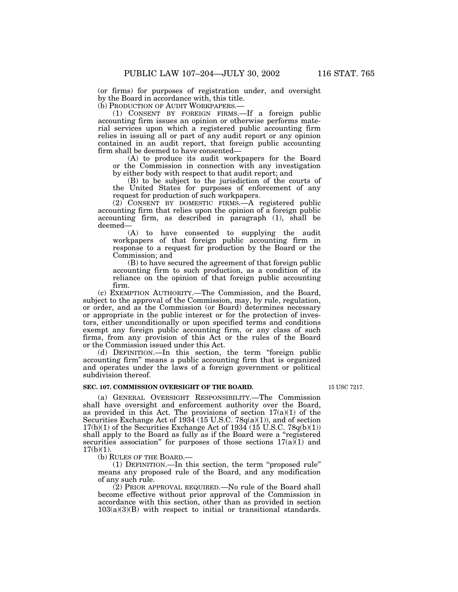(or firms) for purposes of registration under, and oversight by the Board in accordance with, this title. (b) PRODUCTION OF AUDIT WORKPAPERS.

(1) CONSENT BY FOREIGN FIRMS.—If a foreign public accounting firm issues an opinion or otherwise performs material services upon which a registered public accounting firm relies in issuing all or part of any audit report or any opinion contained in an audit report, that foreign public accounting

 $f(A)$  to produce its audit workpapers for the Board or the Commission in connection with any investigation by either body with respect to that audit report; and

(B) to be subject to the jurisdiction of the courts of the United States for purposes of enforcement of any request for production of such workpapers.

(2) CONSENT BY DOMESTIC FIRMS.—A registered public accounting firm that relies upon the opinion of a foreign public accounting firm, as described in paragraph (1), shall be deemed—

(A) to have consented to supplying the audit workpapers of that foreign public accounting firm in response to a request for production by the Board or the Commission; and

(B) to have secured the agreement of that foreign public accounting firm to such production, as a condition of its reliance on the opinion of that foreign public accounting firm.

(c) EXEMPTION AUTHORITY.—The Commission, and the Board, subject to the approval of the Commission, may, by rule, regulation, or order, and as the Commission (or Board) determines necessary or appropriate in the public interest or for the protection of investors, either unconditionally or upon specified terms and conditions exempt any foreign public accounting firm, or any class of such firms, from any provision of this Act or the rules of the Board or the Commission issued under this Act.

(d) DEFINITION.—In this section, the term ''foreign public accounting firm'' means a public accounting firm that is organized and operates under the laws of a foreign government or political subdivision thereof.

## **SEC. 107. COMMISSION OVERSIGHT OF THE BOARD.**

15 USC 7217.

(a) GENERAL OVERSIGHT RESPONSIBILITY.—The Commission shall have oversight and enforcement authority over the Board, as provided in this Act. The provisions of section  $17(a)(1)$  of the Securities Exchange Act of 1934 (15 U.S.C. 78 $q(a)(1)$ ), and of section  $17(b)(1)$  of the Securities Exchange Act of  $1934 (15 \text{ U.S.C. } 78q(b)(1))$ shall apply to the Board as fully as if the Board were a "registered" securities association" for purposes of those sections  $17(a)(1)$  and  $17(b)(1)$ .

(b) RULES OF THE BOARD.—<br>(1) DEFINITION.—In this section, the term "proposed rule" means any proposed rule of the Board, and any modification of any such rule.

(2) PRIOR APPROVAL REQUIRED.—No rule of the Board shall become effective without prior approval of the Commission in accordance with this section, other than as provided in section  $103(a)(3)(B)$  with respect to initial or transitional standards.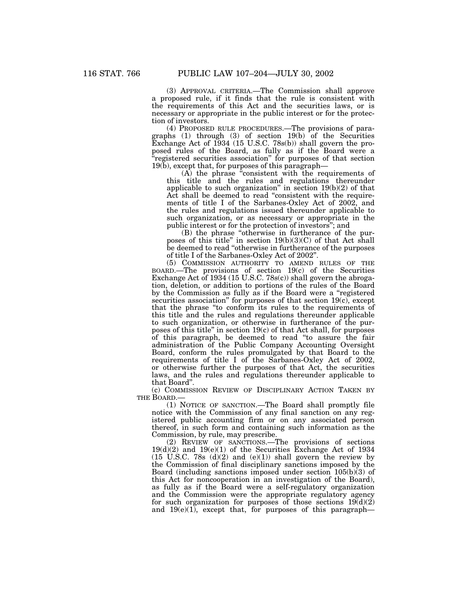(3) APPROVAL CRITERIA.—The Commission shall approve a proposed rule, if it finds that the rule is consistent with the requirements of this Act and the securities laws, or is necessary or appropriate in the public interest or for the protection of investors.

(4) PROPOSED RULE PROCEDURES.—The provisions of paragraphs (1) through (3) of section 19(b) of the Securities Exchange Act of 1934 (15 U.S.C. 78s(b)) shall govern the proposed rules of the Board, as fully as if the Board were a ''registered securities association'' for purposes of that section 19(b), except that, for purposes of this paragraph— (A) the phrase ''consistent with the requirements of

this title and the rules and regulations thereunder applicable to such organization" in section  $19(b)(2)$  of that Act shall be deemed to read ''consistent with the requirements of title I of the Sarbanes-Oxley Act of 2002, and the rules and regulations issued thereunder applicable to such organization, or as necessary or appropriate in the public interest or for the protection of investors''; and

(B) the phrase ''otherwise in furtherance of the purposes of this title'' in section 19(b)(3)(C) of that Act shall be deemed to read "otherwise in furtherance of the purposes<br>of title I of the Sarbanes-Oxley Act of 2002".

(5) COMMISSION AUTHORITY TO AMEND RULES OF THE BOARD.—The provisions of section 19(c) of the Securities Exchange Act of 1934 (15 U.S.C. 78s(c)) shall govern the abrogation, deletion, or addition to portions of the rules of the Board by the Commission as fully as if the Board were a "registered securities association" for purposes of that section 19(c), except that the phrase ''to conform its rules to the requirements of this title and the rules and regulations thereunder applicable to such organization, or otherwise in furtherance of the purposes of this title'' in section 19(c) of that Act shall, for purposes of this paragraph, be deemed to read ''to assure the fair administration of the Public Company Accounting Oversight Board, conform the rules promulgated by that Board to the requirements of title I of the Sarbanes-Oxley Act of 2002, or otherwise further the purposes of that Act, the securities laws, and the rules and regulations thereunder applicable to that Board''.

(c) COMMISSION REVIEW OF DISCIPLINARY ACTION TAKEN BY THE BOARD.

(1) NOTICE OF SANCTION.—The Board shall promptly file notice with the Commission of any final sanction on any registered public accounting firm or on any associated person thereof, in such form and containing such information as the Commission, by rule, may prescribe.

(2) REVIEW OF SANCTIONS.—The provisions of sections  $19(d)(2)$  and  $19(e)(1)$  of the Securities Exchange Act of 1934 (15 U.S.C. 78s  $(d)(2)$  and  $(e)(1)$ ) shall govern the review by the Commission of final disciplinary sanctions imposed by the Board (including sanctions imposed under section 105(b)(3) of this Act for noncooperation in an investigation of the Board), as fully as if the Board were a self-regulatory organization and the Commission were the appropriate regulatory agency for such organization for purposes of those sections  $19(d)(2)$ and  $19(e)(1)$ , except that, for purposes of this paragraph—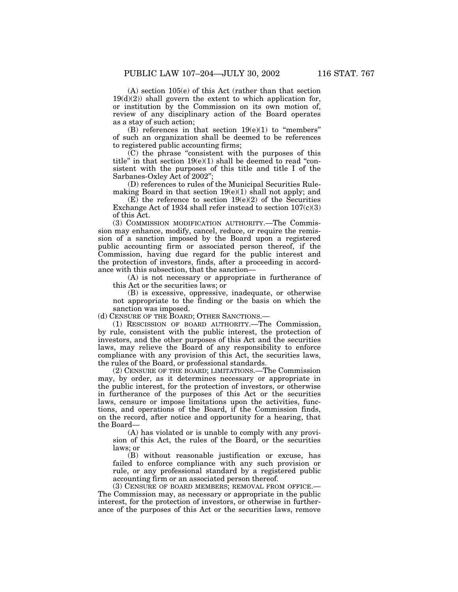(A) section 105(e) of this Act (rather than that section  $19(d)(2)$ ) shall govern the extent to which application for, or institution by the Commission on its own motion of, review of any disciplinary action of the Board operates as a stay of such action;

(B) references in that section  $19(e)(1)$  to "members" of such an organization shall be deemed to be references to registered public accounting firms;

(C) the phrase ''consistent with the purposes of this title'' in that section 19(e)(1) shall be deemed to read ''consistent with the purposes of this title and title I of the Sarbanes-Oxley Act of 2002'';

(D) references to rules of the Municipal Securities Rulemaking Board in that section  $19(e)(1)$  shall not apply; and

 $(E)$  the reference to section  $19(e)(2)$  of the Securities Exchange Act of 1934 shall refer instead to section  $107(c)(3)$ of this Act.

(3) COMMISSION MODIFICATION AUTHORITY.—The Commission may enhance, modify, cancel, reduce, or require the remission of a sanction imposed by the Board upon a registered public accounting firm or associated person thereof, if the Commission, having due regard for the public interest and the protection of investors, finds, after a proceeding in accordance with this subsection, that the sanction—

(A) is not necessary or appropriate in furtherance of this Act or the securities laws; or

(B) is excessive, oppressive, inadequate, or otherwise not appropriate to the finding or the basis on which the sanction was imposed.

(d) CENSURE OF THE BOARD; OTHER SANCTIONS.—

(1) RESCISSION OF BOARD AUTHORITY.—The Commission, by rule, consistent with the public interest, the protection of investors, and the other purposes of this Act and the securities laws, may relieve the Board of any responsibility to enforce compliance with any provision of this Act, the securities laws, the rules of the Board, or professional standards.

(2) CENSURE OF THE BOARD; LIMITATIONS.—The Commission may, by order, as it determines necessary or appropriate in the public interest, for the protection of investors, or otherwise in furtherance of the purposes of this Act or the securities laws, censure or impose limitations upon the activities, functions, and operations of the Board, if the Commission finds, on the record, after notice and opportunity for a hearing, that the Board—

(A) has violated or is unable to comply with any provision of this Act, the rules of the Board, or the securities laws; or

(B) without reasonable justification or excuse, has failed to enforce compliance with any such provision or rule, or any professional standard by a registered public accounting firm or an associated person thereof.

(3) CENSURE OF BOARD MEMBERS; REMOVAL FROM OFFICE.— The Commission may, as necessary or appropriate in the public interest, for the protection of investors, or otherwise in furtherance of the purposes of this Act or the securities laws, remove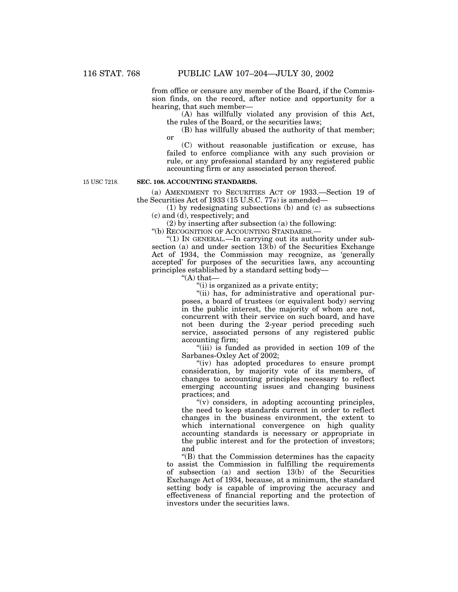from office or censure any member of the Board, if the Commission finds, on the record, after notice and opportunity for a hearing, that such member—

(A) has willfully violated any provision of this Act, the rules of the Board, or the securities laws;

(B) has willfully abused the authority of that member; or

(C) without reasonable justification or excuse, has failed to enforce compliance with any such provision or rule, or any professional standard by any registered public accounting firm or any associated person thereof.

15 USC 7218.

## **SEC. 108. ACCOUNTING STANDARDS.**

(a) AMENDMENT TO SECURITIES ACT OF 1933.—Section 19 of the Securities Act of 1933 (15 U.S.C. 77s) is amended—

(1) by redesignating subsections (b) and (c) as subsections (c) and (d), respectively; and

(2) by inserting after subsection (a) the following:

''(b) RECOGNITION OF ACCOUNTING STANDARDS.—

''(1) IN GENERAL.—In carrying out its authority under subsection (a) and under section 13(b) of the Securities Exchange Act of 1934, the Commission may recognize, as 'generally accepted' for purposes of the securities laws, any accounting principles established by a standard setting body—

"(A) that—

''(i) is organized as a private entity;

"(ii) has, for administrative and operational purposes, a board of trustees (or equivalent body) serving in the public interest, the majority of whom are not, concurrent with their service on such board, and have not been during the 2-year period preceding such service, associated persons of any registered public accounting firm;

"(iii) is funded as provided in section 109 of the Sarbanes-Oxley Act of 2002;

''(iv) has adopted procedures to ensure prompt consideration, by majority vote of its members, of changes to accounting principles necessary to reflect emerging accounting issues and changing business practices; and

 $''(v)$  considers, in adopting accounting principles, the need to keep standards current in order to reflect changes in the business environment, the extent to which international convergence on high quality accounting standards is necessary or appropriate in the public interest and for the protection of investors; and

''(B) that the Commission determines has the capacity to assist the Commission in fulfilling the requirements of subsection (a) and section 13(b) of the Securities Exchange Act of 1934, because, at a minimum, the standard setting body is capable of improving the accuracy and effectiveness of financial reporting and the protection of investors under the securities laws.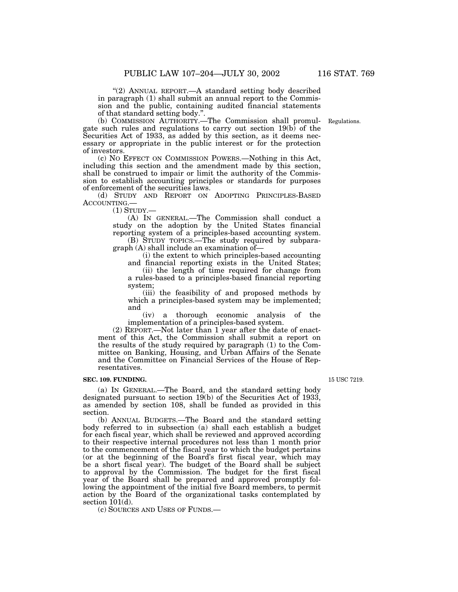''(2) ANNUAL REPORT.—A standard setting body described in paragraph (1) shall submit an annual report to the Commission and the public, containing audited financial statements of that standard setting body."

Regulations.

(b) COMMISSION AUTHORITY.—The Commission shall promulgate such rules and regulations to carry out section  $19(b)$  of the Securities Act of 1933, as added by this section, as it deems necessary or appropriate in the public interest or for the protection of investors.

(c) NO EFFECT ON COMMISSION POWERS.—Nothing in this Act, including this section and the amendment made by this section, shall be construed to impair or limit the authority of the Commission to establish accounting principles or standards for purposes of enforcement of the securities laws.

(d) STUDY AND REPORT ON ADOPTING PRINCIPLES-BASED ACCOUNTING.— (1) STUDY.—

(A) IN GENERAL.—The Commission shall conduct a study on the adoption by the United States financial reporting system of a principles-based accounting system.

(B) STUDY TOPICS.—The study required by subparagraph (A) shall include an examination of—

(i) the extent to which principles-based accounting and financial reporting exists in the United States;

(ii) the length of time required for change from a rules-based to a principles-based financial reporting system;

(iii) the feasibility of and proposed methods by which a principles-based system may be implemented; and

(iv) a thorough economic analysis of the implementation of a principles-based system.

(2) REPORT.—Not later than 1 year after the date of enactment of this Act, the Commission shall submit a report on the results of the study required by paragraph (1) to the Committee on Banking, Housing, and Urban Affairs of the Senate and the Committee on Financial Services of the House of Representatives.

#### **SEC. 109. FUNDING.**

(a) IN GENERAL.—The Board, and the standard setting body designated pursuant to section 19(b) of the Securities Act of 1933, as amended by section 108, shall be funded as provided in this section.

(b) ANNUAL BUDGETS.—The Board and the standard setting body referred to in subsection (a) shall each establish a budget for each fiscal year, which shall be reviewed and approved according to their respective internal procedures not less than 1 month prior to the commencement of the fiscal year to which the budget pertains (or at the beginning of the Board's first fiscal year, which may be a short fiscal year). The budget of the Board shall be subject to approval by the Commission. The budget for the first fiscal year of the Board shall be prepared and approved promptly following the appointment of the initial five Board members, to permit action by the Board of the organizational tasks contemplated by section  $101(d)$ .

(c) SOURCES AND USES OF FUNDS.—

15 USC 7219.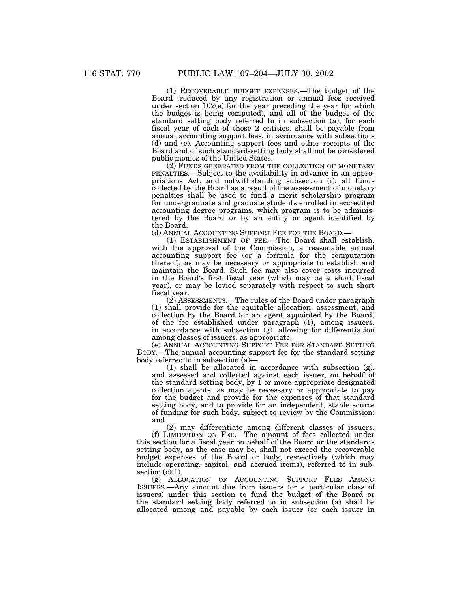(1) RECOVERABLE BUDGET EXPENSES.—The budget of the Board (reduced by any registration or annual fees received under section 102(e) for the year preceding the year for which the budget is being computed), and all of the budget of the standard setting body referred to in subsection (a), for each fiscal year of each of those 2 entities, shall be payable from annual accounting support fees, in accordance with subsections (d) and (e). Accounting support fees and other receipts of the Board and of such standard-setting body shall not be considered public monies of the United States.

(2) FUNDS GENERATED FROM THE COLLECTION OF MONETARY PENALTIES.—Subject to the availability in advance in an appropriations Act, and notwithstanding subsection (i), all funds collected by the Board as a result of the assessment of monetary penalties shall be used to fund a merit scholarship program for undergraduate and graduate students enrolled in accredited accounting degree programs, which program is to be administered by the Board or by an entity or agent identified by the Board.

(d) ANNUAL ACCOUNTING SUPPORT FEE FOR THE BOARD.—

(1) ESTABLISHMENT OF FEE.—The Board shall establish, with the approval of the Commission, a reasonable annual accounting support fee (or a formula for the computation thereof), as may be necessary or appropriate to establish and maintain the Board. Such fee may also cover costs incurred in the Board's first fiscal year (which may be a short fiscal year), or may be levied separately with respect to such short fiscal year.

(2) ASSESSMENTS.—The rules of the Board under paragraph (1) shall provide for the equitable allocation, assessment, and collection by the Board (or an agent appointed by the Board) of the fee established under paragraph (1), among issuers, in accordance with subsection  $(g)$ , allowing for differentiation among classes of issuers, as appropriate.

(e) ANNUAL ACCOUNTING SUPPORT FEE FOR STANDARD SETTING BODY.—The annual accounting support fee for the standard setting body referred to in subsection (a)—

(1) shall be allocated in accordance with subsection (g), and assessed and collected against each issuer, on behalf of the standard setting body, by 1 or more appropriate designated collection agents, as may be necessary or appropriate to pay for the budget and provide for the expenses of that standard setting body, and to provide for an independent, stable source of funding for such body, subject to review by the Commission; and

(2) may differentiate among different classes of issuers. (f) LIMITATION ON FEE.—The amount of fees collected under this section for a fiscal year on behalf of the Board or the standards setting body, as the case may be, shall not exceed the recoverable budget expenses of the Board or body, respectively (which may include operating, capital, and accrued items), referred to in subsection  $(c)(1)$ .

(g) ALLOCATION OF ACCOUNTING SUPPORT FEES AMONG ISSUERS.—Any amount due from issuers (or a particular class of issuers) under this section to fund the budget of the Board or the standard setting body referred to in subsection (a) shall be allocated among and payable by each issuer (or each issuer in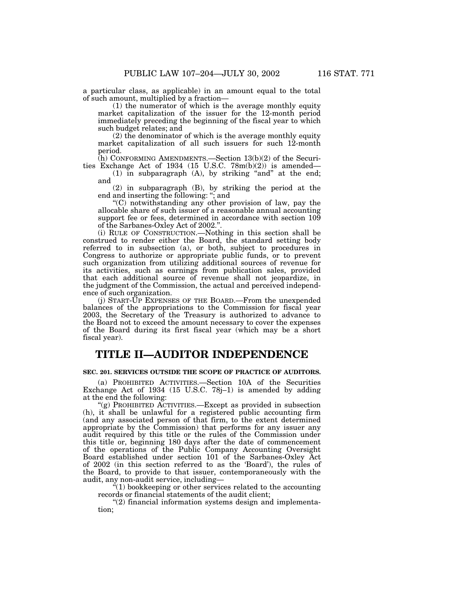a particular class, as applicable) in an amount equal to the total

 $(1)$  the numerator of which is the average monthly equity market capitalization of the issuer for the 12-month period immediately preceding the beginning of the fiscal year to which such budget relates; and

(2) the denominator of which is the average monthly equity market capitalization of all such issuers for such 12-month period.

(h) CONFORMING AMENDMENTS.—Section 13(b)(2) of the Securities Exchange Act of 1934 (15 U.S.C. 78m(b)(2)) is amended—<br>(1) in subparagraph (A), by striking "and" at the end;

and

(2) in subparagraph (B), by striking the period at the end and inserting the following: "; and

 $C<sup>o</sup>(C)$  notwithstanding any other provision of law, pay the allocable share of such issuer of a reasonable annual accounting support fee or fees, determined in accordance with section 109 of the Sarbanes-Oxley Act of 2002.".

(i) RULE OF CONSTRUCTION.—Nothing in this section shall be construed to render either the Board, the standard setting body referred to in subsection (a), or both, subject to procedures in Congress to authorize or appropriate public funds, or to prevent such organization from utilizing additional sources of revenue for its activities, such as earnings from publication sales, provided that each additional source of revenue shall not jeopardize, in the judgment of the Commission, the actual and perceived independence of such organization.

(j) START-UP EXPENSES OF THE BOARD.—From the unexpended balances of the appropriations to the Commission for fiscal year 2003, the Secretary of the Treasury is authorized to advance to the Board not to exceed the amount necessary to cover the expenses of the Board during its first fiscal year (which may be a short fiscal year).

# **TITLE II—AUDITOR INDEPENDENCE**

## **SEC. 201. SERVICES OUTSIDE THE SCOPE OF PRACTICE OF AUDITORS.**

(a) PROHIBITED ACTIVITIES.—Section 10A of the Securities Exchange Act of 1934 (15 U.S.C. 78j–1) is amended by adding at the end the following:

''(g) PROHIBITED ACTIVITIES.—Except as provided in subsection (h), it shall be unlawful for a registered public accounting firm (and any associated person of that firm, to the extent determined appropriate by the Commission) that performs for any issuer any audit required by this title or the rules of the Commission under this title or, beginning 180 days after the date of commencement of the operations of the Public Company Accounting Oversight Board established under section 101 of the Sarbanes-Oxley Act of 2002 (in this section referred to as the 'Board'), the rules of the Board, to provide to that issuer, contemporaneously with the audit, any non-audit service, including—

''(1) bookkeeping or other services related to the accounting records or financial statements of the audit client;

''(2) financial information systems design and implementation;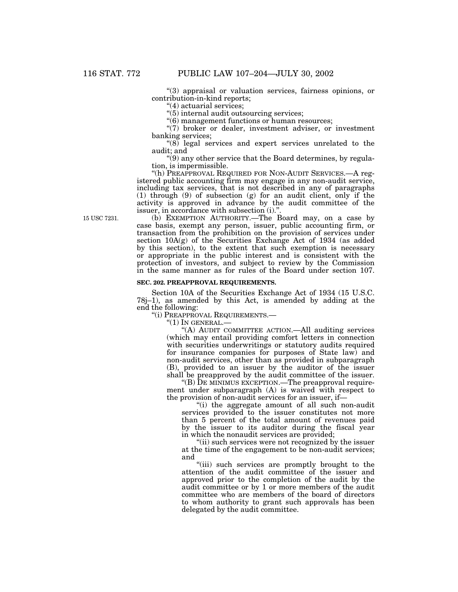''(3) appraisal or valuation services, fairness opinions, or contribution-in-kind reports;<br>"(4) actuarial services;

''(5) internal audit outsourcing services;

''(6) management functions or human resources;

"(7) broker or dealer, investment adviser, or investment banking services;

 $(8)$  legal services and expert services unrelated to the audit; and

''(9) any other service that the Board determines, by regulation, is impermissible.

''(h) PREAPPROVAL REQUIRED FOR NON-AUDIT SERVICES.—A registered public accounting firm may engage in any non-audit service, including tax services, that is not described in any of paragraphs (1) through (9) of subsection (g) for an audit client, only if the activity is approved in advance by the audit committee of the issuer, in accordance with subsection  $(i)$ ."

(b) EXEMPTION AUTHORITY. - The Board may, on a case by case basis, exempt any person, issuer, public accounting firm, or transaction from the prohibition on the provision of services under section 10A(g) of the Securities Exchange Act of 1934 (as added by this section), to the extent that such exemption is necessary or appropriate in the public interest and is consistent with the protection of investors, and subject to review by the Commission in the same manner as for rules of the Board under section 107.

#### **SEC. 202. PREAPPROVAL REQUIREMENTS.**

Section 10A of the Securities Exchange Act of 1934 (15 U.S.C. 78j–1), as amended by this Act, is amended by adding at the end the following:

''(i) PREAPPROVAL REQUIREMENTS.—

 $"(1)$  In GENERAL. $-$ 

''(A) AUDIT COMMITTEE ACTION.—All auditing services (which may entail providing comfort letters in connection with securities underwritings or statutory audits required for insurance companies for purposes of State law) and non-audit services, other than as provided in subparagraph (B), provided to an issuer by the auditor of the issuer shall be preapproved by the audit committee of the issuer.

''(B) DE MINIMUS EXCEPTION.—The preapproval requirement under subparagraph  $(A)$  is waived with respect to the provision of non-audit services for an issuer, if—

''(i) the aggregate amount of all such non-audit services provided to the issuer constitutes not more than 5 percent of the total amount of revenues paid by the issuer to its auditor during the fiscal year in which the nonaudit services are provided;

"(ii) such services were not recognized by the issuer at the time of the engagement to be non-audit services; and

"(iii) such services are promptly brought to the attention of the audit committee of the issuer and approved prior to the completion of the audit by the audit committee or by 1 or more members of the audit committee who are members of the board of directors to whom authority to grant such approvals has been delegated by the audit committee.

15 USC 7231.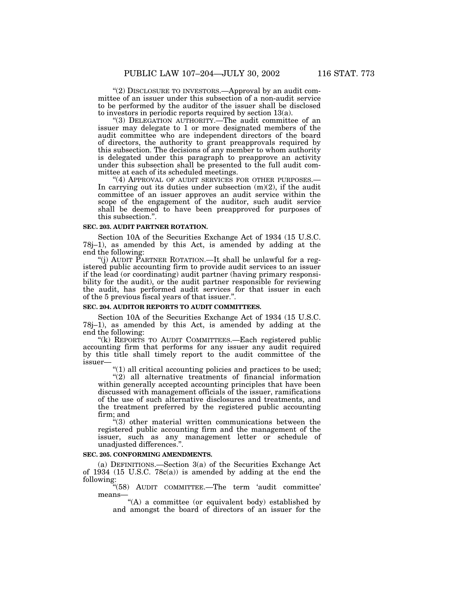"(2) DISCLOSURE TO INVESTORS.—Approval by an audit committee of an issuer under this subsection of a non-audit service to be performed by the auditor of the issuer shall be disclosed to investors in periodic reports required by section 13(a).

" $(3)$  DELEGATION AUTHORITY.—The audit committee of an issuer may delegate to 1 or more designated members of the audit committee who are independent directors of the board of directors, the authority to grant preapprovals required by this subsection. The decisions of any member to whom authority is delegated under this paragraph to preapprove an activity under this subsection shall be presented to the full audit com-<br>mittee at each of its scheduled meetings.

"(4) APPROVAL OF AUDIT SERVICES FOR OTHER PURPOSES.— In carrying out its duties under subsection  $(m)(2)$ , if the audit committee of an issuer approves an audit service within the scope of the engagement of the auditor, such audit service shall be deemed to have been preapproved for purposes of this subsection.''.

#### **SEC. 203. AUDIT PARTNER ROTATION.**

Section 10A of the Securities Exchange Act of 1934 (15 U.S.C. 78j–1), as amended by this Act, is amended by adding at the end the following:

''(j) AUDIT PARTNER ROTATION.—It shall be unlawful for a registered public accounting firm to provide audit services to an issuer if the lead (or coordinating) audit partner (having primary responsibility for the audit), or the audit partner responsible for reviewing the audit, has performed audit services for that issuer in each of the 5 previous fiscal years of that issuer.''.

#### **SEC. 204. AUDITOR REPORTS TO AUDIT COMMITTEES.**

Section 10A of the Securities Exchange Act of 1934 (15 U.S.C. 78j–1), as amended by this Act, is amended by adding at the end the following:

"(k) REPORTS TO AUDIT COMMITTEES.—Each registered public accounting firm that performs for any issuer any audit required by this title shall timely report to the audit committee of the issuer—<br>"(1) all critical accounting policies and practices to be used;

''(2) all alternative treatments of financial information within generally accepted accounting principles that have been discussed with management officials of the issuer, ramifications of the use of such alternative disclosures and treatments, and the treatment preferred by the registered public accounting firm; and  $(3)$  other material written communications between the

registered public accounting firm and the management of the issuer, such as any management letter or schedule of unadjusted differences.''.

## **SEC. 205. CONFORMING AMENDMENTS.**

(a) DEFINITIONS.—Section 3(a) of the Securities Exchange Act of 1934 (15 U.S.C. 78c(a)) is amended by adding at the end the following:

''(58) AUDIT COMMITTEE.—The term 'audit committee' means—

''(A) a committee (or equivalent body) established by and amongst the board of directors of an issuer for the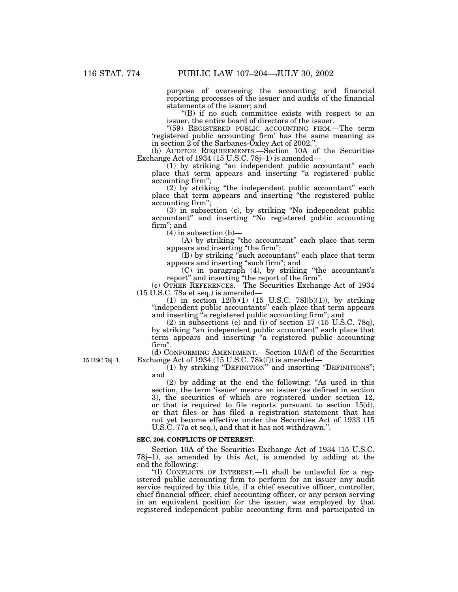purpose of overseeing the accounting and financial reporting processes of the issuer and audits of the financial statements of the issuer; and "(B) if no such committee exists with respect to an

issuer, the entire board of directors of the issuer.<br>"(59) REGISTERED PUBLIC ACCOUNTING FIRM.—The term

'registered public accounting firm' has the same meaning as in section 2 of the Sarbanes-Oxley Act of 2002.".

(b) AUDITOR REQUIREMENTS.—Section 10A of the Securities Exchange Act of 1934 (15 U.S.C. 78j-1) is amended— Exchange Act of 1934 (15 U.S.C. 78j–1) is amended— (1) by striking ''an independent public accountant'' each

place that term appears and inserting ''a registered public accounting firm'';

(2) by striking ''the independent public accountant'' each place that term appears and inserting ''the registered public accounting firm'';

(3) in subsection (c), by striking ''No independent public accountant'' and inserting ''No registered public accounting firm"; and<br> $(4)$  in subsection  $(b)$ —

 $(A)$  by striking "the accountant" each place that term appears and inserting "the firm";

(B) by striking "such accountant" each place that term appears and inserting "such firm"; and

(C) in paragraph (4), by striking ''the accountant's report'' and inserting ''the report of the firm''. (c) OTHER REFERENCES.—The Securities Exchange Act of 1934

(15 U.S.C. 78a et seq.) is amended—

(1) in section  $12(b)(1)$  (15 U.S.C. 78 $l(b)(1)$ ), by striking ''independent public accountants'' each place that term appears and inserting ''a registered public accounting firm''; and

 $(2)$  in subsections (e) and (i) of section 17 (15 U.S.C. 78q), by striking ''an independent public accountant'' each place that term appears and inserting ''a registered public accounting firm''. (d) CONFORMING AMENDMENT.—Section 10A(f) of the Securities

Exchange Act of 1934 (15 U.S.C. 78k(f)) is amended—

 $(1)$  by striking "DEFINITION" and inserting "DEFINITIONS"; and

(2) by adding at the end the following: ''As used in this section, the term 'issuer' means an issuer (as defined in section 3), the securities of which are registered under section 12, or that is required to file reports pursuant to section 15(d), or that files or has filed a registration statement that has not yet become effective under the Securities Act of 1933 (15 U.S.C. 77a et seq.), and that it has not withdrawn.''.

#### **SEC. 206. CONFLICTS OF INTEREST.**

Section 10A of the Securities Exchange Act of 1934 (15 U.S.C. 78j–1), as amended by this Act, is amended by adding at the end the following:<br>"(1) CONFLICTS OF INTEREST.—It shall be unlawful for a reg-

istered public accounting firm to perform for an issuer any audit service required by this title, if a chief executive officer, controller, chief financial officer, chief accounting officer, or any person serving in an equivalent position for the issuer, was employed by that registered independent public accounting firm and participated in

15 USC 78j–1.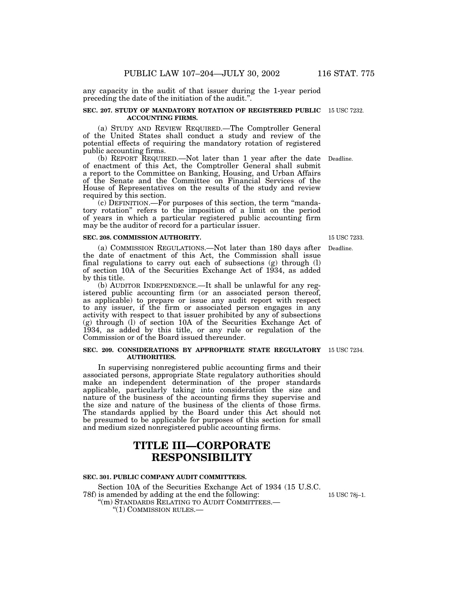any capacity in the audit of that issuer during the 1-year period preceding the date of the initiation of the audit.''.

#### **SEC. 207. STUDY OF MANDATORY ROTATION OF REGISTERED PUBLIC** 15 USC 7232. **ACCOUNTING FIRMS.**

(a) STUDY AND REVIEW REQUIRED.—The Comptroller General of the United States shall conduct a study and review of the potential effects of requiring the mandatory rotation of registered public accounting firms.

(b) REPORT REQUIRED.—Not later than 1 year after the date Deadline. of enactment of this Act, the Comptroller General shall submit a report to the Committee on Banking, Housing, and Urban Affairs of the Senate and the Committee on Financial Services of the House of Representatives on the results of the study and review required by this section.

(c) DEFINITION.—For purposes of this section, the term ''mandatory rotation'' refers to the imposition of a limit on the period of years in which a particular registered public accounting firm may be the auditor of record for a particular issuer.

#### **SEC. 208. COMMISSION AUTHORITY.**

(a) COMMISSION REGULATIONS.—Not later than 180 days after the date of enactment of this Act, the Commission shall issue final regulations to carry out each of subsections (g) through (l) of section 10A of the Securities Exchange Act of 1934, as added by this title.

(b) AUDITOR INDEPENDENCE.—It shall be unlawful for any registered public accounting firm (or an associated person thereof, as applicable) to prepare or issue any audit report with respect to any issuer, if the firm or associated person engages in any activity with respect to that issuer prohibited by any of subsections (g) through (l) of section 10A of the Securities Exchange Act of 1934, as added by this title, or any rule or regulation of the Commission or of the Board issued thereunder.

#### **SEC. 209. CONSIDERATIONS BY APPROPRIATE STATE REGULATORY** 15 USC 7234. **AUTHORITIES.**

In supervising nonregistered public accounting firms and their associated persons, appropriate State regulatory authorities should make an independent determination of the proper standards applicable, particularly taking into consideration the size and nature of the business of the accounting firms they supervise and the size and nature of the business of the clients of those firms. The standards applied by the Board under this Act should not be presumed to be applicable for purposes of this section for small and medium sized nonregistered public accounting firms.

# **TITLE III—CORPORATE RESPONSIBILITY**

## **SEC. 301. PUBLIC COMPANY AUDIT COMMITTEES.**

Section 10A of the Securities Exchange Act of 1934 (15 U.S.C. 78f) is amended by adding at the end the following: "(m) STANDARDS RELATING TO AUDIT COMMITTEES.-

''(1) COMMISSION RULES.—

15 USC 78j–1.

15 USC 7233.

Deadline.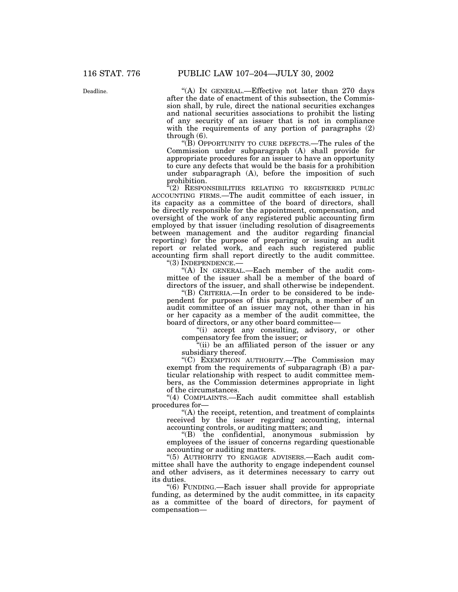Deadline.

"(A) IN GENERAL.—Effective not later than 270 days after the date of enactment of this subsection, the Commission shall, by rule, direct the national securities exchanges and national securities associations to prohibit the listing of any security of an issuer that is not in compliance with the requirements of any portion of paragraphs (2) through (6).

''(B) OPPORTUNITY TO CURE DEFECTS.—The rules of the Commission under subparagraph (A) shall provide for appropriate procedures for an issuer to have an opportunity to cure any defects that would be the basis for a prohibition under subparagraph (A), before the imposition of such prohibition.

''(2) RESPONSIBILITIES RELATING TO REGISTERED PUBLIC ACCOUNTING FIRMS.—The audit committee of each issuer, in its capacity as a committee of the board of directors, shall be directly responsible for the appointment, compensation, and oversight of the work of any registered public accounting firm employed by that issuer (including resolution of disagreements between management and the auditor regarding financial reporting) for the purpose of preparing or issuing an audit report or related work, and each such registered public accounting firm shall report directly to the audit committee. "(3) INDEPENDENCE.—

''(A) IN GENERAL.—Each member of the audit committee of the issuer shall be a member of the board of directors of the issuer, and shall otherwise be independent.

''(B) CRITERIA.—In order to be considered to be independent for purposes of this paragraph, a member of an audit committee of an issuer may not, other than in his or her capacity as a member of the audit committee, the board of directors, or any other board committee—

''(i) accept any consulting, advisory, or other compensatory fee from the issuer; or

''(ii) be an affiliated person of the issuer or any subsidiary thereof.

''(C) EXEMPTION AUTHORITY.—The Commission may exempt from the requirements of subparagraph (B) a particular relationship with respect to audit committee members, as the Commission determines appropriate in light of the circumstances.

''(4) COMPLAINTS.—Each audit committee shall establish procedures for—

''(A) the receipt, retention, and treatment of complaints received by the issuer regarding accounting, internal accounting controls, or auditing matters; and

''(B) the confidential, anonymous submission by employees of the issuer of concerns regarding questionable accounting or auditing matters.

''(5) AUTHORITY TO ENGAGE ADVISERS.—Each audit committee shall have the authority to engage independent counsel and other advisers, as it determines necessary to carry out its duties.

''(6) FUNDING.—Each issuer shall provide for appropriate funding, as determined by the audit committee, in its capacity as a committee of the board of directors, for payment of compensation—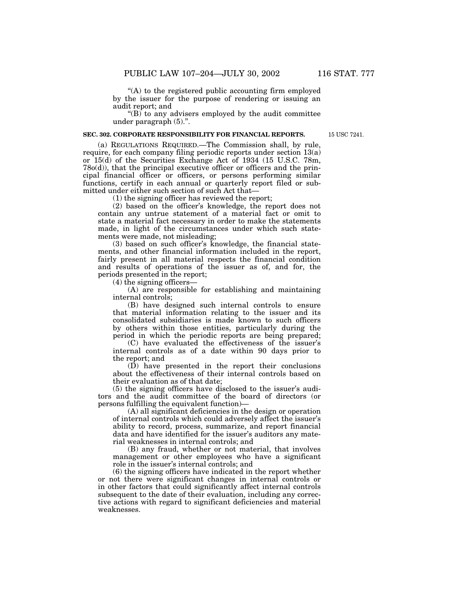''(A) to the registered public accounting firm employed by the issuer for the purpose of rendering or issuing an audit report; and

 $\mathrm{``(B)}$  to any advisers employed by the audit committee under paragraph (5).''.

#### **SEC. 302. CORPORATE RESPONSIBILITY FOR FINANCIAL REPORTS.**

15 USC 7241.

(a) REGULATIONS REQUIRED.—The Commission shall, by rule, require, for each company filing periodic reports under section 13(a) or 15(d) of the Securities Exchange Act of 1934 (15 U.S.C. 78m, 78o(d)), that the principal executive officer or officers and the principal financial officer or officers, or persons performing similar functions, certify in each annual or quarterly report filed or submitted under either such section of such Act that—

(1) the signing officer has reviewed the report;

(2) based on the officer's knowledge, the report does not contain any untrue statement of a material fact or omit to state a material fact necessary in order to make the statements made, in light of the circumstances under which such statements were made, not misleading;

(3) based on such officer's knowledge, the financial statements, and other financial information included in the report, fairly present in all material respects the financial condition and results of operations of the issuer as of, and for, the periods presented in the report;

(4) the signing officers—

(A) are responsible for establishing and maintaining internal controls;

(B) have designed such internal controls to ensure that material information relating to the issuer and its consolidated subsidiaries is made known to such officers by others within those entities, particularly during the period in which the periodic reports are being prepared;

(C) have evaluated the effectiveness of the issuer's internal controls as of a date within 90 days prior to the report; and

 $(D)$  have presented in the report their conclusions about the effectiveness of their internal controls based on their evaluation as of that date;

(5) the signing officers have disclosed to the issuer's auditors and the audit committee of the board of directors (or persons fulfilling the equivalent function)—

(A) all significant deficiencies in the design or operation of internal controls which could adversely affect the issuer's ability to record, process, summarize, and report financial data and have identified for the issuer's auditors any material weaknesses in internal controls; and

(B) any fraud, whether or not material, that involves management or other employees who have a significant role in the issuer's internal controls; and

(6) the signing officers have indicated in the report whether or not there were significant changes in internal controls or in other factors that could significantly affect internal controls subsequent to the date of their evaluation, including any corrective actions with regard to significant deficiencies and material weaknesses.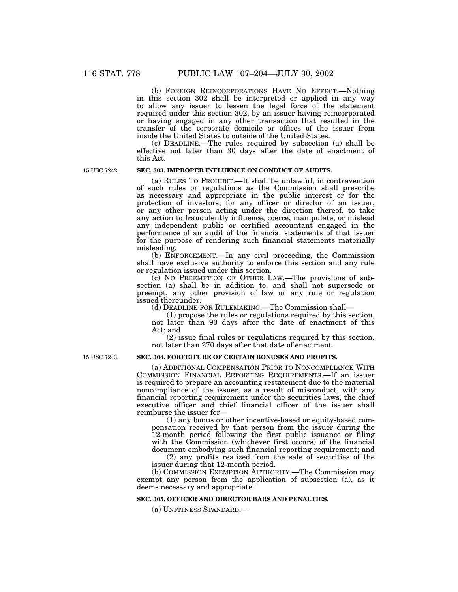(b) FOREIGN REINCORPORATIONS HAVE NO EFFECT.—Nothing in this section 302 shall be interpreted or applied in any way to allow any issuer to lessen the legal force of the statement required under this section 302, by an issuer having reincorporated or having engaged in any other transaction that resulted in the transfer of the corporate domicile or offices of the issuer from inside the United States to outside of the United States.

(c) DEADLINE.—The rules required by subsection (a) shall be effective not later than 30 days after the date of enactment of this Act.

15 USC 7242.

## **SEC. 303. IMPROPER INFLUENCE ON CONDUCT OF AUDITS.**

(a) RULES TO PROHIBIT.—It shall be unlawful, in contravention of such rules or regulations as the Commission shall prescribe as necessary and appropriate in the public interest or for the protection of investors, for any officer or director of an issuer, or any other person acting under the direction thereof, to take any action to fraudulently influence, coerce, manipulate, or mislead any independent public or certified accountant engaged in the performance of an audit of the financial statements of that issuer for the purpose of rendering such financial statements materially misleading.

(b) ENFORCEMENT.—In any civil proceeding, the Commission shall have exclusive authority to enforce this section and any rule or regulation issued under this section.

(c) NO PREEMPTION OF OTHER LAW.—The provisions of subsection (a) shall be in addition to, and shall not supersede or preempt, any other provision of law or any rule or regulation issued thereunder.

(d) DEADLINE FOR RULEMAKING.—The Commission shall—

(1) propose the rules or regulations required by this section, not later than 90 days after the date of enactment of this Act; and

(2) issue final rules or regulations required by this section, not later than 270 days after that date of enactment.

15 USC 7243.

## **SEC. 304. FORFEITURE OF CERTAIN BONUSES AND PROFITS.**

(a) ADDITIONAL COMPENSATION PRIOR TO NONCOMPLIANCE WITH COMMISSION FINANCIAL REPORTING REQUIREMENTS.—If an issuer is required to prepare an accounting restatement due to the material noncompliance of the issuer, as a result of misconduct, with any financial reporting requirement under the securities laws, the chief executive officer and chief financial officer of the issuer shall reimburse the issuer for—

(1) any bonus or other incentive-based or equity-based compensation received by that person from the issuer during the 12-month period following the first public issuance or filing with the Commission (whichever first occurs) of the financial document embodying such financial reporting requirement; and

(2) any profits realized from the sale of securities of the issuer during that 12-month period.

(b) COMMISSION EXEMPTION AUTHORITY.—The Commission may exempt any person from the application of subsection (a), as it deems necessary and appropriate.

#### **SEC. 305. OFFICER AND DIRECTOR BARS AND PENALTIES.**

(a) UNFITNESS STANDARD.—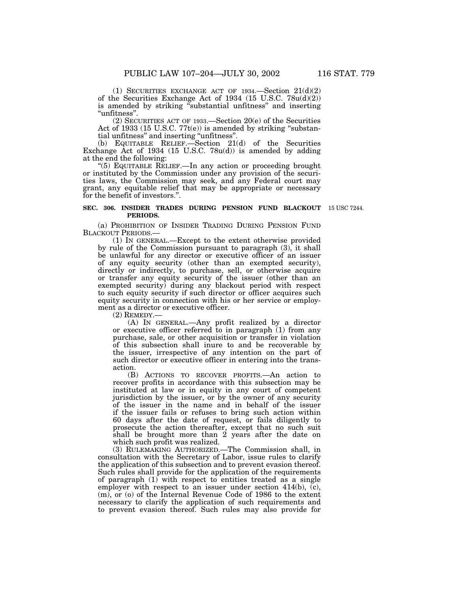(1) SECURITIES EXCHANGE ACT OF 1934.—Section  $21(d)(2)$ of the Securities Exchange Act of 1934 (15 U.S.C. 78u(d)(2)) is amended by striking ''substantial unfitness'' and inserting ''unfitness''.

(2) SECURITIES ACT OF 1933.—Section 20(e) of the Securities Act of 1933 (15 U.S.C. 77t(e)) is amended by striking "substantial unfitness" and inserting "unfitness".

(b) EQUITABLE RELIEF.—Section  $21(d)$  of the Securities Exchange Act of 1934 (15 U.S.C. 78 $u(d)$ ) is amended by adding at the end the following:

"(5) EQUITABLE RELIEF.—In any action or proceeding brought or instituted by the Commission under any provision of the securities laws, the Commission may seek, and any Federal court may grant, any equitable relief that may be appropriate or necessary for the benefit of investors.''.

#### **SEC. 306. INSIDER TRADES DURING PENSION FUND BLACKOUT** 15 USC 7244. **PERIODS.**

(a) PROHIBITION OF INSIDER TRADING DURING PENSION FUND BLACKOUT PERIODS.—

(1) IN GENERAL.—Except to the extent otherwise provided by rule of the Commission pursuant to paragraph (3), it shall be unlawful for any director or executive officer of an issuer of any equity security (other than an exempted security), directly or indirectly, to purchase, sell, or otherwise acquire or transfer any equity security of the issuer (other than an exempted security) during any blackout period with respect to such equity security if such director or officer acquires such equity security in connection with his or her service or employment as a director or executive officer.

(2) REMEDY.—

(A) IN GENERAL.—Any profit realized by a director or executive officer referred to in paragraph (1) from any purchase, sale, or other acquisition or transfer in violation of this subsection shall inure to and be recoverable by the issuer, irrespective of any intention on the part of such director or executive officer in entering into the transaction.

(B) ACTIONS TO RECOVER PROFITS.—An action to recover profits in accordance with this subsection may be instituted at law or in equity in any court of competent jurisdiction by the issuer, or by the owner of any security of the issuer in the name and in behalf of the issuer if the issuer fails or refuses to bring such action within 60 days after the date of request, or fails diligently to prosecute the action thereafter, except that no such suit shall be brought more than 2 years after the date on which such profit was realized.

(3) RULEMAKING AUTHORIZED.—The Commission shall, in consultation with the Secretary of Labor, issue rules to clarify the application of this subsection and to prevent evasion thereof. Such rules shall provide for the application of the requirements of paragraph (1) with respect to entities treated as a single employer with respect to an issuer under section 414(b), (c), (m), or (o) of the Internal Revenue Code of 1986 to the extent necessary to clarify the application of such requirements and to prevent evasion thereof. Such rules may also provide for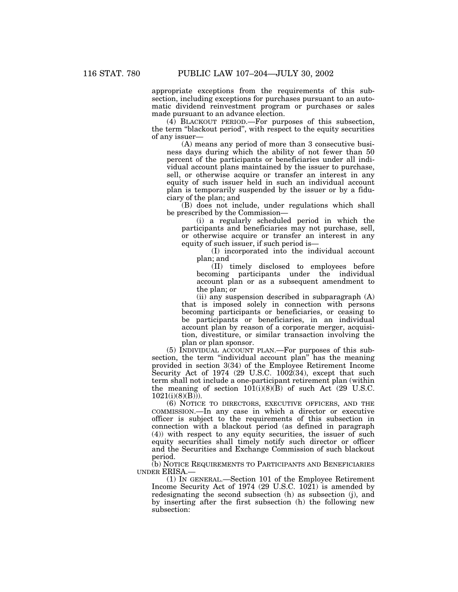appropriate exceptions from the requirements of this subsection, including exceptions for purchases pursuant to an automatic dividend reinvestment program or purchases or sales made pursuant to an advance election.

(4) BLACKOUT PERIOD.—For purposes of this subsection, the term ''blackout period'', with respect to the equity securities of any issuer—

(A) means any period of more than 3 consecutive business days during which the ability of not fewer than 50 percent of the participants or beneficiaries under all individual account plans maintained by the issuer to purchase, sell, or otherwise acquire or transfer an interest in any equity of such issuer held in such an individual account plan is temporarily suspended by the issuer or by a fiduciary of the plan; and

(B) does not include, under regulations which shall be prescribed by the Commission—

(i) a regularly scheduled period in which the participants and beneficiaries may not purchase, sell, or otherwise acquire or transfer an interest in any equity of such issuer, if such period is—

(I) incorporated into the individual account plan; and

(II) timely disclosed to employees before becoming participants under the individual account plan or as a subsequent amendment to the plan; or

(ii) any suspension described in subparagraph (A) that is imposed solely in connection with persons becoming participants or beneficiaries, or ceasing to be participants or beneficiaries, in an individual account plan by reason of a corporate merger, acquisition, divestiture, or similar transaction involving the plan or plan sponsor.

(5) INDIVIDUAL ACCOUNT PLAN.—For purposes of this subsection, the term "individual account plan" has the meaning provided in section 3(34) of the Employee Retirement Income Security Act of  $1974$  (29 U.S.C.  $1002(34)$ , except that such term shall not include a one-participant retirement plan (within the meaning of section  $101(i)(8)(B)$  of such Act (29 U.S.C.  $1021(i)(8)(B))$ ).

(6) NOTICE TO DIRECTORS, EXECUTIVE OFFICERS, AND THE COMMISSION.—In any case in which a director or executive officer is subject to the requirements of this subsection in connection with a blackout period (as defined in paragraph (4)) with respect to any equity securities, the issuer of such equity securities shall timely notify such director or officer and the Securities and Exchange Commission of such blackout period.

(b) NOTICE REQUIREMENTS TO PARTICIPANTS AND BENEFICIARIES UNDER ERISA.—

(1) IN GENERAL.—Section 101 of the Employee Retirement Income Security Act of 1974 (29 U.S.C. 1021) is amended by redesignating the second subsection (h) as subsection (j), and by inserting after the first subsection (h) the following new subsection: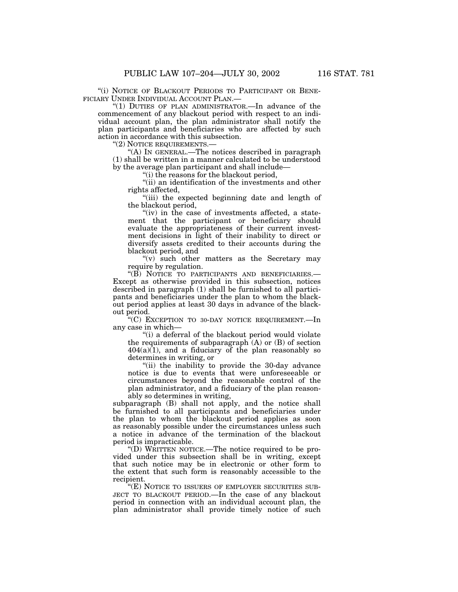"(i) NOTICE OF BLACKOUT PERIODS TO PARTICIPANT OR BENE-FICIARY UNDER INDIVIDUAL ACCOUNT PLAN.—

"(1) DUTIES OF PLAN ADMINISTRATOR.—In advance of the commencement of any blackout period with respect to an individual account plan, the plan administrator shall notify the plan participants and beneficiaries who are affected by such action in accordance with this subsection.

''(2) NOTICE REQUIREMENTS.—

''(A) IN GENERAL.—The notices described in paragraph (1) shall be written in a manner calculated to be understood by the average plan participant and shall include—

''(i) the reasons for the blackout period,

''(ii) an identification of the investments and other rights affected,

''(iii) the expected beginning date and length of the blackout period,

 $(iv)$  in the case of investments affected, a statement that the participant or beneficiary should evaluate the appropriateness of their current investment decisions in light of their inability to direct or diversify assets credited to their accounts during the blackout period, and

" $(v)$  such other matters as the Secretary may require by regulation.

''(B) NOTICE TO PARTICIPANTS AND BENEFICIARIES.— Except as otherwise provided in this subsection, notices described in paragraph (1) shall be furnished to all participants and beneficiaries under the plan to whom the blackout period applies at least 30 days in advance of the blackout period.

''(C) EXCEPTION TO 30-DAY NOTICE REQUIREMENT.—In any case in which—

''(i) a deferral of the blackout period would violate the requirements of subparagraph  $(A)$  or  $(B)$  of section  $404(a)(1)$ , and a fiduciary of the plan reasonably so determines in writing, or

''(ii) the inability to provide the 30-day advance notice is due to events that were unforeseeable or circumstances beyond the reasonable control of the plan administrator, and a fiduciary of the plan reasonably so determines in writing,

subparagraph (B) shall not apply, and the notice shall be furnished to all participants and beneficiaries under the plan to whom the blackout period applies as soon as reasonably possible under the circumstances unless such a notice in advance of the termination of the blackout period is impracticable.

''(D) WRITTEN NOTICE.—The notice required to be provided under this subsection shall be in writing, except that such notice may be in electronic or other form to the extent that such form is reasonably accessible to the recipient.

"(E) NOTICE TO ISSUERS OF EMPLOYER SECURITIES SUB-JECT TO BLACKOUT PERIOD.—In the case of any blackout period in connection with an individual account plan, the plan administrator shall provide timely notice of such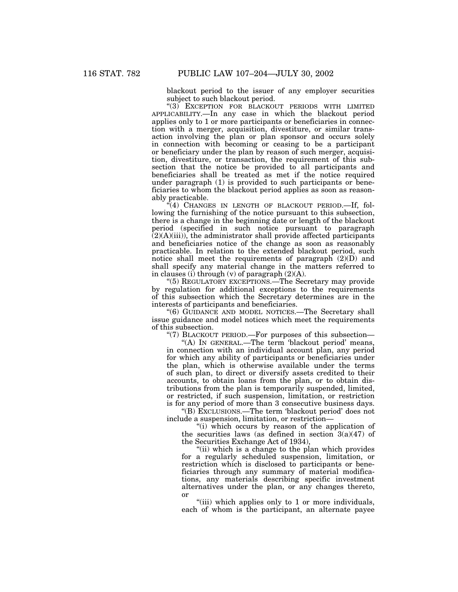blackout period to the issuer of any employer securities subject to such blackout period.

"(3) EXCEPTION FOR BLACKOUT PERIODS WITH LIMITED APPLICABILITY.—In any case in which the blackout period applies only to 1 or more participants or beneficiaries in connection with a merger, acquisition, divestiture, or similar transaction involving the plan or plan sponsor and occurs solely in connection with becoming or ceasing to be a participant or beneficiary under the plan by reason of such merger, acquisition, divestiture, or transaction, the requirement of this subsection that the notice be provided to all participants and beneficiaries shall be treated as met if the notice required under paragraph (1) is provided to such participants or beneficiaries to whom the blackout period applies as soon as reasonably practicable.

"(4) CHANGES IN LENGTH OF BLACKOUT PERIOD.—If, following the furnishing of the notice pursuant to this subsection, there is a change in the beginning date or length of the blackout period (specified in such notice pursuant to paragraph  $(2)(A)(iii)$ , the administrator shall provide affected participants and beneficiaries notice of the change as soon as reasonably practicable. In relation to the extended blackout period, such notice shall meet the requirements of paragraph (2)(D) and shall specify any material change in the matters referred to in clauses (i) through (v) of paragraph  $(2)(A)$ .

''(5) REGULATORY EXCEPTIONS.—The Secretary may provide by regulation for additional exceptions to the requirements of this subsection which the Secretary determines are in the interests of participants and beneficiaries.

''(6) GUIDANCE AND MODEL NOTICES.—The Secretary shall issue guidance and model notices which meet the requirements of this subsection.

"(7) BLACKOUT PERIOD.—For purposes of this subsection—

''(A) IN GENERAL.—The term 'blackout period' means, in connection with an individual account plan, any period for which any ability of participants or beneficiaries under the plan, which is otherwise available under the terms of such plan, to direct or diversify assets credited to their accounts, to obtain loans from the plan, or to obtain distributions from the plan is temporarily suspended, limited, or restricted, if such suspension, limitation, or restriction is for any period of more than 3 consecutive business days.

''(B) EXCLUSIONS.—The term 'blackout period' does not include a suspension, limitation, or restriction—

"(i) which occurs by reason of the application of the securities laws (as defined in section  $3(a)(47)$  of the Securities Exchange Act of 1934),

"(ii) which is a change to the plan which provides for a regularly scheduled suspension, limitation, or restriction which is disclosed to participants or beneficiaries through any summary of material modifications, any materials describing specific investment alternatives under the plan, or any changes thereto, or

"(iii) which applies only to 1 or more individuals, each of whom is the participant, an alternate payee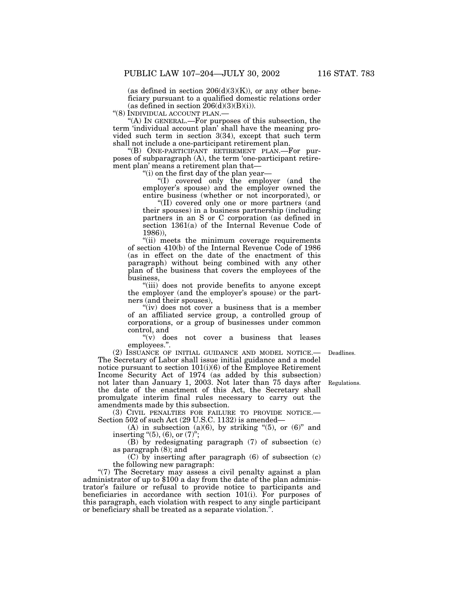(as defined in section  $206(d)(3)(K)$ ), or any other beneficiary pursuant to a qualified domestic relations order (as defined in section  $206(d)(3)(B)(i)$ ).

"(8) INDIVIDUAL ACCOUNT PLAN.—<br>"(A) IN GENERAL.—For purposes of this subsection, the term 'individual account plan' shall have the meaning provided such term in section 3(34), except that such term shall not include a one-participant retirement plan.<br>"(B) ONE-PARTICIPANT RETIREMENT PLAN.—For pur-

poses of subparagraph (A), the term 'one-participant retirement plan' means a retirement plan that—<br>"(i) on the first day of the plan year—<br>"(I) covered only the employer (and the

employer's spouse) and the employer owned the entire business (whether or not incorporated), or "(II) covered only one or more partners (and

their spouses) in a business partnership (including partners in an S or C corporation (as defined in section 1361(a) of the Internal Revenue Code of 1986)),

"(ii) meets the minimum coverage requirements of section 410(b) of the Internal Revenue Code of 1986 (as in effect on the date of the enactment of this paragraph) without being combined with any other plan of the business that covers the employees of the

business,<br>"(iii) does not provide benefits to anyone except the employer (and the employer's spouse) or the partners (and their spouses),

"(iv) does not cover a business that is a member of an affiliated service group, a controlled group of corporations, or a group of businesses under common control, and

"(v) does not cover a business that leases employees.''.

Deadlines.

(2) ISSUANCE OF INITIAL GUIDANCE AND MODEL NOTICE.— The Secretary of Labor shall issue initial guidance and a model notice pursuant to section 101(i)(6) of the Employee Retirement Income Security Act of 1974 (as added by this subsection) not later than January 1, 2003. Not later than 75 days after the date of the enactment of this Act, the Secretary shall promulgate interim final rules necessary to carry out the amendments made by this subsection.

(3) CIVIL PENALTIES FOR FAILURE TO PROVIDE NOTICE.— Section 502 of such Act (29 U.S.C. 1132) is amended—

(A) in subsection (a)(6), by striking " $(5)$ , or  $(6)$ " and inserting  $(5)$ ,  $(6)$ , or  $(7)$ ";

(B) by redesignating paragraph (7) of subsection (c) as paragraph (8); and

 $(C)$  by inserting after paragraph (6) of subsection (c) the following new paragraph:

"(7) The Secretary may assess a civil penalty against a plan administrator of up to \$100 a day from the date of the plan administrator's failure or refusal to provide notice to participants and beneficiaries in accordance with section 101(i). For purposes of this paragraph, each violation with respect to any single participant or beneficiary shall be treated as a separate violation.''.

Regulations.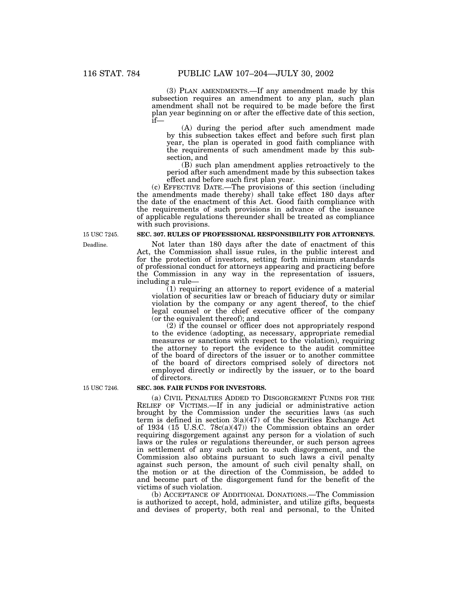(3) PLAN AMENDMENTS.—If any amendment made by this subsection requires an amendment to any plan, such plan amendment shall not be required to be made before the first plan year beginning on or after the effective date of this section,

(A) during the period after such amendment made by this subsection takes effect and before such first plan year, the plan is operated in good faith compliance with the requirements of such amendment made by this subsection, and

(B) such plan amendment applies retroactively to the period after such amendment made by this subsection takes effect and before such first plan year.

(c) EFFECTIVE DATE.—The provisions of this section (including the amendments made thereby) shall take effect 180 days after the date of the enactment of this Act. Good faith compliance with the requirements of such provisions in advance of the issuance of applicable regulations thereunder shall be treated as compliance with such provisions.

## **SEC. 307. RULES OF PROFESSIONAL RESPONSIBILITY FOR ATTORNEYS.**

Not later than 180 days after the date of enactment of this Act, the Commission shall issue rules, in the public interest and for the protection of investors, setting forth minimum standards of professional conduct for attorneys appearing and practicing before the Commission in any way in the representation of issuers,

 $(1)$  requiring an attorney to report evidence of a material violation of securities law or breach of fiduciary duty or similar violation by the company or any agent thereof, to the chief legal counsel or the chief executive officer of the company (or the equivalent thereof); and

(2) if the counsel or officer does not appropriately respond to the evidence (adopting, as necessary, appropriate remedial measures or sanctions with respect to the violation), requiring the attorney to report the evidence to the audit committee of the board of directors of the issuer or to another committee of the board of directors comprised solely of directors not employed directly or indirectly by the issuer, or to the board of directors.

15 USC 7246.

### **SEC. 308. FAIR FUNDS FOR INVESTORS.**

(a) CIVIL PENALTIES ADDED TO DISGORGEMENT FUNDS FOR THE RELIEF OF VICTIMS.—If in any judicial or administrative action brought by the Commission under the securities laws (as such term is defined in section  $3(a)(47)$  of the Securities Exchange Act of 1934 (15 U.S.C.  $78c(a)(47)$ ) the Commission obtains an order requiring disgorgement against any person for a violation of such laws or the rules or regulations thereunder, or such person agrees in settlement of any such action to such disgorgement, and the Commission also obtains pursuant to such laws a civil penalty against such person, the amount of such civil penalty shall, on the motion or at the direction of the Commission, be added to and become part of the disgorgement fund for the benefit of the victims of such violation.

(b) ACCEPTANCE OF ADDITIONAL DONATIONS.—The Commission is authorized to accept, hold, administer, and utilize gifts, bequests and devises of property, both real and personal, to the United

Deadline. 15 USC 7245.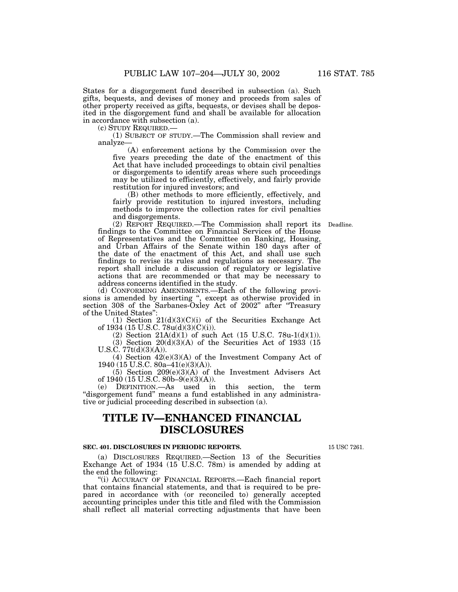States for a disgorgement fund described in subsection (a). Such gifts, bequests, and devises of money and proceeds from sales of other property received as gifts, bequests, or devises shall be deposited in the disgorgement fund and shall be available for allocation in accordance with subsection (a).<br>(c) STUDY REQUIRED.—

(1) SUBJECT OF STUDY.—The Commission shall review and analyze—

(A) enforcement actions by the Commission over the five years preceding the date of the enactment of this Act that have included proceedings to obtain civil penalties or disgorgements to identify areas where such proceedings may be utilized to efficiently, effectively, and fairly provide restitution for injured investors; and

(B) other methods to more efficiently, effectively, and fairly provide restitution to injured investors, including methods to improve the collection rates for civil penalties and disgorgements.

(2) REPORT REQUIRED.—The Commission shall report its Deadline. findings to the Committee on Financial Services of the House of Representatives and the Committee on Banking, Housing, and Urban Affairs of the Senate within 180 days after of the date of the enactment of this Act, and shall use such findings to revise its rules and regulations as necessary. The report shall include a discussion of regulatory or legislative actions that are recommended or that may be necessary to address concerns identified in the study.

(d) CONFORMING AMENDMENTS.—Each of the following provisions is amended by inserting ", except as otherwise provided in section 308 of the Sarbanes-Oxley Act of 2002'' after ''Treasury of the United States'':

(1) Section 21(d)(3)(C)(i) of the Securities Exchange Act of 1934 (15 U.S.C. 78u(d)(3)(C)(i)).

(2) Section  $21A(d)(1)$  of such Act (15 U.S.C. 78u-1(d)(1)).

 $(3)$  Section  $20(d)(3)(A)$  of the Securities Act of 1933  $(15)$ U.S.C. 77t(d)(3)(A)).

(4) Section 42(e)(3)(A) of the Investment Company Act of 1940 (15 U.S.C. 80a–41(e)(3)(A)).

(5) Section 209(e)(3)(A) of the Investment Advisers Act of  $1940$  (15 U.S.C.  $80b-9(e)(3)(A)$ ).

(e) DEFINITION.—As used in this section, the term ''disgorgement fund'' means a fund established in any administrative or judicial proceeding described in subsection (a).

# **TITLE IV—ENHANCED FINANCIAL DISCLOSURES**

#### **SEC. 401. DISCLOSURES IN PERIODIC REPORTS.**

15 USC 7261.

(a) DISCLOSURES REQUIRED.—Section 13 of the Securities Exchange Act of 1934 (15 U.S.C. 78m) is amended by adding at the end the following:

''(i) ACCURACY OF FINANCIAL REPORTS.—Each financial report that contains financial statements, and that is required to be prepared in accordance with (or reconciled to) generally accepted accounting principles under this title and filed with the Commission shall reflect all material correcting adjustments that have been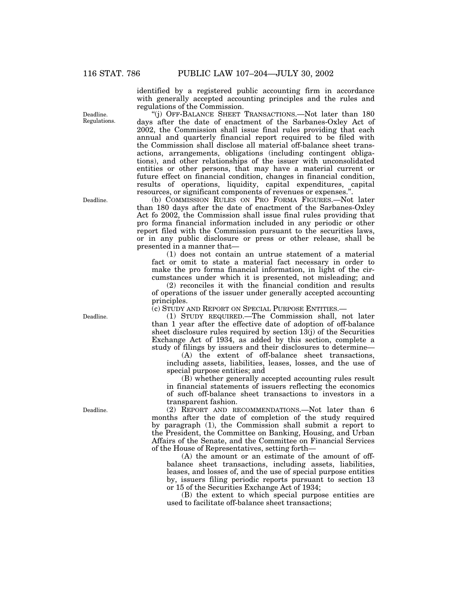identified by a registered public accounting firm in accordance with generally accepted accounting principles and the rules and regulations of the Commission.

''(j) OFF-BALANCE SHEET TRANSACTIONS.—Not later than 180 days after the date of enactment of the Sarbanes-Oxley Act of 2002, the Commission shall issue final rules providing that each annual and quarterly financial report required to be filed with the Commission shall disclose all material off-balance sheet transactions, arrangements, obligations (including contingent obligations), and other relationships of the issuer with unconsolidated entities or other persons, that may have a material current or future effect on financial condition, changes in financial condition, results of operations, liquidity, capital expenditures, capital resources, or significant components of revenues or expenses.''.

(b) COMMISSION RULES ON PRO FORMA FIGURES.—Not later than 180 days after the date of enactment of the Sarbanes-Oxley Act fo 2002, the Commission shall issue final rules providing that pro forma financial information included in any periodic or other report filed with the Commission pursuant to the securities laws, or in any public disclosure or press or other release, shall be presented in a manner that—

(1) does not contain an untrue statement of a material fact or omit to state a material fact necessary in order to make the pro forma financial information, in light of the circumstances under which it is presented, not misleading; and

(2) reconciles it with the financial condition and results of operations of the issuer under generally accepted accounting principles.

(c) STUDY AND REPORT ON SPECIAL PURPOSE ENTITIES.—

(1) STUDY REQUIRED.—The Commission shall, not later than 1 year after the effective date of adoption of off-balance sheet disclosure rules required by section  $13(j)$  of the Securities Exchange Act of 1934, as added by this section, complete a study of filings by issuers and their disclosures to determine—

(A) the extent of off-balance sheet transactions, including assets, liabilities, leases, losses, and the use of special purpose entities; and

(B) whether generally accepted accounting rules result in financial statements of issuers reflecting the economics of such off-balance sheet transactions to investors in a transparent fashion.

(2) REPORT AND RECOMMENDATIONS.—Not later than 6 months after the date of completion of the study required by paragraph (1), the Commission shall submit a report to the President, the Committee on Banking, Housing, and Urban Affairs of the Senate, and the Committee on Financial Services of the House of Representatives, setting forth—

(A) the amount or an estimate of the amount of offbalance sheet transactions, including assets, liabilities, leases, and losses of, and the use of special purpose entities by, issuers filing periodic reports pursuant to section 13 or 15 of the Securities Exchange Act of 1934;

(B) the extent to which special purpose entities are used to facilitate off-balance sheet transactions;

Deadline. Regulations.

Deadline.

Deadline.

Deadline.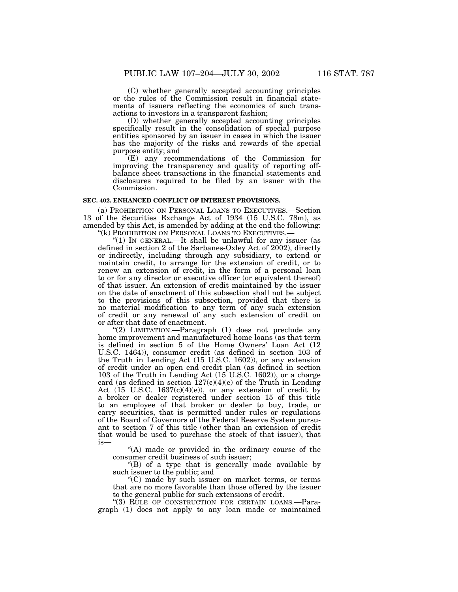(C) whether generally accepted accounting principles or the rules of the Commission result in financial statements of issuers reflecting the economics of such transactions to investors in a transparent fashion;

(D) whether generally accepted accounting principles specifically result in the consolidation of special purpose entities sponsored by an issuer in cases in which the issuer has the majority of the risks and rewards of the special purpose entity; and

(E) any recommendations of the Commission for improving the transparency and quality of reporting offbalance sheet transactions in the financial statements and disclosures required to be filed by an issuer with the Commission.

## **SEC. 402. ENHANCED CONFLICT OF INTEREST PROVISIONS.**

(a) PROHIBITION ON PERSONAL LOANS TO EXECUTIVES.—Section 13 of the Securities Exchange Act of 1934 (15 U.S.C. 78m), as amended by this Act, is amended by adding at the end the following: ''(k) PROHIBITION ON PERSONAL LOANS TO EXECUTIVES.—

''(1) IN GENERAL.—It shall be unlawful for any issuer (as defined in section 2 of the Sarbanes-Oxley Act of 2002), directly or indirectly, including through any subsidiary, to extend or maintain credit, to arrange for the extension of credit, or to renew an extension of credit, in the form of a personal loan to or for any director or executive officer (or equivalent thereof) of that issuer. An extension of credit maintained by the issuer on the date of enactment of this subsection shall not be subject to the provisions of this subsection, provided that there is no material modification to any term of any such extension of credit or any renewal of any such extension of credit on or after that date of enactment.

''(2) LIMITATION.—Paragraph (1) does not preclude any home improvement and manufactured home loans (as that term is defined in section 5 of the Home Owners' Loan Act (12 U.S.C. 1464)), consumer credit (as defined in section 103 of the Truth in Lending Act (15 U.S.C. 1602)), or any extension of credit under an open end credit plan (as defined in section 103 of the Truth in Lending Act (15 U.S.C. 1602)), or a charge card (as defined in section 127(c)(4)(e) of the Truth in Lending Act (15 U.S.C. 1637(c)(4)(e)), or any extension of credit by a broker or dealer registered under section 15 of this title to an employee of that broker or dealer to buy, trade, or carry securities, that is permitted under rules or regulations of the Board of Governors of the Federal Reserve System pursuant to section 7 of this title (other than an extension of credit that would be used to purchase the stock of that issuer), that is—

''(A) made or provided in the ordinary course of the consumer credit business of such issuer;

"(B) of a type that is generally made available by such issuer to the public; and

''(C) made by such issuer on market terms, or terms that are no more favorable than those offered by the issuer to the general public for such extensions of credit.

"(3) RULE OF CONSTRUCTION FOR CERTAIN LOANS.-Paragraph (1) does not apply to any loan made or maintained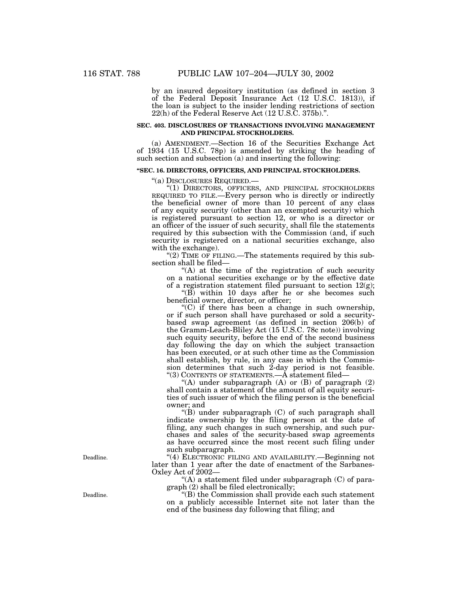by an insured depository institution (as defined in section 3 of the Federal Deposit Insurance Act (12 U.S.C. 1813)), if the loan is subject to the insider lending restrictions of section 22(h) of the Federal Reserve Act (12 U.S.C. 375b).''.

#### **SEC. 403. DISCLOSURES OF TRANSACTIONS INVOLVING MANAGEMENT AND PRINCIPAL STOCKHOLDERS.**

(a) AMENDMENT.—Section 16 of the Securities Exchange Act of 1934 (15 U.S.C. 78p) is amended by striking the heading of such section and subsection (a) and inserting the following:

## **''SEC. 16. DIRECTORS, OFFICERS, AND PRINCIPAL STOCKHOLDERS.**

''(a) DISCLOSURES REQUIRED.— ''(1) DIRECTORS, OFFICERS, AND PRINCIPAL STOCKHOLDERS REQUIRED TO FILE.—Every person who is directly or indirectly the beneficial owner of more than 10 percent of any class of any equity security (other than an exempted security) which is registered pursuant to section 12, or who is a director or an officer of the issuer of such security, shall file the statements required by this subsection with the Commission (and, if such security is registered on a national securities exchange, also

with the exchange).  $"(2)$  TIME OF FILING.—The statements required by this subsection shall be filed—

"(A) at the time of the registration of such security on a national securities exchange or by the effective date of a registration statement filed pursuant to section  $12(g)$ ;

''(B) within 10 days after he or she becomes such beneficial owner, director, or officer;

 $C^{\prime\prime}(C)$  if there has been a change in such ownership, or if such person shall have purchased or sold a securitybased swap agreement (as defined in section 206(b) of the Gramm-Leach-Bliley Act (15 U.S.C. 78c note)) involving such equity security, before the end of the second business day following the day on which the subject transaction has been executed, or at such other time as the Commission shall establish, by rule, in any case in which the Commission determines that such 2-day period is not feasible. ''(3) CONTENTS OF STATEMENTS.—A statement filed—

"(A) under subparagraph  $(A)$  or  $(B)$  of paragraph  $(2)$ shall contain a statement of the amount of all equity securities of such issuer of which the filing person is the beneficial owner; and

 $\mathrm{H}(B)$  under subparagraph  $(C)$  of such paragraph shall indicate ownership by the filing person at the date of filing, any such changes in such ownership, and such purchases and sales of the security-based swap agreements as have occurred since the most recent such filing under such subparagraph.

"(4) ELECTRONIC FILING AND AVAILABILITY.—Beginning not later than 1 year after the date of enactment of the Sarbanes-Oxley Act of 2002—

"(A) a statement filed under subparagraph  $(C)$  of paragraph (2) shall be filed electronically;

''(B) the Commission shall provide each such statement on a publicly accessible Internet site not later than the end of the business day following that filing; and

Deadline.

Deadline.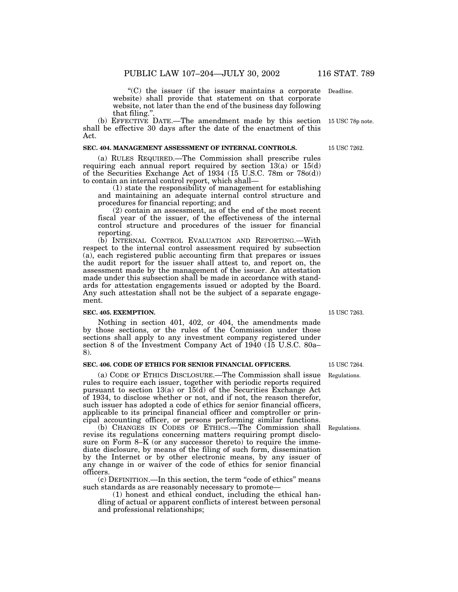"(C) the issuer (if the issuer maintains a corporate Deadline. website) shall provide that statement on that corporate website, not later than the end of the business day following that filing.

(b) EFFECTIVE DATE.—The amendment made by this section 15 USC 78p note. shall be effective 30 days after the date of the enactment of this Act.

## **SEC. 404. MANAGEMENT ASSESSMENT OF INTERNAL CONTROLS.**

(a) RULES REQUIRED.—The Commission shall prescribe rules requiring each annual report required by section 13(a) or 15(d) of the Securities Exchange Act of 1934 (15 U.S.C. 78m or 78o(d)) to contain an internal control report, which shall— (1) state the responsibility of management for establishing

and maintaining an adequate internal control structure and procedures for financial reporting; and

(2) contain an assessment, as of the end of the most recent fiscal year of the issuer, of the effectiveness of the internal control structure and procedures of the issuer for financial reporting.

(b) INTERNAL CONTROL EVALUATION AND REPORTING.—With respect to the internal control assessment required by subsection (a), each registered public accounting firm that prepares or issues the audit report for the issuer shall attest to, and report on, the assessment made by the management of the issuer. An attestation made under this subsection shall be made in accordance with standards for attestation engagements issued or adopted by the Board. Any such attestation shall not be the subject of a separate engagement.

#### **SEC. 405. EXEMPTION.**

Nothing in section 401, 402, or 404, the amendments made by those sections, or the rules of the Commission under those sections shall apply to any investment company registered under section 8 of the Investment Company Act of 1940 (15 U.S.C. 80a– 8).

#### **SEC. 406. CODE OF ETHICS FOR SENIOR FINANCIAL OFFICERS.**

(a) CODE OF ETHICS DISCLOSURE.—The Commission shall issue rules to require each issuer, together with periodic reports required pursuant to section 13(a) or 15(d) of the Securities Exchange Act of 1934, to disclose whether or not, and if not, the reason therefor, such issuer has adopted a code of ethics for senior financial officers, applicable to its principal financial officer and comptroller or principal accounting officer, or persons performing similar functions.

(b) CHANGES IN CODES OF ETHICS.—The Commission shall revise its regulations concerning matters requiring prompt disclosure on Form 8–K (or any successor thereto) to require the immediate disclosure, by means of the filing of such form, dissemination by the Internet or by other electronic means, by any issuer of any change in or waiver of the code of ethics for senior financial officers.

(c) DEFINITION.—In this section, the term ''code of ethics'' means such standards as are reasonably necessary to promote—

(1) honest and ethical conduct, including the ethical handling of actual or apparent conflicts of interest between personal and professional relationships;

15 USC 7263.

15 USC 7264.

Regulations.

Regulations.

15 USC 7262.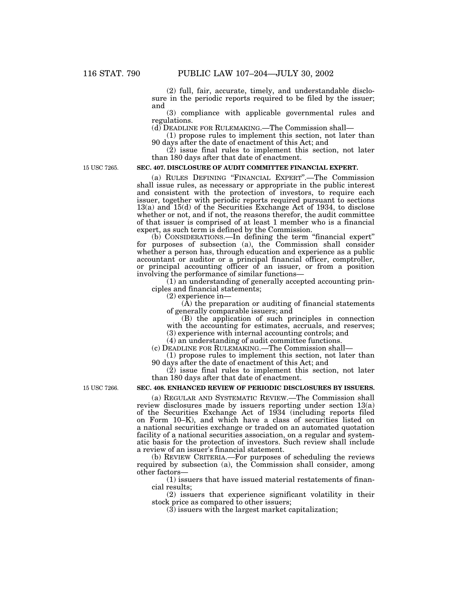(2) full, fair, accurate, timely, and understandable disclosure in the periodic reports required to be filed by the issuer; and

(3) compliance with applicable governmental rules and regulations.<br>(d) DEADLINE FOR RULEMAKING.—The Commission shall—

 $(1)$  propose rules to implement this section, not later than 90 days after the date of enactment of this Act; and

 $(2)$  issue final rules to implement this section, not later than 180 days after that date of enactment.

15 USC 7265.

## **SEC. 407. DISCLOSURE OF AUDIT COMMITTEE FINANCIAL EXPERT.**

(a) RULES DEFINING ''FINANCIAL EXPERT''.—The Commission shall issue rules, as necessary or appropriate in the public interest and consistent with the protection of investors, to require each issuer, together with periodic reports required pursuant to sections 13(a) and 15(d) of the Securities Exchange Act of 1934, to disclose whether or not, and if not, the reasons therefor, the audit committee of that issuer is comprised of at least 1 member who is a financial expert, as such term is defined by the Commission.

(b) CONSIDERATIONS.—In defining the term ''financial expert'' for purposes of subsection (a), the Commission shall consider whether a person has, through education and experience as a public accountant or auditor or a principal financial officer, comptroller, or principal accounting officer of an issuer, or from a position

involving the performance of similar functions— (1) an understanding of generally accepted accounting principles and financial statements;

 $(\tilde{A})$  the preparation or auditing of financial statements of generally comparable issuers; and

(B) the application of such principles in connection with the accounting for estimates, accruals, and reserves;

(3) experience with internal accounting controls; and

(4) an understanding of audit committee functions.<br>(c) DEADLINE FOR RULEMAKING.—The Commission shall—

 $(1)$  propose rules to implement this section, not later than days after the date of enactment of this Act; and

(2) issue final rules to implement this section, not later than 180 days after that date of enactment.

15 USC 7266.

#### **SEC. 408. ENHANCED REVIEW OF PERIODIC DISCLOSURES BY ISSUERS.**

(a) REGULAR AND SYSTEMATIC REVIEW.—The Commission shall review disclosures made by issuers reporting under section 13(a) of the Securities Exchange Act of 1934 (including reports filed on Form 10–K), and which have a class of securities listed on a national securities exchange or traded on an automated quotation facility of a national securities association, on a regular and systematic basis for the protection of investors. Such review shall include a review of an issuer's financial statement.

(b) REVIEW CRITERIA.—For purposes of scheduling the reviews required by subsection (a), the Commission shall consider, among other factors—

(1) issuers that have issued material restatements of financial results;

(2) issuers that experience significant volatility in their stock price as compared to other issuers;

 $(3)$  issuers with the largest market capitalization;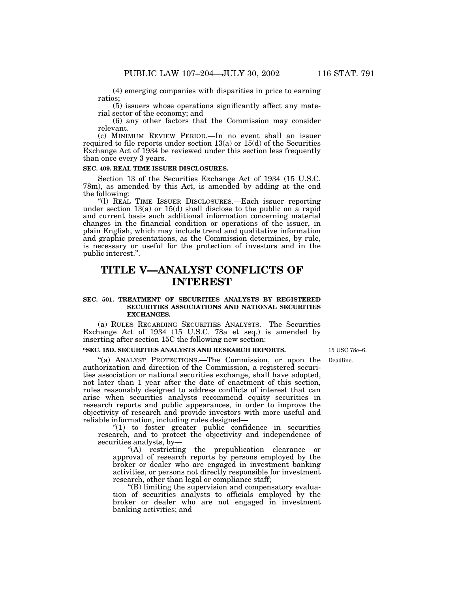(4) emerging companies with disparities in price to earning ratios;

(5) issuers whose operations significantly affect any material sector of the economy; and

(6) any other factors that the Commission may consider relevant.

(c) MINIMUM REVIEW PERIOD.—In no event shall an issuer required to file reports under section  $13(a)$  or  $15(d)$  of the Securities Exchange Act of 1934 be reviewed under this section less frequently than once every 3 years.

### **SEC. 409. REAL TIME ISSUER DISCLOSURES.**

Section 13 of the Securities Exchange Act of 1934 (15 U.S.C. 78m), as amended by this Act, is amended by adding at the end

"(I) REAL TIME ISSUER DISCLOSURES.—Each issuer reporting under section 13(a) or 15(d) shall disclose to the public on a rapid and current basis such additional information concerning material changes in the financial condition or operations of the issuer, in plain English, which may include trend and qualitative information and graphic presentations, as the Commission determines, by rule, is necessary or useful for the protection of investors and in the public interest.''.

# **TITLE V—ANALYST CONFLICTS OF INTEREST**

### **SEC. 501. TREATMENT OF SECURITIES ANALYSTS BY REGISTERED SECURITIES ASSOCIATIONS AND NATIONAL SECURITIES EXCHANGES.**

(a) RULES REGARDING SECURITIES ANALYSTS.—The Securities Exchange Act of 1934 (15 U.S.C. 78a et seq.) is amended by inserting after section 15C the following new section:

## **''SEC. 15D. SECURITIES ANALYSTS AND RESEARCH REPORTS.**

15 USC 78*o*–6.

Deadline.

''(a) ANALYST PROTECTIONS.—The Commission, or upon the authorization and direction of the Commission, a registered securities association or national securities exchange, shall have adopted, not later than 1 year after the date of enactment of this section, rules reasonably designed to address conflicts of interest that can arise when securities analysts recommend equity securities in research reports and public appearances, in order to improve the objectivity of research and provide investors with more useful and reliable information, including rules designed—

''(1) to foster greater public confidence in securities research, and to protect the objectivity and independence of securities analysts, by—

''(A) restricting the prepublication clearance or approval of research reports by persons employed by the broker or dealer who are engaged in investment banking activities, or persons not directly responsible for investment research, other than legal or compliance staff;

''(B) limiting the supervision and compensatory evaluation of securities analysts to officials employed by the broker or dealer who are not engaged in investment banking activities; and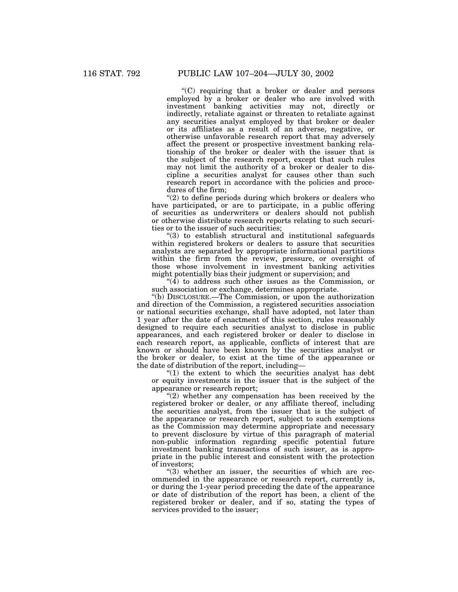''(C) requiring that a broker or dealer and persons employed by a broker or dealer who are involved with investment banking activities may not, directly or indirectly, retaliate against or threaten to retaliate against any securities analyst employed by that broker or dealer or its affiliates as a result of an adverse, negative, or otherwise unfavorable research report that may adversely affect the present or prospective investment banking relationship of the broker or dealer with the issuer that is the subject of the research report, except that such rules may not limit the authority of a broker or dealer to discipline a securities analyst for causes other than such research report in accordance with the policies and procedures of the firm;

"(2) to define periods during which brokers or dealers who have participated, or are to participate, in a public offering of securities as underwriters or dealers should not publish or otherwise distribute research reports relating to such securities or to the issuer of such securities;

''(3) to establish structural and institutional safeguards within registered brokers or dealers to assure that securities analysts are separated by appropriate informational partitions within the firm from the review, pressure, or oversight of those whose involvement in investment banking activities might potentially bias their judgment or supervision; and

''(4) to address such other issues as the Commission, or such association or exchange, determines appropriate.

''(b) DISCLOSURE.—The Commission, or upon the authorization and direction of the Commission, a registered securities association or national securities exchange, shall have adopted, not later than 1 year after the date of enactment of this section, rules reasonably designed to require each securities analyst to disclose in public appearances, and each registered broker or dealer to disclose in each research report, as applicable, conflicts of interest that are known or should have been known by the securities analyst or the broker or dealer, to exist at the time of the appearance or the date of distribution of the report, including—

''(1) the extent to which the securities analyst has debt or equity investments in the issuer that is the subject of the appearance or research report;

" $(2)$  whether any compensation has been received by the registered broker or dealer, or any affiliate thereof, including the securities analyst, from the issuer that is the subject of the appearance or research report, subject to such exemptions as the Commission may determine appropriate and necessary to prevent disclosure by virtue of this paragraph of material non-public information regarding specific potential future investment banking transactions of such issuer, as is appropriate in the public interest and consistent with the protection of investors;

"(3) whether an issuer, the securities of which are recommended in the appearance or research report, currently is, or during the 1-year period preceding the date of the appearance or date of distribution of the report has been, a client of the registered broker or dealer, and if so, stating the types of services provided to the issuer;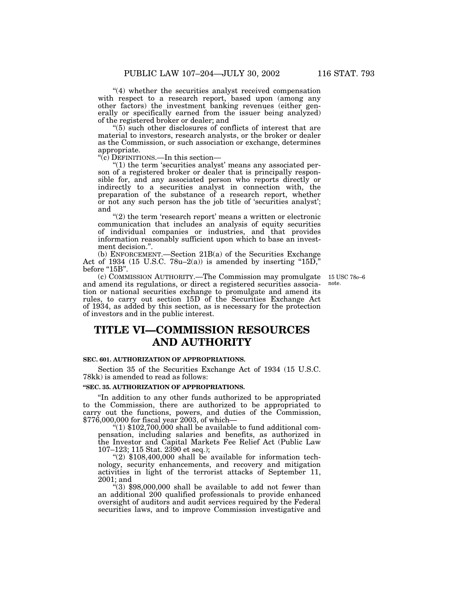''(4) whether the securities analyst received compensation with respect to a research report, based upon (among any other factors) the investment banking revenues (either generally or specifically earned from the issuer being analyzed)

" $(5)$  such other disclosures of conflicts of interest that are material to investors, research analysts, or the broker or dealer as the Commission, or such association or exchange, determines appropriate.<br>"(c) DEFINITIONS.—In this section—

" $(1)$  the term 'securities analyst' means any associated person of a registered broker or dealer that is principally responsible for, and any associated person who reports directly or indirectly to a securities analyst in connection with, the preparation of the substance of a research report, whether or not any such person has the job title of 'securities analyst'; and

" $(2)$  the term 'research report' means a written or electronic communication that includes an analysis of equity securities of individual companies or industries, and that provides information reasonably sufficient upon which to base an investment decision.''.

(b) ENFORCEMENT.—Section 21B(a) of the Securities Exchange Act of 1934 (15 U.S.C.  $78u-2(a)$ ) is amended by inserting "15D," Act of 1934 (15 U.S.C. 78u–2(a)) is amended by inserting "15D,"<br>before "15B".<br>(c) COMMISSION AUTHORITY.—The Commission may promulgate 15 USC 780–6

and amend its regulations, or direct a registered securities association or national securities exchange to promulgate and amend its rules, to carry out section 15D of the Securities Exchange Act of 1934, as added by this section, as is necessary for the protection of investors and in the public interest.

note.

# **TITLE VI—COMMISSION RESOURCES AND AUTHORITY**

#### **SEC. 601. AUTHORIZATION OF APPROPRIATIONS.**

Section 35 of the Securities Exchange Act of 1934 (15 U.S.C. 78kk) is amended to read as follows:

## **''SEC. 35. AUTHORIZATION OF APPROPRIATIONS.**

''In addition to any other funds authorized to be appropriated to the Commission, there are authorized to be appropriated to carry out the functions, powers, and duties of the Commission, \$776,000,000 for fiscal year 2003, of which—

" $(1)$  \$102,700,000 shall be available to fund additional compensation, including salaries and benefits, as authorized in the Investor and Capital Markets Fee Relief Act (Public Law 107–123; 115 Stat. 2390 et seq.);

"(2)  $$108,400,000$  shall be available for information technology, security enhancements, and recovery and mitigation activities in light of the terrorist attacks of September 11, 2001; and

 $(3)$  \$98,000,000 shall be available to add not fewer than an additional 200 qualified professionals to provide enhanced oversight of auditors and audit services required by the Federal securities laws, and to improve Commission investigative and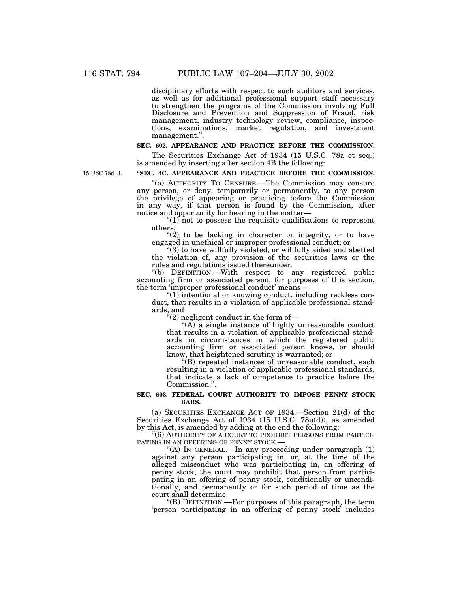disciplinary efforts with respect to such auditors and services, as well as for additional professional support staff necessary to strengthen the programs of the Commission involving Full Disclosure and Prevention and Suppression of Fraud, risk management, industry technology review, compliance, inspections, examinations, market regulation, and investment management.''.

# **SEC. 602. APPEARANCE AND PRACTICE BEFORE THE COMMISSION.**

The Securities Exchange Act of 1934 (15 U.S.C. 78a et seq.) is amended by inserting after section 4B the following:

15 USC 78d–3.

## **''SEC. 4C. APPEARANCE AND PRACTICE BEFORE THE COMMISSION.**

''(a) AUTHORITY TO CENSURE.—The Commission may censure any person, or deny, temporarily or permanently, to any person the privilege of appearing or practicing before the Commission in any way, if that person is found by the Commission, after notice and opportunity for hearing in the matter—

" $(1)$  not to possess the requisite qualifications to represent others; ''(2) to be lacking in character or integrity, or to have

engaged in unethical or improper professional conduct; or

''(3) to have willfully violated, or willfully aided and abetted the violation of, any provision of the securities laws or the rules and regulations issued thereunder.

''(b) DEFINITION.—With respect to any registered public accounting firm or associated person, for purposes of this section, the term 'improper professional conduct' means—

"(1) intentional or knowing conduct, including reckless conduct, that results in a violation of applicable professional standards; and

" $(2)$  negligent conduct in the form of-

" $(A)$  a single instance of highly unreasonable conduct that results in a violation of applicable professional standards in circumstances in which the registered public accounting firm or associated person knows, or should

 $H(B)$  repeated instances of unreasonable conduct, each resulting in a violation of applicable professional standards, that indicate a lack of competence to practice before the Commission.''.

#### **SEC. 603. FEDERAL COURT AUTHORITY TO IMPOSE PENNY STOCK BARS.**

(a) SECURITIES EXCHANGE ACT OF 1934.—Section 21(d) of the Securities Exchange Act of 1934 (15 U.S.C. 78u(d)), as amended by this Act, is amended by adding at the end the following:

''(6) AUTHORITY OF A COURT TO PROHIBIT PERSONS FROM PARTICI-PATING IN AN OFFERING OF PENNY STOCK.—

"(A) In GENERAL.—In any proceeding under paragraph (1) against any person participating in, or, at the time of the alleged misconduct who was participating in, an offering of penny stock, the court may prohibit that person from participating in an offering of penny stock, conditionally or unconditionally, and permanently or for such period of time as the court shall determine.<br>
"(B) DEFINITION.—For purposes of this paragraph, the term

'person participating in an offering of penny stock' includes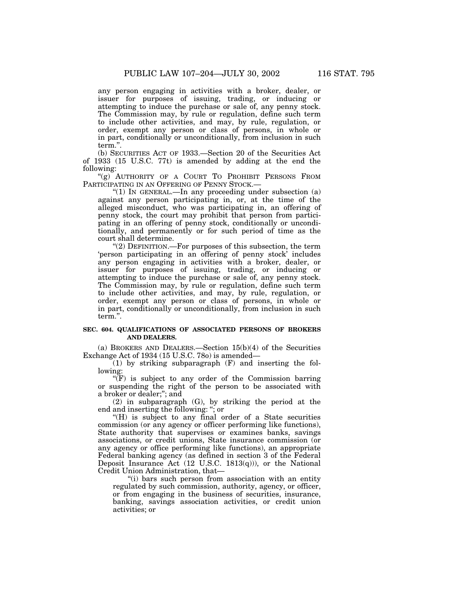any person engaging in activities with a broker, dealer, or issuer for purposes of issuing, trading, or inducing or attempting to induce the purchase or sale of, any penny stock. The Commission may, by rule or regulation, define such term to include other activities, and may, by rule, regulation, or order, exempt any person or class of persons, in whole or in part, conditionally or unconditionally, from inclusion in such term.''.

(b) SECURITIES ACT OF 1933.—Section 20 of the Securities Act of 1933 (15 U.S.C. 77t) is amended by adding at the end the following:

"(g) AUTHORITY OF A COURT TO PROHIBIT PERSONS FROM PARTICIPATING IN AN OFFERING OF PENNY STOCK.-

" $(1)$  In GENERAL.—In any proceeding under subsection  $(a)$ against any person participating in, or, at the time of the alleged misconduct, who was participating in, an offering of penny stock, the court may prohibit that person from participating in an offering of penny stock, conditionally or unconditionally, and permanently or for such period of time as the court shall determine.

" $(2)$  DEFINITION.—For purposes of this subsection, the term 'person participating in an offering of penny stock' includes any person engaging in activities with a broker, dealer, or issuer for purposes of issuing, trading, or inducing or attempting to induce the purchase or sale of, any penny stock. The Commission may, by rule or regulation, define such term to include other activities, and may, by rule, regulation, or order, exempt any person or class of persons, in whole or in part, conditionally or unconditionally, from inclusion in such term.''.

## **SEC. 604. QUALIFICATIONS OF ASSOCIATED PERSONS OF BROKERS AND DEALERS.**

(a) BROKERS AND DEALERS.—Section 15(b)(4) of the Securities Exchange Act of 1934 (15 U.S.C. 78o) is amended—

(1) by striking subparagraph (F) and inserting the following:

 $f(F)$  is subject to any order of the Commission barring or suspending the right of the person to be associated with a broker or dealer;''; and

(2) in subparagraph (G), by striking the period at the end and inserting the following: ''; or

''(H) is subject to any final order of a State securities commission (or any agency or officer performing like functions), State authority that supervises or examines banks, savings associations, or credit unions, State insurance commission (or any agency or office performing like functions), an appropriate Federal banking agency (as defined in section 3 of the Federal Deposit Insurance Act  $(12 \text{ U.S.C. } 1813(q))$ , or the National Credit Union Administration, that—

''(i) bars such person from association with an entity regulated by such commission, authority, agency, or officer, or from engaging in the business of securities, insurance, banking, savings association activities, or credit union activities; or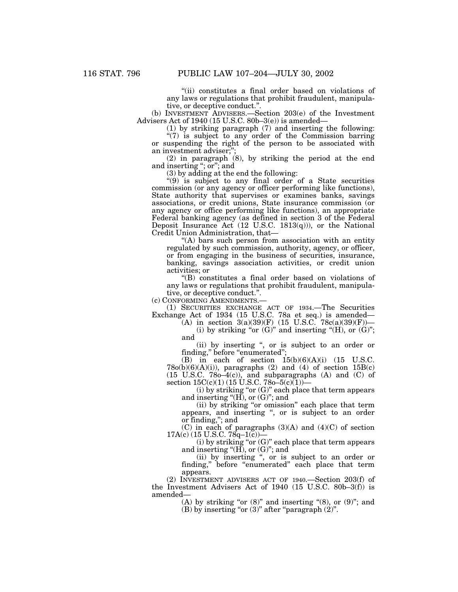''(ii) constitutes a final order based on violations of any laws or regulations that prohibit fraudulent, manipula-

tive, or deceptive conduct.''. (b) INVESTMENT ADVISERS.—Section 203(e) of the Investment Advisers Act of 1940 (15 U.S.C. 80b–3(e)) is amended— (1) by striking paragraph (7) and inserting the following:

 $\cdot\hat{f}(7)$  is subject to any order of the Commission barring

or suspending the right of the person to be associated with an investment adviser;'';

(2) in paragraph (8), by striking the period at the end and inserting "; or"; and

(3) by adding at the end the following:

''(9) is subject to any final order of a State securities commission (or any agency or officer performing like functions), State authority that supervises or examines banks, savings associations, or credit unions, State insurance commission (or any agency or office performing like functions), an appropriate Federal banking agency (as defined in section 3 of the Federal Deposit Insurance Act (12 U.S.C. 1813(q))), or the National

"(A) bars such person from association with an entity regulated by such commission, authority, agency, or officer, or from engaging in the business of securities, insurance, banking, savings association activities, or credit union

"(B) constitutes a final order based on violations of any laws or regulations that prohibit fraudulent, manipulative, or deceptive conduct.''.

(c) CONFORMING AMENDMENTS.—

(1) SECURITIES EXCHANGE ACT OF 1934.—The Securities Exchange Act of 1934 (15 U.S.C. 78a et seq.) is amended—

(A) in section  $3(a)(39)(F)$  (15 U.S.C. 78c(a)(39)(F))— (i) by striking "or  $(G)$ " and inserting " $(H)$ , or  $(G)$ "; and

(ii) by inserting '', or is subject to an order or finding," before "enumerated";

(B) in each of section  $15(b)(6)(A)(i)$  (15 U.S.C.  $78o(b)(6)(A)(i)$ , paragraphs (2) and (4) of section  $15B(c)$  $(15 \text{ U.S.C. } 780-4(c))$ , and subparagraphs  $(A)$  and  $(C)$  of section  $15C(c)(1)$  (15 U.S.C. 78o–5(c)(1))—

(i) by striking ''or (G)'' each place that term appears and inserting " $(H)$ , or  $(G)$ "; and

(ii) by striking ''or omission'' each place that term appears, and inserting ", or is subject to an order or finding,''; and

(C) in each of paragraphs (3)(A) and (4)(C) of section 17A(c) (15 U.S.C. 78q–1(c))—

(i) by striking "or  $(G)$ " each place that term appears and inserting "(H), or (G)"; and

(ii) by inserting '', or is subject to an order or finding,'' before ''enumerated'' each place that term appears.

(2) INVESTMENT ADVISERS ACT OF 1940.—Section 203(f) of the Investment Advisers Act of 1940 (15 U.S.C. 80b–3(f)) is amended—

(A) by striking "or  $(8)$ " and inserting " $(8)$ , or  $(9)$ "; and

 $(B)$  by inserting "or  $(3)$ " after "paragraph  $(2)$ ".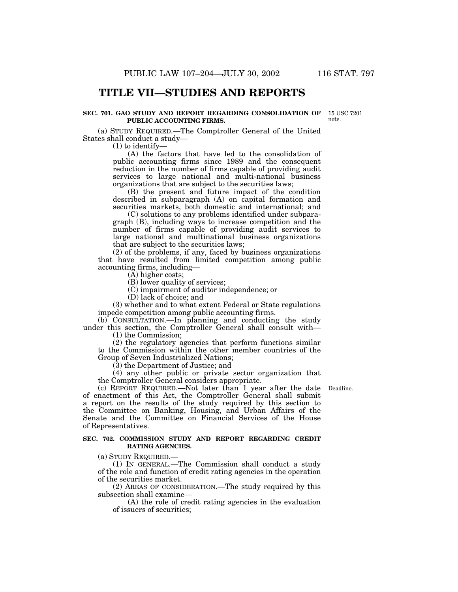# **TITLE VII—STUDIES AND REPORTS**

#### **SEC. 701. GAO STUDY AND REPORT REGARDING CONSOLIDATION OF PUBLIC ACCOUNTING FIRMS.** 15 USC 7201 note.

(a) STUDY REQUIRED.—The Comptroller General of the United States shall conduct a study—

(1) to identify—

(A) the factors that have led to the consolidation of public accounting firms since 1989 and the consequent reduction in the number of firms capable of providing audit services to large national and multi-national business organizations that are subject to the securities laws;

(B) the present and future impact of the condition described in subparagraph (A) on capital formation and securities markets, both domestic and international; and

(C) solutions to any problems identified under subparagraph (B), including ways to increase competition and the number of firms capable of providing audit services to large national and multinational business organizations that are subject to the securities laws;

(2) of the problems, if any, faced by business organizations that have resulted from limited competition among public accounting firms, including—

 $(\bar{A})$  higher costs;

(B) lower quality of services;

(C) impairment of auditor independence; or

(D) lack of choice; and

(3) whether and to what extent Federal or State regulations impede competition among public accounting firms.

(b) CONSULTATION.—In planning and conducting the study under this section, the Comptroller General shall consult with—

(1) the Commission;

(2) the regulatory agencies that perform functions similar to the Commission within the other member countries of the Group of Seven Industrialized Nations;

(3) the Department of Justice; and

(4) any other public or private sector organization that the Comptroller General considers appropriate.

(c) REPORT REQUIRED.—Not later than 1 year after the date Deadline. of enactment of this Act, the Comptroller General shall submit a report on the results of the study required by this section to the Committee on Banking, Housing, and Urban Affairs of the Senate and the Committee on Financial Services of the House of Representatives.

#### **SEC. 702. COMMISSION STUDY AND REPORT REGARDING CREDIT RATING AGENCIES.**

(a) STUDY REQUIRED.—

(1) IN GENERAL.—The Commission shall conduct a study of the role and function of credit rating agencies in the operation of the securities market.

(2) AREAS OF CONSIDERATION.—The study required by this subsection shall examine—

(A) the role of credit rating agencies in the evaluation of issuers of securities;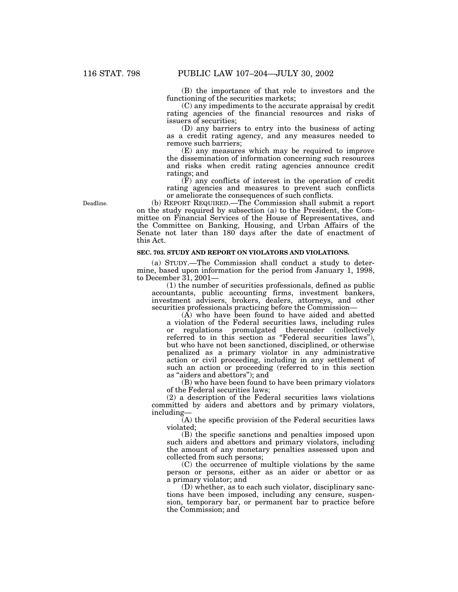(B) the importance of that role to investors and the functioning of the securities markets;

(C) any impediments to the accurate appraisal by credit rating agencies of the financial resources and risks of issuers of securities;

(D) any barriers to entry into the business of acting as a credit rating agency, and any measures needed to remove such barriers;

(E) any measures which may be required to improve the dissemination of information concerning such resources and risks when credit rating agencies announce credit ratings; and

(F) any conflicts of interest in the operation of credit rating agencies and measures to prevent such conflicts or ameliorate the consequences of such conflicts.

(b) REPORT REQUIRED.—The Commission shall submit a report on the study required by subsection (a) to the President, the Committee on Financial Services of the House of Representatives, and the Committee on Banking, Housing, and Urban Affairs of the Senate not later than 180 days after the date of enactment of this Act.

## **SEC. 703. STUDY AND REPORT ON VIOLATORS AND VIOLATIONS.**

(a) STUDY.—The Commission shall conduct a study to determine, based upon information for the period from January 1, 1998, to December 31, 2001—

(1) the number of securities professionals, defined as public accountants, public accounting firms, investment bankers, investment advisers, brokers, dealers, attorneys, and other securities professionals practicing before the Commission—

(A) who have been found to have aided and abetted a violation of the Federal securities laws, including rules or regulations promulgated thereunder (collectively referred to in this section as ''Federal securities laws''), but who have not been sanctioned, disciplined, or otherwise penalized as a primary violator in any administrative action or civil proceeding, including in any settlement of such an action or proceeding (referred to in this section as ''aiders and abettors''); and

(B) who have been found to have been primary violators of the Federal securities laws;

(2) a description of the Federal securities laws violations committed by aiders and abettors and by primary violators, including—

(A) the specific provision of the Federal securities laws violated;

(B) the specific sanctions and penalties imposed upon such aiders and abettors and primary violators, including the amount of any monetary penalties assessed upon and collected from such persons;

(C) the occurrence of multiple violations by the same person or persons, either as an aider or abettor or as a primary violator; and

(D) whether, as to each such violator, disciplinary sanctions have been imposed, including any censure, suspension, temporary bar, or permanent bar to practice before the Commission; and

Deadline.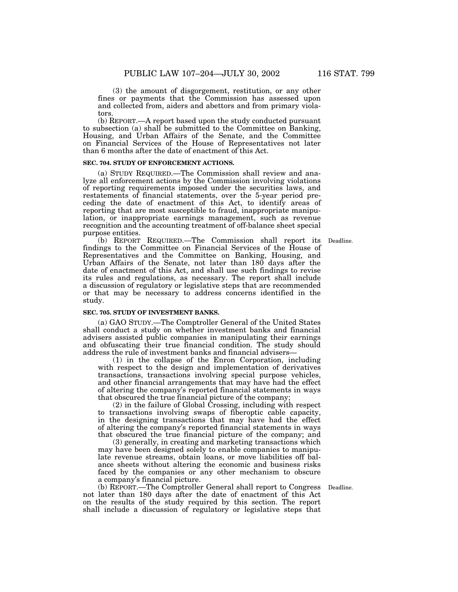(3) the amount of disgorgement, restitution, or any other fines or payments that the Commission has assessed upon and collected from, aiders and abettors and from primary violators.

(b) REPORT.—A report based upon the study conducted pursuant to subsection (a) shall be submitted to the Committee on Banking, Housing, and Urban Affairs of the Senate, and the Committee on Financial Services of the House of Representatives not later than 6 months after the date of enactment of this Act.

#### **SEC. 704. STUDY OF ENFORCEMENT ACTIONS.**

(a) STUDY REQUIRED.—The Commission shall review and analyze all enforcement actions by the Commission involving violations of reporting requirements imposed under the securities laws, and restatements of financial statements, over the 5-year period preceding the date of enactment of this Act, to identify areas of reporting that are most susceptible to fraud, inappropriate manipulation, or inappropriate earnings management, such as revenue recognition and the accounting treatment of off-balance sheet special purpose entities.

(b) REPORT REQUIRED.—The Commission shall report its Deadline. findings to the Committee on Financial Services of the House of Representatives and the Committee on Banking, Housing, and Urban Affairs of the Senate, not later than 180 days after the date of enactment of this Act, and shall use such findings to revise its rules and regulations, as necessary. The report shall include a discussion of regulatory or legislative steps that are recommended or that may be necessary to address concerns identified in the study.

#### **SEC. 705. STUDY OF INVESTMENT BANKS.**

(a) GAO STUDY.—The Comptroller General of the United States shall conduct a study on whether investment banks and financial advisers assisted public companies in manipulating their earnings and obfuscating their true financial condition. The study should address the rule of investment banks and financial advisers—

(1) in the collapse of the Enron Corporation, including with respect to the design and implementation of derivatives transactions, transactions involving special purpose vehicles, and other financial arrangements that may have had the effect of altering the company's reported financial statements in ways that obscured the true financial picture of the company;

(2) in the failure of Global Crossing, including with respect to transactions involving swaps of fiberoptic cable capacity, in the designing transactions that may have had the effect of altering the company's reported financial statements in ways that obscured the true financial picture of the company; and

(3) generally, in creating and marketing transactions which may have been designed solely to enable companies to manipulate revenue streams, obtain loans, or move liabilities off balance sheets without altering the economic and business risks faced by the companies or any other mechanism to obscure a company's financial picture.

(b) REPORT.—The Comptroller General shall report to Congress Deadline. not later than 180 days after the date of enactment of this Act on the results of the study required by this section. The report shall include a discussion of regulatory or legislative steps that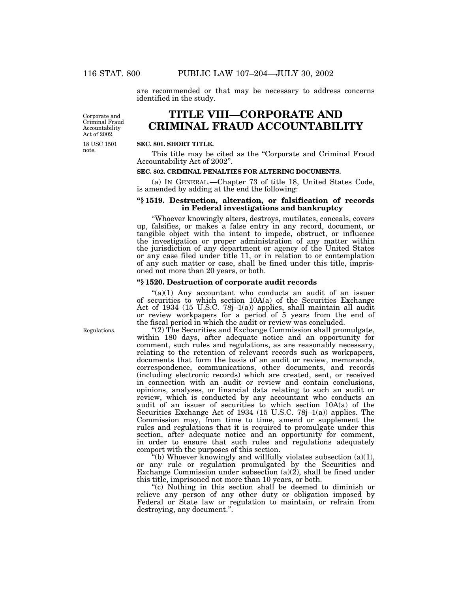are recommended or that may be necessary to address concerns identified in the study.

**TITLE VIII—CORPORATE AND CRIMINAL FRAUD ACCOUNTABILITY**

Corporate and Criminal Fraud Accountability Act of 2002.

18 USC 1501 note.

## **SEC. 801. SHORT TITLE.**

This title may be cited as the "Corporate and Criminal Fraud Accountability Act of 2002''.

### **SEC. 802. CRIMINAL PENALTIES FOR ALTERING DOCUMENTS.**

(a) IN GENERAL.—Chapter 73 of title 18, United States Code, is amended by adding at the end the following:

## **''§ 1519. Destruction, alteration, or falsification of records in Federal investigations and bankruptcy**

''Whoever knowingly alters, destroys, mutilates, conceals, covers up, falsifies, or makes a false entry in any record, document, or tangible object with the intent to impede, obstruct, or influence the investigation or proper administration of any matter within the jurisdiction of any department or agency of the United States or any case filed under title 11, or in relation to or contemplation of any such matter or case, shall be fined under this title, imprisoned not more than 20 years, or both.

#### **''§ 1520. Destruction of corporate audit records**

" $(a)(1)$  Any accountant who conducts an audit of an issuer of securities to which section 10A(a) of the Securities Exchange Act of 1934 (15 U.S.C. 78j–1(a)) applies, shall maintain all audit or review workpapers for a period of 5 years from the end of the fiscal period in which the audit or review was concluded.

 $''(2)$  The Securities and Exchange Commission shall promulgate, within 180 days, after adequate notice and an opportunity for comment, such rules and regulations, as are reasonably necessary, relating to the retention of relevant records such as workpapers, documents that form the basis of an audit or review, memoranda, correspondence, communications, other documents, and records (including electronic records) which are created, sent, or received in connection with an audit or review and contain conclusions, opinions, analyses, or financial data relating to such an audit or review, which is conducted by any accountant who conducts an audit of an issuer of securities to which section 10A(a) of the Securities Exchange Act of 1934 (15 U.S.C. 78j–1(a)) applies. The Commission may, from time to time, amend or supplement the rules and regulations that it is required to promulgate under this section, after adequate notice and an opportunity for comment, in order to ensure that such rules and regulations adequately comport with the purposes of this section.

comport with the purposes of this section. ''(b) Whoever knowingly and willfully violates subsection (a)(1), or any rule or regulation promulgated by the Securities and Exchange Commission under subsection  $(a)(2)$ , shall be fined under this title, imprisoned not more than 10 years, or both.

''(c) Nothing in this section shall be deemed to diminish or relieve any person of any other duty or obligation imposed by Federal or State law or regulation to maintain, or refrain from destroying, any document.''.

Regulations.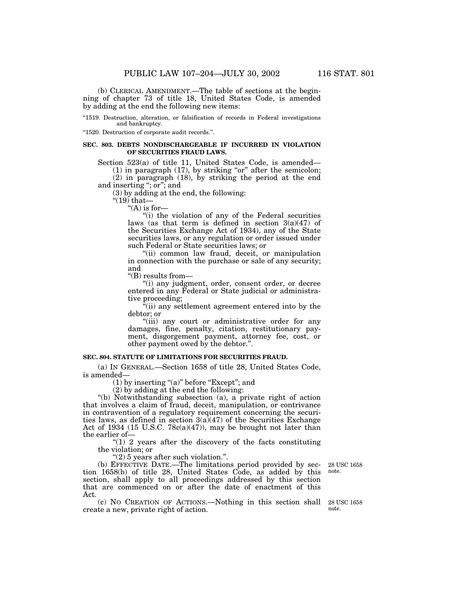(b) CLERICAL AMENDMENT.—The table of sections at the beginning of chapter 73 of title 18, United States Code, is amended by adding at the end the following new items:

"1519. Destruction, alteration, or falsification of records in Federal investigations and bankruptcy.

''1520. Destruction of corporate audit records.''.

## **SEC. 803. DEBTS NONDISCHARGEABLE IF INCURRED IN VIOLATION OF SECURITIES FRAUD LAWS.**

Section 523(a) of title 11, United States Code, is amended—

 $(1)$  in paragraph  $(17)$ , by striking "or" after the semicolon; (2) in paragraph (18), by striking the period at the end and inserting ''; or''; and

(3) by adding at the end, the following:

''(19) that—

 $"$ (A) is for-

"(i) the violation of any of the Federal securities laws (as that term is defined in section  $3(a)(47)$  of the Securities Exchange Act of 1934), any of the State securities laws, or any regulation or order issued under such Federal or State securities laws; or

''(ii) common law fraud, deceit, or manipulation in connection with the purchase or sale of any security; and

''(B) results from—

''(i) any judgment, order, consent order, or decree entered in any Federal or State judicial or administrative proceeding;

''(ii) any settlement agreement entered into by the debtor; or

''(iii) any court or administrative order for any damages, fine, penalty, citation, restitutionary payment, disgorgement payment, attorney fee, cost, or other payment owed by the debtor.''.

#### **SEC. 804. STATUTE OF LIMITATIONS FOR SECURITIES FRAUD.**

(a) IN GENERAL.—Section 1658 of title 28, United States Code, is amended—

(1) by inserting "(a)" before "Except"; and

(2) by adding at the end the following:

''(b) Notwithstanding subsection (a), a private right of action that involves a claim of fraud, deceit, manipulation, or contrivance in contravention of a regulatory requirement concerning the securities laws, as defined in section  $3(a)(47)$  of the Securities Exchange Act of 1934 (15 U.S.C. 78c(a)(47)), may be brought not later than the earlier of—

" $(1)$  2 years after the discovery of the facts constituting the violation; or

''(2) 5 years after such violation.''.

(b) EFFECTIVE DATE.—The limitations period provided by section 1658(b) of title 28, United States Code, as added by this section, shall apply to all proceedings addressed by this section that are commenced on or after the date of enactment of this Act.

(c) NO CREATION OF ACTIONS.—Nothing in this section shall create a new, private right of action.

28 USC 1658 note.

28 USC 1658 note.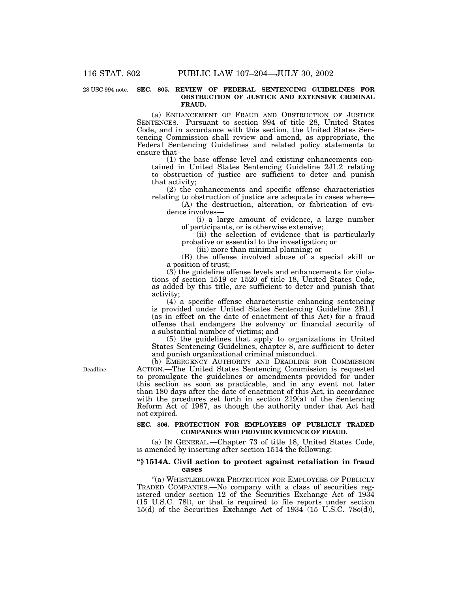#### **SEC. 805. REVIEW OF FEDERAL SENTENCING GUIDELINES FOR** 28 USC 994 note. **OBSTRUCTION OF JUSTICE AND EXTENSIVE CRIMINAL FRAUD.**

(a) ENHANCEMENT OF FRAUD AND OBSTRUCTION OF JUSTICE SENTENCES.—Pursuant to section 994 of title 28, United States Code, and in accordance with this section, the United States Sentencing Commission shall review and amend, as appropriate, the Federal Sentencing Guidelines and related policy statements to ensure that—

(1) the base offense level and existing enhancements contained in United States Sentencing Guideline 2J1.2 relating to obstruction of justice are sufficient to deter and punish that activity;

(2) the enhancements and specific offense characteristics relating to obstruction of justice are adequate in cases where—

(A) the destruction, alteration, or fabrication of evidence involves-

(i) a large amount of evidence, a large number of participants, or is otherwise extensive;

(ii) the selection of evidence that is particularly probative or essential to the investigation; or

(iii) more than minimal planning; or

(B) the offense involved abuse of a special skill or a position of trust;

 $(3)$  the guideline offense levels and enhancements for violations of section 1519 or 1520 of title 18, United States Code, as added by this title, are sufficient to deter and punish that activity;

(4) a specific offense characteristic enhancing sentencing is provided under United States Sentencing Guideline 2B1.1 (as in effect on the date of enactment of this Act) for a fraud offense that endangers the solvency or financial security of a substantial number of victims; and

(5) the guidelines that apply to organizations in United States Sentencing Guidelines, chapter 8, are sufficient to deter and punish organizational criminal misconduct.

(b) EMERGENCY AUTHORITY AND DEADLINE FOR COMMISSION ACTION.—The United States Sentencing Commission is requested to promulgate the guidelines or amendments provided for under this section as soon as practicable, and in any event not later than 180 days after the date of enactment of this Act, in accordance with the prcedures set forth in section 219(a) of the Sentencing Reform Act of 1987, as though the authority under that Act had not expired.

#### **SEC. 806. PROTECTION FOR EMPLOYEES OF PUBLICLY TRADED COMPANIES WHO PROVIDE EVIDENCE OF FRAUD.**

(a) IN GENERAL.—Chapter 73 of title 18, United States Code, is amended by inserting after section 1514 the following:

#### **''§ 1514A. Civil action to protect against retaliation in fraud cases**

''(a) WHISTLEBLOWER PROTECTION FOR EMPLOYEES OF PUBLICLY TRADED COMPANIES.—No company with a class of securities registered under section 12 of the Securities Exchange Act of 1934 (15 U.S.C. 78l), or that is required to file reports under section  $15(d)$  of the Securities Exchange Act of  $1934 \text{ } (15 \text{ U.S.C. } 780(d)),$ 

Deadline.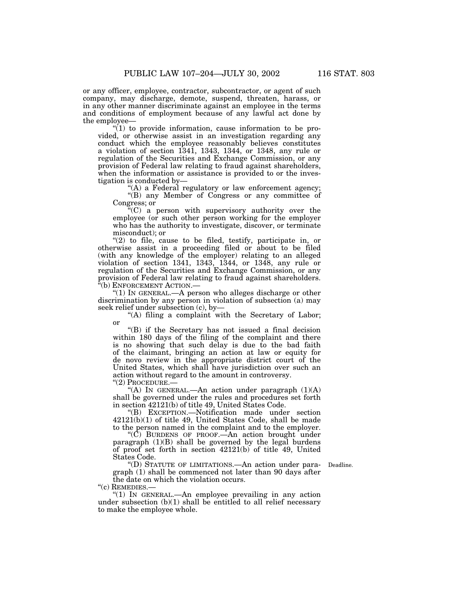or any officer, employee, contractor, subcontractor, or agent of such company, may discharge, demote, suspend, threaten, harass, or in any other manner discriminate against an employee in the terms and conditions of employment because of any lawful act done by the employee—

 $\sqrt[4]{1}$  to provide information, cause information to be provided, or otherwise assist in an investigation regarding any conduct which the employee reasonably believes constitutes a violation of section 1341, 1343, 1344, or 1348, any rule or regulation of the Securities and Exchange Commission, or any provision of Federal law relating to fraud against shareholders, when the information or assistance is provided to or the investigation is conducted by—

"(A) a Federal regulatory or law enforcement agency; ''(B) any Member of Congress or any committee of Congress; or

 $\mathcal{C}(C)$  a person with supervisory authority over the employee (or such other person working for the employer who has the authority to investigate, discover, or terminate misconduct); or

"(2) to file, cause to be filed, testify, participate in, or otherwise assist in a proceeding filed or about to be filed (with any knowledge of the employer) relating to an alleged violation of section 1341, 1343, 1344, or 1348, any rule or regulation of the Securities and Exchange Commission, or any provision of Federal law relating to fraud against shareholders. ''(b) ENFORCEMENT ACTION.—

"(1) IN GENERAL.—A person who alleges discharge or other discrimination by any person in violation of subsection (a) may seek relief under subsection (c), by—

"(A) filing a complaint with the Secretary of Labor; or

''(B) if the Secretary has not issued a final decision within 180 days of the filing of the complaint and there is no showing that such delay is due to the bad faith of the claimant, bringing an action at law or equity for de novo review in the appropriate district court of the United States, which shall have jurisdiction over such an action without regard to the amount in controversy.

''(2) PROCEDURE.—

''(A) IN GENERAL.—An action under paragraph (1)(A) shall be governed under the rules and procedures set forth in section 42121(b) of title 49, United States Code.

''(B) EXCEPTION.—Notification made under section 42121(b)(1) of title 49, United States Code, shall be made to the person named in the complaint and to the employer.

''(C) BURDENS OF PROOF.—An action brought under paragraph (1)(B) shall be governed by the legal burdens of proof set forth in section 42121(b) of title 49, United States Code.

Deadline.

''(D) STATUTE OF LIMITATIONS.—An action under paragraph (1) shall be commenced not later than 90 days after the date on which the violation occurs.

"(c) REMEDIES.-

''(1) IN GENERAL.—An employee prevailing in any action under subsection  $(b)(1)$  shall be entitled to all relief necessary to make the employee whole.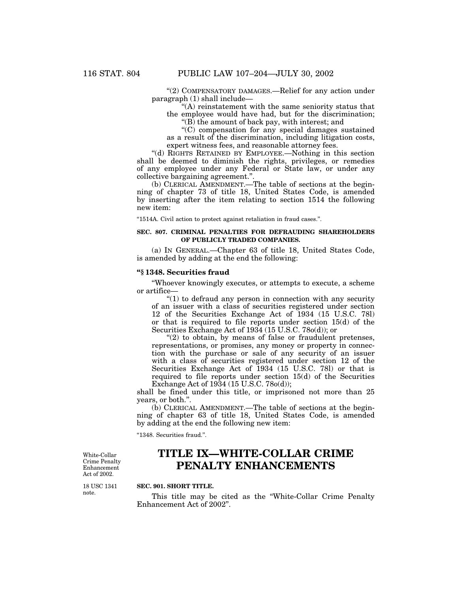"(2) COMPENSATORY DAMAGES.—Relief for any action under paragraph (1) shall include—

''(A) reinstatement with the same seniority status that the employee would have had, but for the discrimination;

 $\mathcal{F}(B)$  the amount of back pay, with interest; and

''(C) compensation for any special damages sustained as a result of the discrimination, including litigation costs, expert witness fees, and reasonable attorney fees.

''(d) RIGHTS RETAINED BY EMPLOYEE.—Nothing in this section shall be deemed to diminish the rights, privileges, or remedies of any employee under any Federal or State law, or under any collective bargaining agreement.''.

(b) CLERICAL AMENDMENT.—The table of sections at the beginning of chapter 73 of title 18, United States Code, is amended by inserting after the item relating to section 1514 the following new item:

''1514A. Civil action to protect against retaliation in fraud cases.''.

## **SEC. 807. CRIMINAL PENALTIES FOR DEFRAUDING SHAREHOLDERS OF PUBLICLY TRADED COMPANIES.**

(a) IN GENERAL.—Chapter 63 of title 18, United States Code, is amended by adding at the end the following:

#### **''§ 1348. Securities fraud**

''Whoever knowingly executes, or attempts to execute, a scheme or artifice—

 $''(1)$  to defraud any person in connection with any security of an issuer with a class of securities registered under section 12 of the Securities Exchange Act of 1934 (15 U.S.C. 78l) or that is required to file reports under section 15(d) of the Securities Exchange Act of 1934 (15 U.S.C. 78o(d)); or

 $''(2)$  to obtain, by means of false or fraudulent pretenses, representations, or promises, any money or property in connection with the purchase or sale of any security of an issuer with a class of securities registered under section 12 of the Securities Exchange Act of 1934 (15 U.S.C. 78l) or that is required to file reports under section 15(d) of the Securities Exchange Act of 1934 (15 U.S.C. 78o(d));

shall be fined under this title, or imprisoned not more than 25 years, or both.''.

(b) CLERICAL AMENDMENT.—The table of sections at the beginning of chapter 63 of title 18, United States Code, is amended by adding at the end the following new item:

''1348. Securities fraud.''.

White-Collar Crime Penalty Enhancement Act of 2002.

# **TITLE IX—WHITE-COLLAR CRIME PENALTY ENHANCEMENTS**

18 USC 1341 note.

## **SEC. 901. SHORT TITLE.**

This title may be cited as the ''White-Collar Crime Penalty Enhancement Act of 2002''.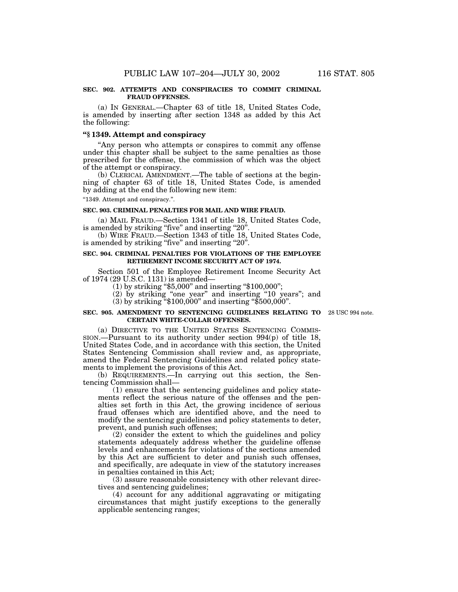#### **SEC. 902. ATTEMPTS AND CONSPIRACIES TO COMMIT CRIMINAL FRAUD OFFENSES.**

(a) IN GENERAL.—Chapter 63 of title 18, United States Code, is amended by inserting after section 1348 as added by this Act the following:

# **''§ 1349. Attempt and conspiracy**

''Any person who attempts or conspires to commit any offense under this chapter shall be subject to the same penalties as those prescribed for the offense, the commission of which was the object of the attempt or conspiracy.

(b) CLERICAL AMENDMENT.—The table of sections at the beginning of chapter 63 of title 18, United States Code, is amended by adding at the end the following new item:

''1349. Attempt and conspiracy.''.

#### **SEC. 903. CRIMINAL PENALTIES FOR MAIL AND WIRE FRAUD.**

(a) MAIL FRAUD.—Section 1341 of title 18, United States Code, is amended by striking ''five'' and inserting ''20''.

(b) WIRE FRAUD.—Section 1343 of title 18, United States Code, is amended by striking "five" and inserting "20".

#### **SEC. 904. CRIMINAL PENALTIES FOR VIOLATIONS OF THE EMPLOYEE RETIREMENT INCOME SECURITY ACT OF 1974.**

Section 501 of the Employee Retirement Income Security Act of 1974 (29 U.S.C. 1131) is amended—

 $(1)$  by striking "\$5,000" and inserting "\$100,000";

(2) by striking ''one year'' and inserting ''10 years''; and

(3) by striking ''\$100,000'' and inserting ''\$500,000''.

#### **SEC. 905. AMENDMENT TO SENTENCING GUIDELINES RELATING TO** 28 USC 994 note. **CERTAIN WHITE-COLLAR OFFENSES.**

(a) DIRECTIVE TO THE UNITED STATES SENTENCING COMMIS-SION.—Pursuant to its authority under section 994(p) of title 18, United States Code, and in accordance with this section, the United States Sentencing Commission shall review and, as appropriate, amend the Federal Sentencing Guidelines and related policy state-

ments to implement the provisions of this Act. (b) REQUIREMENTS.—In carrying out this section, the Sentencing Commission shall—

(1) ensure that the sentencing guidelines and policy statements reflect the serious nature of the offenses and the penalties set forth in this Act, the growing incidence of serious fraud offenses which are identified above, and the need to modify the sentencing guidelines and policy statements to deter, prevent, and punish such offenses;

(2) consider the extent to which the guidelines and policy statements adequately address whether the guideline offense levels and enhancements for violations of the sections amended by this Act are sufficient to deter and punish such offenses, and specifically, are adequate in view of the statutory increases in penalties contained in this Act;

(3) assure reasonable consistency with other relevant directives and sentencing guidelines;

(4) account for any additional aggravating or mitigating circumstances that might justify exceptions to the generally applicable sentencing ranges;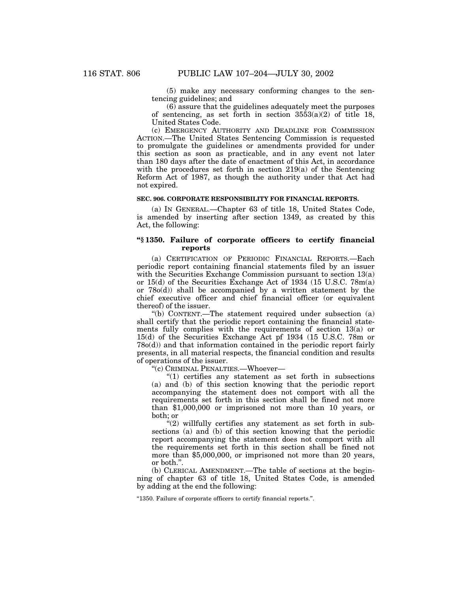(5) make any necessary conforming changes to the sentencing guidelines; and

(6) assure that the guidelines adequately meet the purposes of sentencing, as set forth in section  $3553(a)(2)$  of title 18, United States Code.

(c) EMERGENCY AUTHORITY AND DEADLINE FOR COMMISSION ACTION.—The United States Sentencing Commission is requested to promulgate the guidelines or amendments provided for under this section as soon as practicable, and in any event not later than 180 days after the date of enactment of this Act, in accordance with the procedures set forth in section 219(a) of the Sentencing Reform Act of 1987, as though the authority under that Act had not expired.

#### **SEC. 906. CORPORATE RESPONSIBILITY FOR FINANCIAL REPORTS.**

(a) IN GENERAL.—Chapter 63 of title 18, United States Code, is amended by inserting after section 1349, as created by this Act, the following:

## **''§ 1350. Failure of corporate officers to certify financial reports**

(a) CERTIFICATION OF PERIODIC FINANCIAL REPORTS.—Each periodic report containing financial statements filed by an issuer with the Securities Exchange Commission pursuant to section 13(a) or 15(d) of the Securities Exchange Act of 1934 (15 U.S.C. 78m(a) or 78o(d)) shall be accompanied by a written statement by the chief executive officer and chief financial officer (or equivalent thereof) of the issuer.

''(b) CONTENT.—The statement required under subsection (a) shall certify that the periodic report containing the financial statements fully complies with the requirements of section 13(a) or 15(d) of the Securities Exchange Act pf 1934 (15 U.S.C. 78m or 78o(d)) and that information contained in the periodic report fairly presents, in all material respects, the financial condition and results of operations of the issuer.

''(c) CRIMINAL PENALTIES.—Whoever—

''(1) certifies any statement as set forth in subsections (a) and (b) of this section knowing that the periodic report accompanying the statement does not comport with all the requirements set forth in this section shall be fined not more than \$1,000,000 or imprisoned not more than 10 years, or both; or

"(2) willfully certifies any statement as set forth in subsections (a) and (b) of this section knowing that the periodic report accompanying the statement does not comport with all the requirements set forth in this section shall be fined not more than \$5,000,000, or imprisoned not more than 20 years, or both.''.

(b) CLERICAL AMENDMENT.—The table of sections at the beginning of chapter 63 of title 18, United States Code, is amended by adding at the end the following:

''1350. Failure of corporate officers to certify financial reports.''.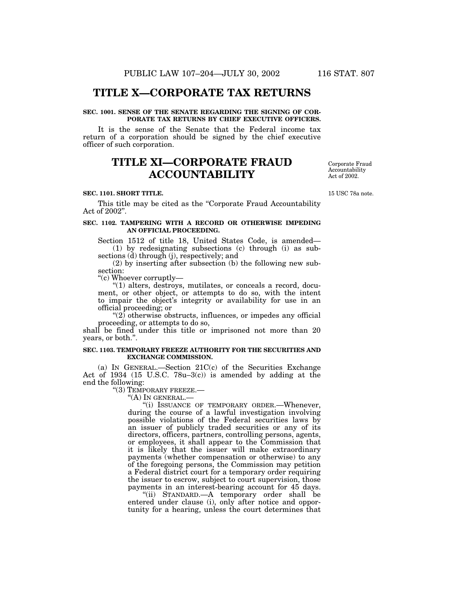# **TITLE X—CORPORATE TAX RETURNS**

## **SEC. 1001. SENSE OF THE SENATE REGARDING THE SIGNING OF COR-PORATE TAX RETURNS BY CHIEF EXECUTIVE OFFICERS.**

It is the sense of the Senate that the Federal income tax return of a corporation should be signed by the chief executive officer of such corporation.

# **TITLE XI—CORPORATE FRAUD ACCOUNTABILITY**

## **SEC. 1101. SHORT TITLE.**

This title may be cited as the "Corporate Fraud Accountability" Act of 2002''.

## **SEC. 1102. TAMPERING WITH A RECORD OR OTHERWISE IMPEDING AN OFFICIAL PROCEEDING.**

Section 1512 of title 18, United States Code, is amended— (1) by redesignating subsections (c) through (i) as subsections (d) through (j), respectively; and

(2) by inserting after subsection (b) the following new subsection:

''(c) Whoever corruptly—

''(1) alters, destroys, mutilates, or conceals a record, document, or other object, or attempts to do so, with the intent to impair the object's integrity or availability for use in an official proceeding; or

 $(2)$  otherwise obstructs, influences, or impedes any official proceeding, or attempts to do so,

shall be fined under this title or imprisoned not more than 20 years, or both.''.

#### **SEC. 1103. TEMPORARY FREEZE AUTHORITY FOR THE SECURITIES AND EXCHANGE COMMISSION.**

(a) IN GENERAL.—Section 21C(c) of the Securities Exchange Act of 1934 (15 U.S.C. 78u–3(c)) is amended by adding at the end the following:

''(3) TEMPORARY FREEZE.—

''(A) IN GENERAL.—

"(i) ISSUANCE OF TEMPORARY ORDER.—Whenever, during the course of a lawful investigation involving possible violations of the Federal securities laws by an issuer of publicly traded securities or any of its directors, officers, partners, controlling persons, agents, or employees, it shall appear to the Commission that it is likely that the issuer will make extraordinary payments (whether compensation or otherwise) to any of the foregoing persons, the Commission may petition a Federal district court for a temporary order requiring the issuer to escrow, subject to court supervision, those payments in an interest-bearing account for 45 days.

''(ii) STANDARD.—A temporary order shall be entered under clause (i), only after notice and opportunity for a hearing, unless the court determines that

15 USC 78a note.

Corporate Fraud Accountability Act of 2002.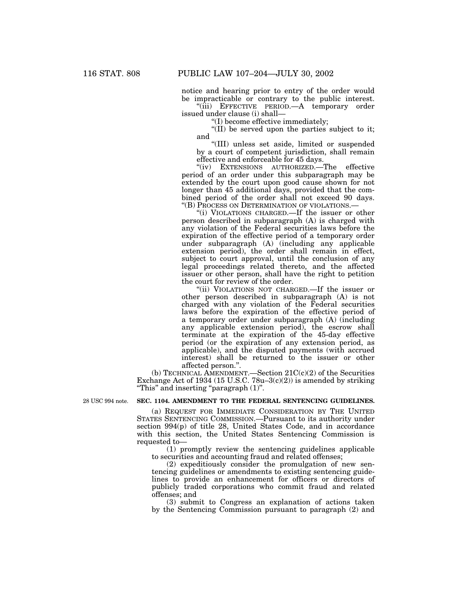notice and hearing prior to entry of the order would be impracticable or contrary to the public interest.

"(iii) EFFECTIVE PERIOD.—A temporary order issued under clause (i) shall—

''(I) become effective immediately;

''(II) be served upon the parties subject to it; and

''(III) unless set aside, limited or suspended by a court of competent jurisdiction, shall remain effective and enforceable for 45 days.

''(iv) EXTENSIONS AUTHORIZED.—The effective period of an order under this subparagraph may be extended by the court upon good cause shown for not longer than 45 additional days, provided that the combined period of the order shall not exceed 90 days. ''(B) PROCESS ON DETERMINATION OF VIOLATIONS.—

''(i) VIOLATIONS CHARGED.—If the issuer or other person described in subparagraph (A) is charged with any violation of the Federal securities laws before the expiration of the effective period of a temporary order under subparagraph (A) (including any applicable extension period), the order shall remain in effect, subject to court approval, until the conclusion of any legal proceedings related thereto, and the affected issuer or other person, shall have the right to petition the court for review of the order.

''(ii) VIOLATIONS NOT CHARGED.—If the issuer or other person described in subparagraph (A) is not charged with any violation of the Federal securities laws before the expiration of the effective period of a temporary order under subparagraph (A) (including any applicable extension period), the escrow shall terminate at the expiration of the 45-day effective period (or the expiration of any extension period, as applicable), and the disputed payments (with accrued interest) shall be returned to the issuer or other affected person.''.

(b) TECHNICAL AMENDMENT.—Section  $21C(c)(2)$  of the Securities Exchange Act of 1934 (15 U.S.C.  $78u-3(c)(2)$ ) is amended by striking ''This'' and inserting ''paragraph (1)''.

28 USC 994 note.

## **SEC. 1104. AMENDMENT TO THE FEDERAL SENTENCING GUIDELINES.**

(a) REQUEST FOR IMMEDIATE CONSIDERATION BY THE UNITED STATES SENTENCING COMMISSION.—Pursuant to its authority under section 994(p) of title 28, United States Code, and in accordance with this section, the United States Sentencing Commission is requested to—

(1) promptly review the sentencing guidelines applicable to securities and accounting fraud and related offenses;

(2) expeditiously consider the promulgation of new sentencing guidelines or amendments to existing sentencing guidelines to provide an enhancement for officers or directors of publicly traded corporations who commit fraud and related offenses; and

(3) submit to Congress an explanation of actions taken by the Sentencing Commission pursuant to paragraph (2) and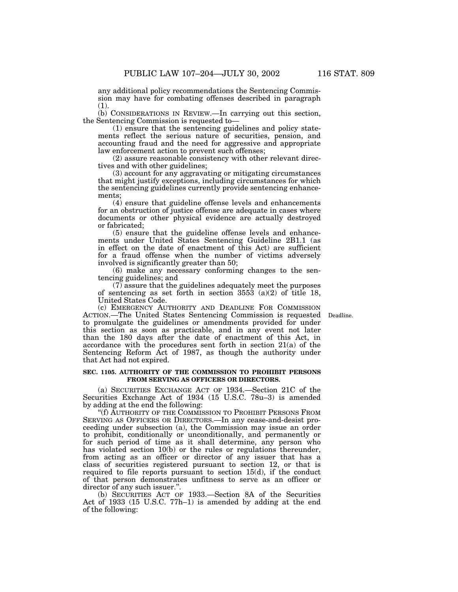any additional policy recommendations the Sentencing Commission may have for combating offenses described in paragraph

(1). (b) CONSIDERATIONS IN REVIEW.—In carrying out this section,

 $(1)$  ensure that the sentencing guidelines and policy statements reflect the serious nature of securities, pension, and accounting fraud and the need for aggressive and appropriate law enforcement action to prevent such offenses;

(2) assure reasonable consistency with other relevant directives and with other guidelines;

(3) account for any aggravating or mitigating circumstances that might justify exceptions, including circumstances for which the sentencing guidelines currently provide sentencing enhancements;

(4) ensure that guideline offense levels and enhancements for an obstruction of justice offense are adequate in cases where documents or other physical evidence are actually destroyed or fabricated;

(5) ensure that the guideline offense levels and enhancements under United States Sentencing Guideline 2B1.1 (as in effect on the date of enactment of this Act) are sufficient for a fraud offense when the number of victims adversely involved is significantly greater than 50;

(6) make any necessary conforming changes to the sentencing guidelines; and

(7) assure that the guidelines adequately meet the purposes of sentencing as set forth in section  $355\overline{3}$  (a)(2) of title 18, United States Code.

(c) EMERGENCY AUTHORITY AND DEADLINE FOR COMMISSION ACTION.—The United States Sentencing Commission is requested Deadline. to promulgate the guidelines or amendments provided for under this section as soon as practicable, and in any event not later than the 180 days after the date of enactment of this Act, in accordance with the procedures sent forth in section 21(a) of the Sentencing Reform Act of 1987, as though the authority under that Act had not expired.

## **SEC. 1105. AUTHORITY OF THE COMMISSION TO PROHIBIT PERSONS FROM SERVING AS OFFICERS OR DIRECTORS.**

(a) SECURITIES EXCHANGE ACT OF 1934.—Section 21C of the Securities Exchange Act of 1934 (15 U.S.C. 78u–3) is amended by adding at the end the following:

''(f) AUTHORITY OF THE COMMISSION TO PROHIBIT PERSONS FROM SERVING AS OFFICERS OR DIRECTORS.—In any cease-and-desist proceeding under subsection (a), the Commission may issue an order to prohibit, conditionally or unconditionally, and permanently or for such period of time as it shall determine, any person who has violated section 10(b) or the rules or regulations thereunder, from acting as an officer or director of any issuer that has a class of securities registered pursuant to section 12, or that is required to file reports pursuant to section 15(d), if the conduct of that person demonstrates unfitness to serve as an officer or director of any such issuer.''.

(b) SECURITIES ACT OF 1933.—Section 8A of the Securities Act of 1933 (15 U.S.C. 77h–1) is amended by adding at the end of the following: